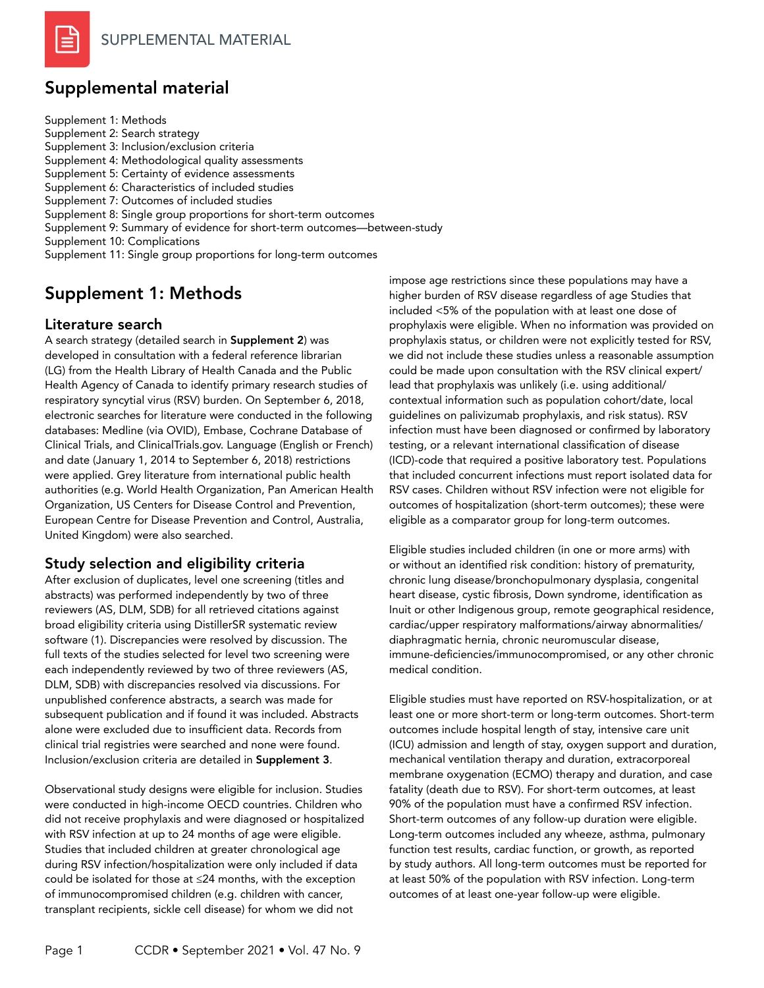# Supplemental material

Supplement 1: Methods Supplement 2: Search strategy Supplement 3: Inclusion/exclusion criteria Supplement 4: Methodological quality assessments Supplement 5: Certainty of evidence assessments Supplement 6: Characteristics of included studies Supplement 7: Outcomes of included studies Supplement 8: Single group proportions for short-term outcomes Supplement 9: Summary of evidence for short-term outcomes—between-study Supplement 10: Complications Supplement 11: Single group proportions for long-term outcomes

# Supplement 1: Methods

## Literature search

A search strategy (detailed search in Supplement 2) was developed in consultation with a federal reference librarian (LG) from the Health Library of Health Canada and the Public Health Agency of Canada to identify primary research studies of respiratory syncytial virus (RSV) burden. On September 6, 2018, electronic searches for literature were conducted in the following databases: Medline (via OVID), Embase, Cochrane Database of Clinical Trials, and ClinicalTrials.gov. Language (English or French) and date (January 1, 2014 to September 6, 2018) restrictions were applied. Grey literature from international public health authorities (e.g. World Health Organization, Pan American Health Organization, US Centers for Disease Control and Prevention, European Centre for Disease Prevention and Control, Australia, United Kingdom) were also searched.

## Study selection and eligibility criteria

After exclusion of duplicates, level one screening (titles and abstracts) was performed independently by two of three reviewers (AS, DLM, SDB) for all retrieved citations against broad eligibility criteria using DistillerSR systematic review software (1). Discrepancies were resolved by discussion. The full texts of the studies selected for level two screening were each independently reviewed by two of three reviewers (AS, DLM, SDB) with discrepancies resolved via discussions. For unpublished conference abstracts, a search was made for subsequent publication and if found it was included. Abstracts alone were excluded due to insufficient data. Records from clinical trial registries were searched and none were found. Inclusion/exclusion criteria are detailed in Supplement 3.

Observational study designs were eligible for inclusion. Studies were conducted in high-income OECD countries. Children who did not receive prophylaxis and were diagnosed or hospitalized with RSV infection at up to 24 months of age were eligible. Studies that included children at greater chronological age during RSV infection/hospitalization were only included if data could be isolated for those at ≤24 months, with the exception of immunocompromised children (e.g. children with cancer, transplant recipients, sickle cell disease) for whom we did not

impose age restrictions since these populations may have a higher burden of RSV disease regardless of age Studies that included <5% of the population with at least one dose of prophylaxis were eligible. When no information was provided on prophylaxis status, or children were not explicitly tested for RSV, we did not include these studies unless a reasonable assumption could be made upon consultation with the RSV clinical expert/ lead that prophylaxis was unlikely (i.e. using additional/ contextual information such as population cohort/date, local guidelines on palivizumab prophylaxis, and risk status). RSV infection must have been diagnosed or confirmed by laboratory testing, or a relevant international classification of disease (ICD)-code that required a positive laboratory test. Populations that included concurrent infections must report isolated data for RSV cases. Children without RSV infection were not eligible for outcomes of hospitalization (short-term outcomes); these were eligible as a comparator group for long-term outcomes.

Eligible studies included children (in one or more arms) with or without an identified risk condition: history of prematurity, chronic lung disease/bronchopulmonary dysplasia, congenital heart disease, cystic fibrosis, Down syndrome, identification as Inuit or other Indigenous group, remote geographical residence, cardiac/upper respiratory malformations/airway abnormalities/ diaphragmatic hernia, chronic neuromuscular disease, immune‑deficiencies/immunocompromised, or any other chronic medical condition.

Eligible studies must have reported on RSV-hospitalization, or at least one or more short-term or long-term outcomes. Short-term outcomes include hospital length of stay, intensive care unit (ICU) admission and length of stay, oxygen support and duration, mechanical ventilation therapy and duration, extracorporeal membrane oxygenation (ECMO) therapy and duration, and case fatality (death due to RSV). For short-term outcomes, at least 90% of the population must have a confirmed RSV infection. Short-term outcomes of any follow-up duration were eligible. Long-term outcomes included any wheeze, asthma, pulmonary function test results, cardiac function, or growth, as reported by study authors. All long-term outcomes must be reported for at least 50% of the population with RSV infection. Long-term outcomes of at least one-year follow-up were eligible.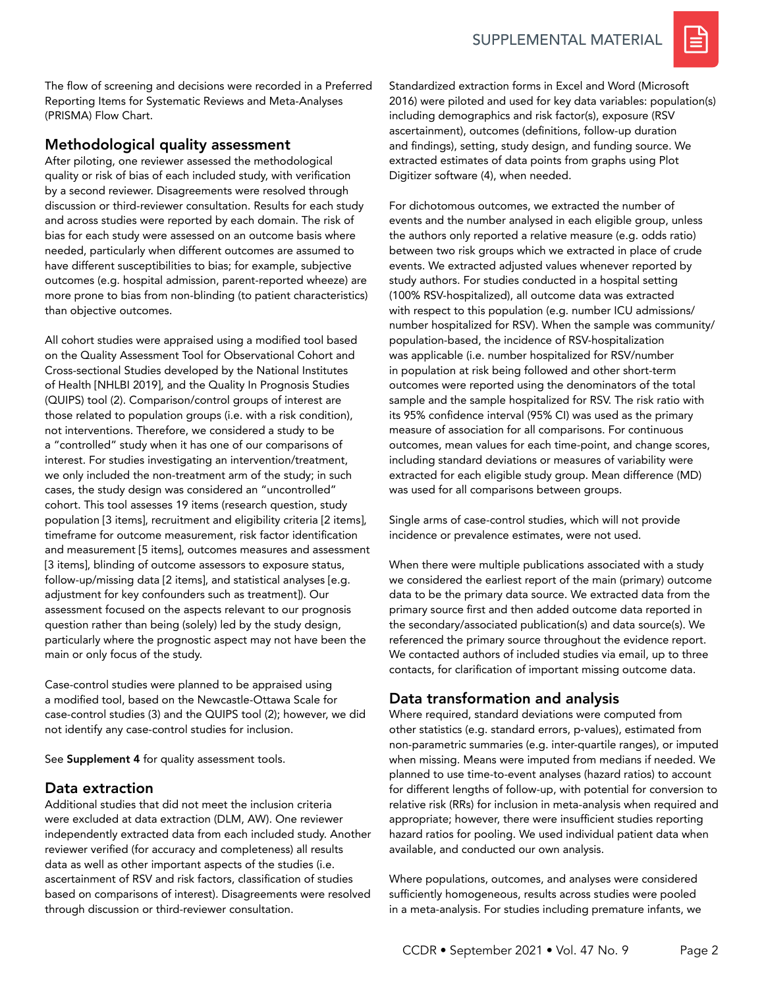

The flow of screening and decisions were recorded in a Preferred Reporting Items for Systematic Reviews and Meta-Analyses (PRISMA) Flow Chart.

# Methodological quality assessment

After piloting, one reviewer assessed the methodological quality or risk of bias of each included study, with verification by a second reviewer. Disagreements were resolved through discussion or third-reviewer consultation. Results for each study and across studies were reported by each domain. The risk of bias for each study were assessed on an outcome basis where needed, particularly when different outcomes are assumed to have different susceptibilities to bias; for example, subjective outcomes (e.g. hospital admission, parent-reported wheeze) are more prone to bias from non-blinding (to patient characteristics) than objective outcomes.

All cohort studies were appraised using a modified tool based on the Quality Assessment Tool for Observational Cohort and Cross-sectional Studies developed by the National Institutes of Health [NHLBI 2019], and the Quality In Prognosis Studies (QUIPS) tool (2). Comparison/control groups of interest are those related to population groups (i.e. with a risk condition), not interventions. Therefore, we considered a study to be a "controlled" study when it has one of our comparisons of interest. For studies investigating an intervention/treatment, we only included the non-treatment arm of the study; in such cases, the study design was considered an "uncontrolled" cohort. This tool assesses 19 items (research question, study population [3 items], recruitment and eligibility criteria [2 items], timeframe for outcome measurement, risk factor identification and measurement [5 items], outcomes measures and assessment [3 items], blinding of outcome assessors to exposure status, follow-up/missing data [2 items], and statistical analyses [e.g. adjustment for key confounders such as treatment]). Our assessment focused on the aspects relevant to our prognosis question rather than being (solely) led by the study design, particularly where the prognostic aspect may not have been the main or only focus of the study.

Case-control studies were planned to be appraised using a modified tool, based on the Newcastle-Ottawa Scale for case-control studies (3) and the QUIPS tool (2); however, we did not identify any case-control studies for inclusion.

See Supplement 4 for quality assessment tools.

## Data extraction

Additional studies that did not meet the inclusion criteria were excluded at data extraction (DLM, AW). One reviewer independently extracted data from each included study. Another reviewer verified (for accuracy and completeness) all results data as well as other important aspects of the studies (i.e. ascertainment of RSV and risk factors, classification of studies based on comparisons of interest). Disagreements were resolved through discussion or third-reviewer consultation.

Standardized extraction forms in Excel and Word (Microsoft 2016) were piloted and used for key data variables: population(s) including demographics and risk factor(s), exposure (RSV ascertainment), outcomes (definitions, follow-up duration and findings), setting, study design, and funding source. We extracted estimates of data points from graphs using Plot Digitizer software (4), when needed.

For dichotomous outcomes, we extracted the number of events and the number analysed in each eligible group, unless the authors only reported a relative measure (e.g. odds ratio) between two risk groups which we extracted in place of crude events. We extracted adjusted values whenever reported by study authors. For studies conducted in a hospital setting (100% RSV-hospitalized), all outcome data was extracted with respect to this population (e.g. number ICU admissions/ number hospitalized for RSV). When the sample was community/ population-based, the incidence of RSV-hospitalization was applicable (i.e. number hospitalized for RSV/number in population at risk being followed and other short-term outcomes were reported using the denominators of the total sample and the sample hospitalized for RSV. The risk ratio with its 95% confidence interval (95% CI) was used as the primary measure of association for all comparisons. For continuous outcomes, mean values for each time-point, and change scores, including standard deviations or measures of variability were extracted for each eligible study group. Mean difference (MD) was used for all comparisons between groups.

Single arms of case-control studies, which will not provide incidence or prevalence estimates, were not used.

When there were multiple publications associated with a study we considered the earliest report of the main (primary) outcome data to be the primary data source. We extracted data from the primary source first and then added outcome data reported in the secondary/associated publication(s) and data source(s). We referenced the primary source throughout the evidence report. We contacted authors of included studies via email, up to three contacts, for clarification of important missing outcome data.

# Data transformation and analysis

Where required, standard deviations were computed from other statistics (e.g. standard errors, p-values), estimated from non-parametric summaries (e.g. inter-quartile ranges), or imputed when missing. Means were imputed from medians if needed. We planned to use time-to-event analyses (hazard ratios) to account for different lengths of follow-up, with potential for conversion to relative risk (RRs) for inclusion in meta-analysis when required and appropriate; however, there were insufficient studies reporting hazard ratios for pooling. We used individual patient data when available, and conducted our own analysis.

Where populations, outcomes, and analyses were considered sufficiently homogeneous, results across studies were pooled in a meta-analysis. For studies including premature infants, we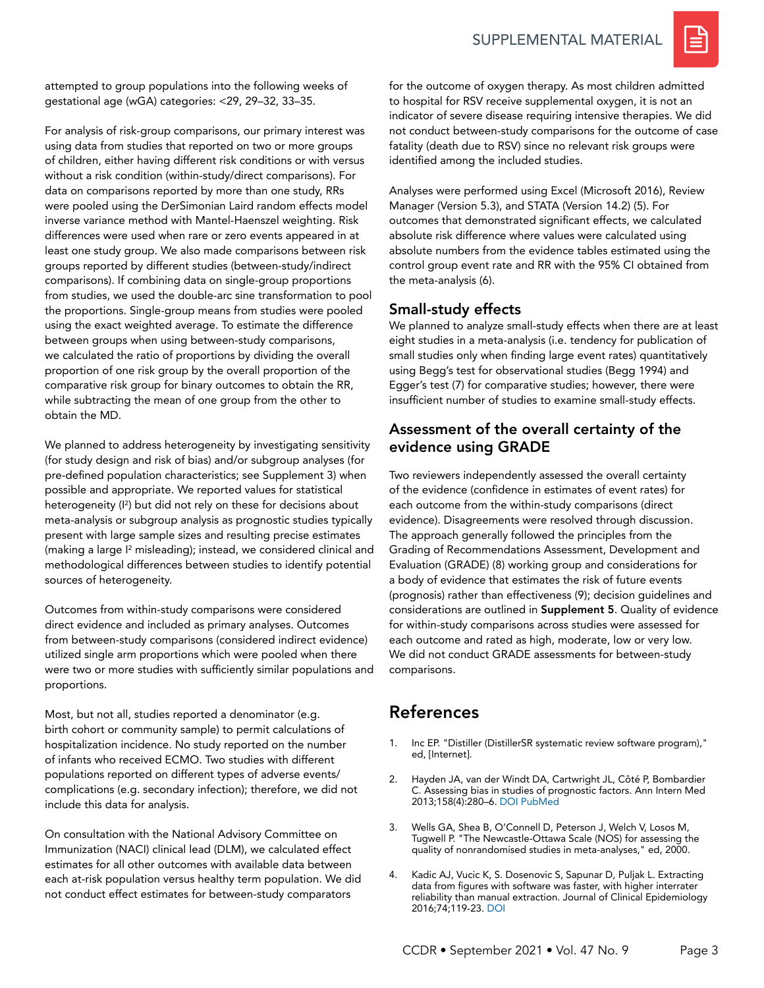## SUPPLEMENTAL MATERIAL



attempted to group populations into the following weeks of gestational age (wGA) categories: <29, 29–32, 33–35.

For analysis of risk-group comparisons, our primary interest was using data from studies that reported on two or more groups of children, either having different risk conditions or with versus without a risk condition (within-study/direct comparisons). For data on comparisons reported by more than one study, RRs were pooled using the DerSimonian Laird random effects model inverse variance method with Mantel-Haenszel weighting. Risk differences were used when rare or zero events appeared in at least one study group. We also made comparisons between risk groups reported by different studies (between-study/indirect comparisons). If combining data on single-group proportions from studies, we used the double-arc sine transformation to pool the proportions. Single-group means from studies were pooled using the exact weighted average. To estimate the difference between groups when using between-study comparisons, we calculated the ratio of proportions by dividing the overall proportion of one risk group by the overall proportion of the comparative risk group for binary outcomes to obtain the RR, while subtracting the mean of one group from the other to obtain the MD.

We planned to address heterogeneity by investigating sensitivity (for study design and risk of bias) and/or subgroup analyses (for pre-defined population characteristics; see Supplement 3) when possible and appropriate. We reported values for statistical heterogeneity (I2 ) but did not rely on these for decisions about meta-analysis or subgroup analysis as prognostic studies typically present with large sample sizes and resulting precise estimates (making a large I<sup>2</sup> misleading); instead, we considered clinical and methodological differences between studies to identify potential sources of heterogeneity.

Outcomes from within-study comparisons were considered direct evidence and included as primary analyses. Outcomes from between-study comparisons (considered indirect evidence) utilized single arm proportions which were pooled when there were two or more studies with sufficiently similar populations and proportions.

Most, but not all, studies reported a denominator (e.g. birth cohort or community sample) to permit calculations of hospitalization incidence. No study reported on the number of infants who received ECMO. Two studies with different populations reported on different types of adverse events/ complications (e.g. secondary infection); therefore, we did not include this data for analysis.

On consultation with the National Advisory Committee on Immunization (NACI) clinical lead (DLM), we calculated effect estimates for all other outcomes with available data between each at-risk population versus healthy term population. We did not conduct effect estimates for between-study comparators

for the outcome of oxygen therapy. As most children admitted to hospital for RSV receive supplemental oxygen, it is not an indicator of severe disease requiring intensive therapies. We did not conduct between-study comparisons for the outcome of case fatality (death due to RSV) since no relevant risk groups were identified among the included studies.

Analyses were performed using Excel (Microsoft 2016), Review Manager (Version 5.3), and STATA (Version 14.2) (5). For outcomes that demonstrated significant effects, we calculated absolute risk difference where values were calculated using absolute numbers from the evidence tables estimated using the control group event rate and RR with the 95% CI obtained from the meta-analysis (6).

## Small-study effects

We planned to analyze small-study effects when there are at least eight studies in a meta-analysis (i.e. tendency for publication of small studies only when finding large event rates) quantitatively using Begg's test for observational studies (Begg 1994) and Egger's test (7) for comparative studies; however, there were insufficient number of studies to examine small-study effects.

## Assessment of the overall certainty of the evidence using GRADE

Two reviewers independently assessed the overall certainty of the evidence (confidence in estimates of event rates) for each outcome from the within-study comparisons (direct evidence). Disagreements were resolved through discussion. The approach generally followed the principles from the Grading of Recommendations Assessment, Development and Evaluation (GRADE) (8) working group and considerations for a body of evidence that estimates the risk of future events (prognosis) rather than effectiveness (9); decision guidelines and considerations are outlined in Supplement 5. Quality of evidence for within-study comparisons across studies were assessed for each outcome and rated as high, moderate, low or very low. We did not conduct GRADE assessments for between-study comparisons.

# References

- 1. Inc EP. "Distiller (DistillerSR systematic review software program)," ed, [Internet].
- 2. Hayden JA, van der Windt DA, Cartwright JL, Côté P, Bombardier C. Assessing bias in studies of prognostic factors. Ann Intern Med 2013;158(4):280–6. [DOI](https://doi.org/10.7326/0003-4819-158-4-201302190-00009) [PubMed](https://pubmed.ncbi.nlm.nih.gov/23420236)
- 3. Wells GA, Shea B, O'Connell D, Peterson J, Welch V, Losos M, Tugwell P. "The Newcastle-Ottawa Scale (NOS) for assessing the quality of nonrandomised studies in meta-analyses," ed, 2000.
- 4. Kadic AJ, Vucic K, S. Dosenovic S, Sapunar D, Puljak L. Extracting data from figures with software was faster, with higher interrater reliability than manual extraction. Journal of Clinical Epidemiology 2016;74;119-23. [DOI](https://doi.org/10.1016/j.jclinepi.2016.01.002)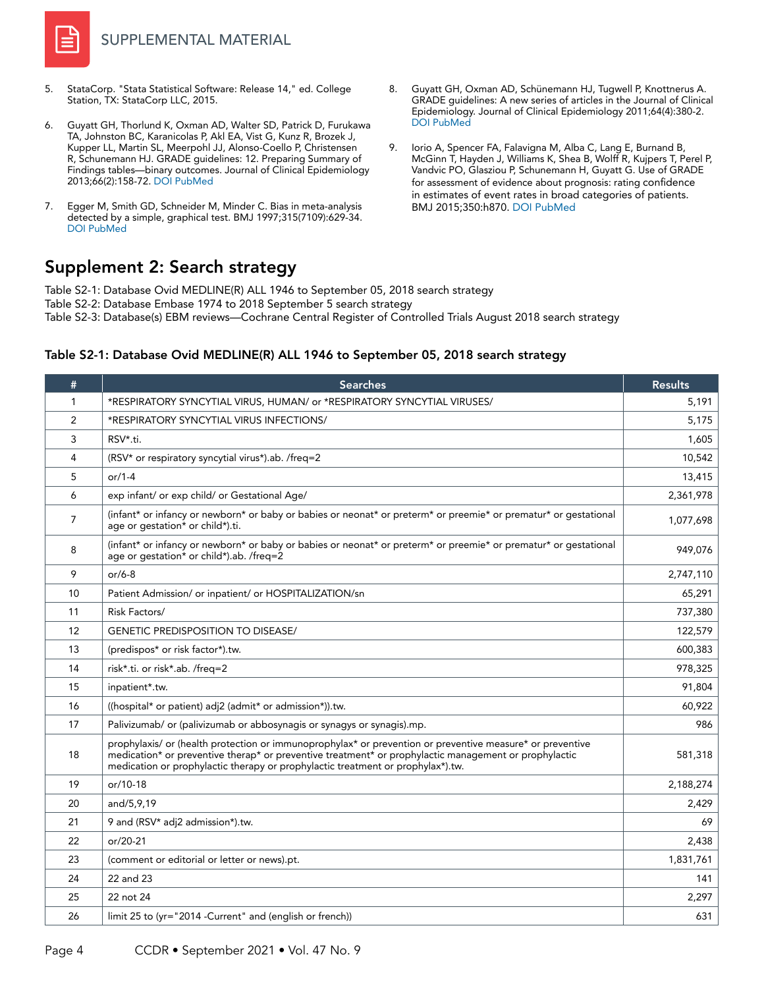

- 5. StataCorp. "Stata Statistical Software: Release 14," ed. College Station, TX: StataCorp LLC, 2015.
- 6. Guyatt GH, Thorlund K, Oxman AD, Walter SD, Patrick D, Furukawa TA, Johnston BC, Karanicolas P, Akl EA, Vist G, Kunz R, Brozek J, Kupper LL, Martin SL, Meerpohl JJ, Alonso-Coello P, Christensen R, Schunemann HJ. GRADE guidelines: 12. Preparing Summary of Findings tables—binary outcomes. Journal of Clinical Epidemiology 2013;66(2):158-72. [DOI](https://doi.org/10.1016/j.jclinepi.2012.01.012) [PubMed](https://pubmed.ncbi.nlm.nih.gov/22609141/)
- 7. Egger M, Smith GD, Schneider M, Minder C. Bias in meta-analysis detected by a simple, graphical test. BMJ 1997;315(7109):629-34. [DOI](https://doi.org/10.1136/bmj.315.7109.629) [PubMed](https://pubmed.ncbi.nlm.nih.gov/9310563/)
- 8. Guyatt GH, Oxman AD, Schünemann HJ, Tugwell P, Knottnerus A. GRADE guidelines: A new series of articles in the Journal of Clinical Epidemiology. Journal of Clinical Epidemiology 2011;64(4):380-2. [DOI](https://doi.org/10.1016/j.jclinepi.2010.09.011) [PubMed](https://pubmed.ncbi.nlm.nih.gov/21185693/)
- 9. Iorio A, Spencer FA, Falavigna M, Alba C, Lang E, Burnand B, McGinn T, Hayden J, Williams K, Shea B, Wolff R, Kujpers T, Perel P, Vandvic PO, Glasziou P, Schunemann H, Guyatt G. Use of GRADE for assessment of evidence about prognosis: rating confidence in estimates of event rates in broad categories of patients. BMJ 2015;350:h870. [DOI](https://doi.org/10.1136/bmj.h870) [PubMed](https://pubmed.ncbi.nlm.nih.gov/25775931/)

# Supplement 2: Search strategy

Table S2-1: Database Ovid MEDLINE(R) ALL 1946 to September 05, 2018 search strategy Table S2-2: Database Embase 1974 to 2018 September 5 search strategy

Table S2-3: Database(s) EBM reviews—Cochrane Central Register of Controlled Trials August 2018 search strategy

## # | Searches | Results 1 \*RESPIRATORY SYNCYTIAL VIRUS, HUMAN/ or \*RESPIRATORY SYNCYTIAL VIRUSES/ 5,191 2 **\*RESPIRATORY SYNCYTIAL VIRUS INFECTIONS/** 5,175  $3$  RSV\*.ti. 1,605 4 (RSV\* or respiratory syncytial virus\*).ab. /freq=2 10,542 5 or/1-4 13,415 6 exp infant/ or exp child/ or Gestational Age/ 2,361,978 <sup>7</sup> (infant\* or infancy or newborn\* or baby or babies or neonat\* or preterm\* or preemie\* or prematur\* or gestational age or gestation\* or child\*).ti. 1,077,698 <sup>8</sup> (infant\* or infancy or newborn\* or baby or babies or neonat\* or preterm\* or preemie\* or prematur\* or gestational age or gestation\* or child\*).ab. /freq=2 949,076 9 or/6-8 2,747,110 10 Patient Admission/ or inpatient/ or HOSPITALIZATION/sn 65,291 11 Risk Factors/ 737,380 12 GENETIC PREDISPOSITION TO DISEASE/ 122,579 13 (predispos\* or risk factor\*).tw. 600,383 14 risk\*.ti. or risk\*.ab. /freq=2 978,325 15 inpatient\*.tw. 91,804 16 ((hospital\* or patient) adj2 (admit\* or admission\*)).tw. 60,922 17 Palivizumab/ or (palivizumab or abbosynagis or synagys or synagis).mp. 986 18 prophylaxis/ or (health protection or immunoprophylax\* or prevention or preventive measure\* or preventive medication\* or preventive therap\* or preventive treatment\* or prophylactic management or prophylactic medication or prophylactic therapy or prophylactic treatment or prophylax\*).tw. 581,318 19 or/10-18 2,188,274 20 and/5,9,19 2,429 21 9 and (RSV\* adj2 admission\*).tw. 69 22 or/20-21 2,438 23 (comment or editorial or letter or news).pt. 1,831,761 24 22 and 23 **141** 22 and 23 **141** 25 22 not 24 2,297 26 limit 25 to (yr="2014 -Current" and (english or french)) 631

#### Table S2-1: Database Ovid MEDLINE(R) ALL 1946 to September 05, 2018 search strategy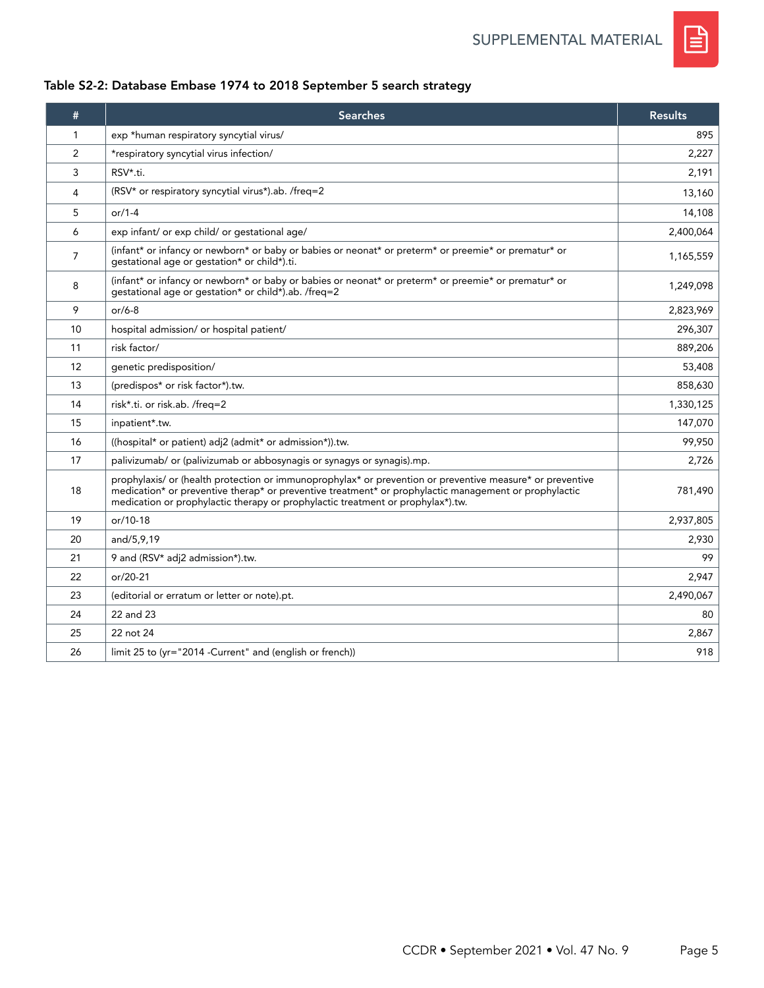

# Table S2-2: Database Embase 1974 to 2018 September 5 search strategy

| #  | <b>Searches</b>                                                                                                                                                                                                                                                                                       | <b>Results</b> |
|----|-------------------------------------------------------------------------------------------------------------------------------------------------------------------------------------------------------------------------------------------------------------------------------------------------------|----------------|
| 1  | exp *human respiratory syncytial virus/                                                                                                                                                                                                                                                               | 895            |
| 2  | *respiratory syncytial virus infection/                                                                                                                                                                                                                                                               | 2,227          |
| 3  | RSV*.ti.                                                                                                                                                                                                                                                                                              | 2,191          |
| 4  | (RSV* or respiratory syncytial virus*).ab. /freq=2                                                                                                                                                                                                                                                    | 13,160         |
| 5  | $or/1-4$                                                                                                                                                                                                                                                                                              | 14,108         |
| 6  | exp infant/ or exp child/ or gestational age/                                                                                                                                                                                                                                                         | 2,400,064      |
| 7  | (infant* or infancy or newborn* or baby or babies or neonat* or preterm* or preemie* or prematur* or<br>gestational age or gestation* or child*).ti.                                                                                                                                                  | 1,165,559      |
| 8  | (infant* or infancy or newborn* or baby or babies or neonat* or preterm* or preemie* or prematur* or<br>gestational age or gestation* or child*).ab. /freq=2                                                                                                                                          | 1,249,098      |
| 9  | $or/6-8$                                                                                                                                                                                                                                                                                              | 2,823,969      |
| 10 | hospital admission/ or hospital patient/                                                                                                                                                                                                                                                              | 296,307        |
| 11 | risk factor/                                                                                                                                                                                                                                                                                          | 889,206        |
| 12 | qenetic predisposition/                                                                                                                                                                                                                                                                               | 53,408         |
| 13 | (predispos* or risk factor*).tw.                                                                                                                                                                                                                                                                      | 858,630        |
| 14 | risk*.ti. or risk.ab. /freq=2                                                                                                                                                                                                                                                                         | 1,330,125      |
| 15 | inpatient*.tw.                                                                                                                                                                                                                                                                                        | 147,070        |
| 16 | ((hospital* or patient) adj2 (admit* or admission*)).tw.                                                                                                                                                                                                                                              | 99,950         |
| 17 | palivizumab/ or (palivizumab or abbosynagis or synagys or synagis).mp.                                                                                                                                                                                                                                | 2,726          |
| 18 | prophylaxis/ or (health protection or immunoprophylax* or prevention or preventive measure* or preventive<br>medication* or preventive therap* or preventive treatment* or prophylactic management or prophylactic<br>medication or prophylactic therapy or prophylactic treatment or prophylax*).tw. | 781,490        |
| 19 | or/10-18                                                                                                                                                                                                                                                                                              | 2,937,805      |
| 20 | and/5,9,19                                                                                                                                                                                                                                                                                            | 2,930          |
| 21 | 9 and (RSV* adj2 admission*).tw.                                                                                                                                                                                                                                                                      | 99             |
| 22 | $or/20-21$                                                                                                                                                                                                                                                                                            | 2,947          |
| 23 | (editorial or erratum or letter or note).pt.                                                                                                                                                                                                                                                          | 2,490,067      |
| 24 | 22 and 23                                                                                                                                                                                                                                                                                             | 80             |
| 25 | 22 not 24                                                                                                                                                                                                                                                                                             | 2,867          |
| 26 | limit 25 to (yr="2014 -Current" and (english or french))                                                                                                                                                                                                                                              | 918            |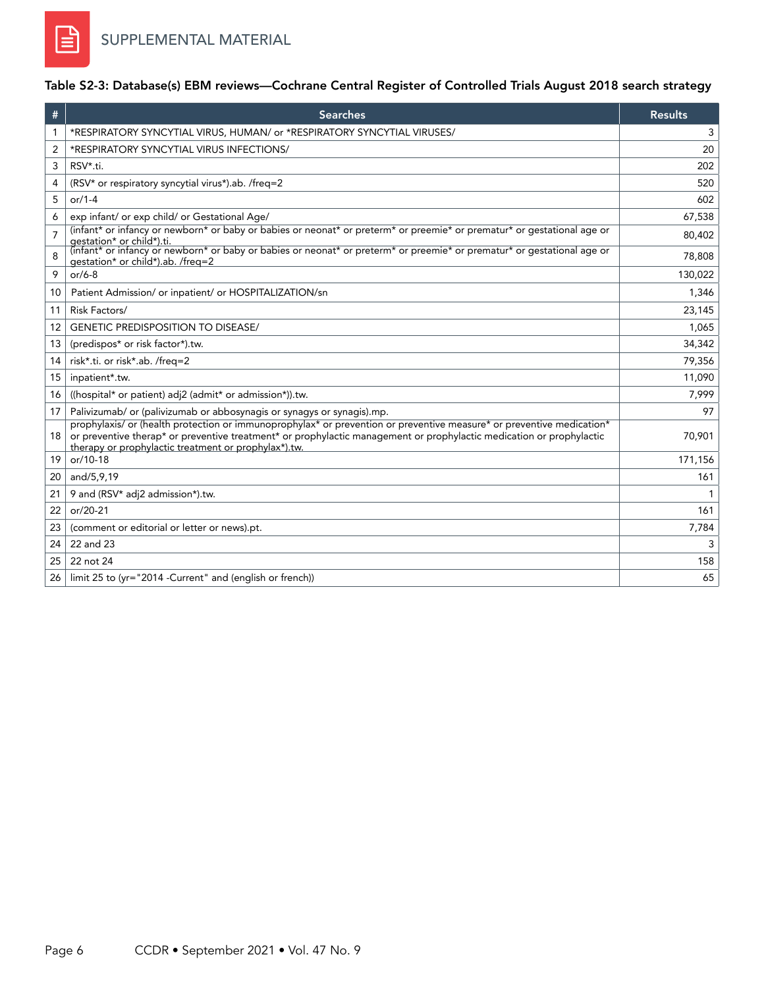# Table S2-3: Database(s) EBM reviews—Cochrane Central Register of Controlled Trials August 2018 search strategy

| #  | <b>Searches</b>                                                                                                                                                                                                                                                                                       | <b>Results</b> |
|----|-------------------------------------------------------------------------------------------------------------------------------------------------------------------------------------------------------------------------------------------------------------------------------------------------------|----------------|
| 1  | *RESPIRATORY SYNCYTIAL VIRUS, HUMAN/ or *RESPIRATORY SYNCYTIAL VIRUSES/                                                                                                                                                                                                                               | 3              |
| 2  | *RESPIRATORY SYNCYTIAL VIRUS INFECTIONS/                                                                                                                                                                                                                                                              | 20             |
| 3  | RSV*.ti.                                                                                                                                                                                                                                                                                              | 202            |
| 4  | (RSV* or respiratory syncytial virus*).ab. /freq=2                                                                                                                                                                                                                                                    | 520            |
| 5  | $or/1-4$                                                                                                                                                                                                                                                                                              | 602            |
| 6  | exp infant/ or exp child/ or Gestational Age/                                                                                                                                                                                                                                                         | 67,538         |
| 7  | (infant* or infancy or newborn* or baby or babies or neonat* or preterm* or preemie* or prematur* or gestational age or<br>aestation* or child*).ti.                                                                                                                                                  | 80,402         |
| 8  | (infant* or infancy or newborn* or baby or babies or neonat* or preterm* or preemie* or prematur* or gestational age or<br>gestation* or child*).ab. /freg=2                                                                                                                                          | 78,808         |
| 9  | $or/6-8$                                                                                                                                                                                                                                                                                              | 130,022        |
| 10 | Patient Admission/ or inpatient/ or HOSPITALIZATION/sn                                                                                                                                                                                                                                                | 1,346          |
| 11 | Risk Factors/                                                                                                                                                                                                                                                                                         | 23,145         |
| 12 | <b>GENETIC PREDISPOSITION TO DISEASE/</b>                                                                                                                                                                                                                                                             | 1,065          |
| 13 | (predispos* or risk factor*).tw.                                                                                                                                                                                                                                                                      | 34,342         |
| 14 | risk*.ti. or risk*.ab. /freq=2                                                                                                                                                                                                                                                                        | 79,356         |
| 15 | inpatient*.tw.                                                                                                                                                                                                                                                                                        | 11,090         |
| 16 | ((hospital* or patient) adj2 (admit* or admission*)).tw.                                                                                                                                                                                                                                              | 7,999          |
| 17 | Palivizumab/ or (palivizumab or abbosynagis or synagys or synagis).mp.                                                                                                                                                                                                                                | 97             |
| 18 | prophylaxis/ or (health protection or immunoprophylax* or prevention or preventive measure* or preventive medication*<br>or preventive therap* or preventive treatment* or prophylactic management or prophylactic medication or prophylactic<br>therapy or prophylactic treatment or prophylax*).tw. | 70,901         |
| 19 | or/10-18                                                                                                                                                                                                                                                                                              | 171,156        |
| 20 | and/5,9,19                                                                                                                                                                                                                                                                                            | 161            |
| 21 | 9 and (RSV* adj2 admission*).tw.                                                                                                                                                                                                                                                                      |                |
| 22 | or/20-21                                                                                                                                                                                                                                                                                              | 161            |
| 23 | (comment or editorial or letter or news).pt.                                                                                                                                                                                                                                                          | 7,784          |
| 24 | 22 and 23                                                                                                                                                                                                                                                                                             | 3              |
| 25 | 22 not 24                                                                                                                                                                                                                                                                                             | 158            |
| 26 | limit 25 to (yr="2014 -Current" and (english or french))                                                                                                                                                                                                                                              | 65             |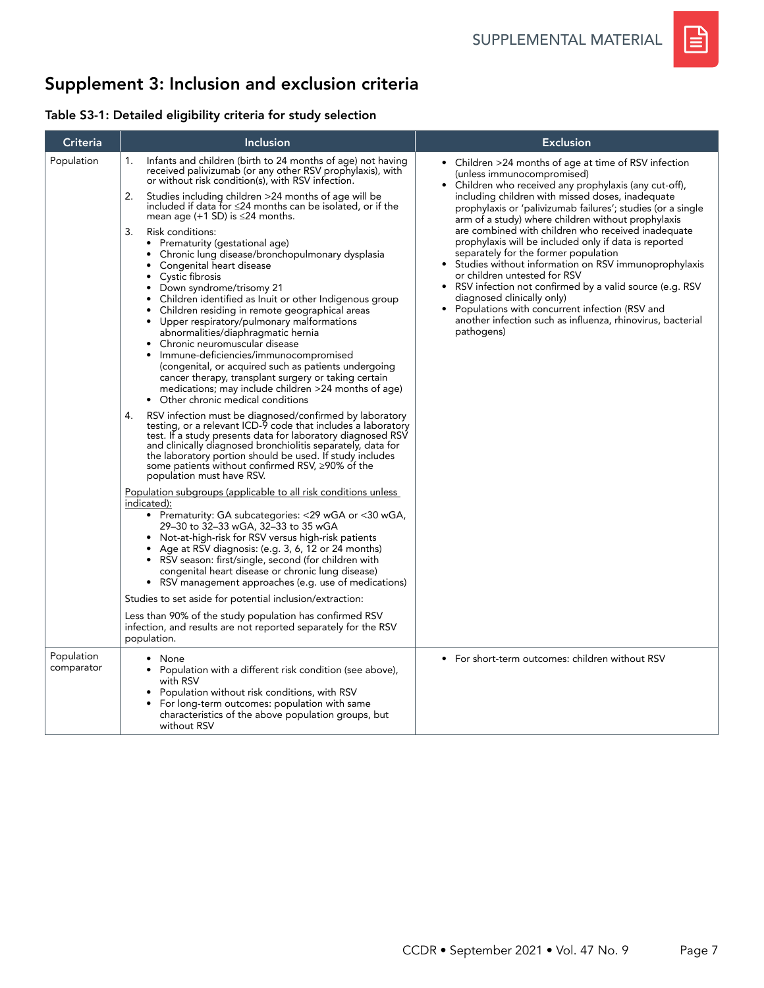

# Supplement 3: Inclusion and exclusion criteria

## Table S3-1: Detailed eligibility criteria for study selection

| Criteria                 | <b>Inclusion</b>                                                                                                                                                                                                                                                                                                                                                                                                                                                                                                                                                                                                                                                                                                                                                                                                                                                                                                                                                                                                                                                                                                                                                                                                                                                                                                                                                                                                                                                                                                                                                                                                                                                                                                                                                                                                                                                                                                                                                                                                                                                                                                                                                           | <b>Exclusion</b>                                                                                                                                                                                                                                                                                                                                                                                                                                                                                                                                                                                                                                                                                                                                                                             |
|--------------------------|----------------------------------------------------------------------------------------------------------------------------------------------------------------------------------------------------------------------------------------------------------------------------------------------------------------------------------------------------------------------------------------------------------------------------------------------------------------------------------------------------------------------------------------------------------------------------------------------------------------------------------------------------------------------------------------------------------------------------------------------------------------------------------------------------------------------------------------------------------------------------------------------------------------------------------------------------------------------------------------------------------------------------------------------------------------------------------------------------------------------------------------------------------------------------------------------------------------------------------------------------------------------------------------------------------------------------------------------------------------------------------------------------------------------------------------------------------------------------------------------------------------------------------------------------------------------------------------------------------------------------------------------------------------------------------------------------------------------------------------------------------------------------------------------------------------------------------------------------------------------------------------------------------------------------------------------------------------------------------------------------------------------------------------------------------------------------------------------------------------------------------------------------------------------------|----------------------------------------------------------------------------------------------------------------------------------------------------------------------------------------------------------------------------------------------------------------------------------------------------------------------------------------------------------------------------------------------------------------------------------------------------------------------------------------------------------------------------------------------------------------------------------------------------------------------------------------------------------------------------------------------------------------------------------------------------------------------------------------------|
| Population               | Infants and children (birth to 24 months of age) not having<br>1.<br>received palivizumab (or any other RSV prophylaxis), with<br>or without risk condition(s), with RSV infection.<br>2.<br>Studies including children >24 months of age will be<br>included if data for $\leq$ 24 months can be isolated, or if the<br>mean age $(+1$ SD) is $\leq$ 24 months.<br>Risk conditions:<br>3.<br>Prematurity (gestational age)<br>$\bullet$<br>Chronic lung disease/bronchopulmonary dysplasia<br>$\bullet$<br>Congenital heart disease<br>Cystic fibrosis<br>• Down syndrome/trisomy 21<br>Children identified as Inuit or other Indigenous group<br>• Children residing in remote geographical areas<br>Upper respiratory/pulmonary malformations<br>٠<br>abnormalities/diaphragmatic hernia<br>Chronic neuromuscular disease<br>Immune-deficiencies/immunocompromised<br>(congenital, or acquired such as patients undergoing<br>cancer therapy, transplant surgery or taking certain<br>medications; may include children >24 months of age)<br>• Other chronic medical conditions<br>RSV infection must be diagnosed/confirmed by laboratory<br>4.<br>testing, or a relevant ICD-9 code that includes a laboratory<br>test. If a study presents data for laboratory diagnosed RSV<br>and clinically diagnosed bronchiolitis separately, data for<br>the laboratory portion should be used. If study includes<br>some patients without confirmed RSV, ≥90% of the<br>population must have RSV.<br>Population subgroups (applicable to all risk conditions unless<br>indicated):<br>• Prematurity: GA subcategories: <29 wGA or <30 wGA,<br>29-30 to 32-33 wGA, 32-33 to 35 wGA<br>Not-at-high-risk for RSV versus high-risk patients<br>• Age at RSV diagnosis: (e.g. 3, 6, 12 or 24 months)<br>RSV season: first/single, second (for children with<br>congenital heart disease or chronic lung disease)<br>• RSV management approaches (e.g. use of medications)<br>Studies to set aside for potential inclusion/extraction:<br>Less than 90% of the study population has confirmed RSV<br>infection, and results are not reported separately for the RSV<br>population. | • Children >24 months of age at time of RSV infection<br>(unless immunocompromised)<br>• Children who received any prophylaxis (any cut-off),<br>including children with missed doses, inadequate<br>prophylaxis or 'palivizumab failures'; studies (or a single<br>arm of a study) where children without prophylaxis<br>are combined with children who received inadequate<br>prophylaxis will be included only if data is reported<br>separately for the former population<br>Studies without information on RSV immunoprophylaxis<br>or children untested for RSV<br>RSV infection not confirmed by a valid source (e.g. RSV<br>diagnosed clinically only)<br>Populations with concurrent infection (RSV and<br>another infection such as influenza, rhinovirus, bacterial<br>pathogens) |
| Population<br>comparator | None<br>Population with a different risk condition (see above),<br>with RSV<br>Population without risk conditions, with RSV<br>For long-term outcomes: population with same<br>characteristics of the above population groups, but<br>without RSV                                                                                                                                                                                                                                                                                                                                                                                                                                                                                                                                                                                                                                                                                                                                                                                                                                                                                                                                                                                                                                                                                                                                                                                                                                                                                                                                                                                                                                                                                                                                                                                                                                                                                                                                                                                                                                                                                                                          | • For short-term outcomes: children without RSV                                                                                                                                                                                                                                                                                                                                                                                                                                                                                                                                                                                                                                                                                                                                              |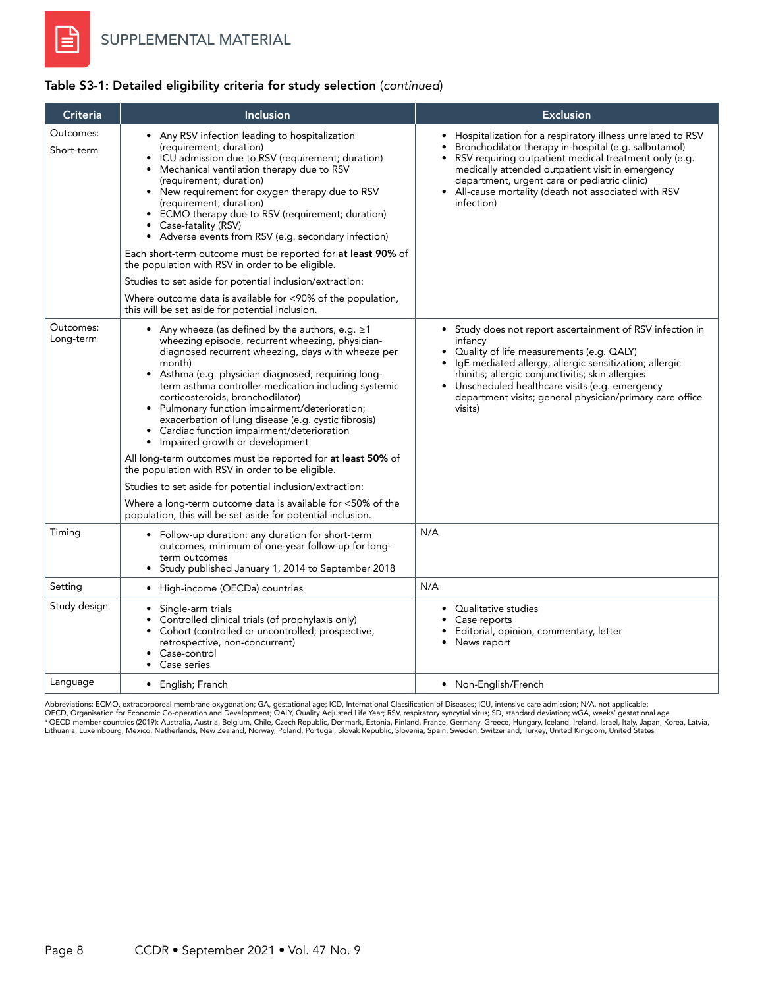### Table S3-1: Detailed eligibility criteria for study selection (*continued*)

| Criteria                | Inclusion                                                                                                                                                                                                                                                                                                                                                                                                                                                                                                                                                                                                                                                                                                                                                                                                                                                                  | <b>Exclusion</b>                                                                                                                                                                                                                                                                                                                                                     |
|-------------------------|----------------------------------------------------------------------------------------------------------------------------------------------------------------------------------------------------------------------------------------------------------------------------------------------------------------------------------------------------------------------------------------------------------------------------------------------------------------------------------------------------------------------------------------------------------------------------------------------------------------------------------------------------------------------------------------------------------------------------------------------------------------------------------------------------------------------------------------------------------------------------|----------------------------------------------------------------------------------------------------------------------------------------------------------------------------------------------------------------------------------------------------------------------------------------------------------------------------------------------------------------------|
| Outcomes:<br>Short-term | Any RSV infection leading to hospitalization<br>(requirement; duration)<br>ICU admission due to RSV (requirement; duration)<br>$\bullet$<br>Mechanical ventilation therapy due to RSV<br>$\bullet$<br>(requirement; duration)<br>New requirement for oxygen therapy due to RSV<br>$\bullet$<br>(requirement; duration)<br>ECMO therapy due to RSV (requirement; duration)<br>Case-fatality (RSV)<br>$\bullet$<br>Adverse events from RSV (e.g. secondary infection)<br>$\bullet$<br>Each short-term outcome must be reported for at least 90% of<br>the population with RSV in order to be eligible.<br>Studies to set aside for potential inclusion/extraction:<br>Where outcome data is available for <90% of the population,<br>this will be set aside for potential inclusion.                                                                                         | • Hospitalization for a respiratory illness unrelated to RSV<br>Bronchodilator therapy in-hospital (e.g. salbutamol)<br>• RSV requiring outpatient medical treatment only (e.g.<br>medically attended outpatient visit in emergency<br>department, urgent care or pediatric clinic)<br>All-cause mortality (death not associated with RSV<br>$\bullet$<br>infection) |
| Outcomes:<br>Long-term  | Any wheeze (as defined by the authors, e.g. $\geq 1$<br>wheezing episode, recurrent wheezing, physician-<br>diagnosed recurrent wheezing, days with wheeze per<br>month)<br>Asthma (e.g. physician diagnosed; requiring long-<br>$\bullet$<br>term asthma controller medication including systemic<br>corticosteroids, bronchodilator)<br>Pulmonary function impairment/deterioration;<br>$\bullet$<br>exacerbation of lung disease (e.g. cystic fibrosis)<br>Cardiac function impairment/deterioration<br>Impaired growth or development<br>$\bullet$<br>All long-term outcomes must be reported for <b>at least 50%</b> of<br>the population with RSV in order to be eligible.<br>Studies to set aside for potential inclusion/extraction:<br>Where a long-term outcome data is available for <50% of the<br>population, this will be set aside for potential inclusion. | • Study does not report ascertainment of RSV infection in<br>infancy<br>Quality of life measurements (e.g. QALY)<br>IgE mediated allergy; allergic sensitization; allergic<br>rhinitis; allergic conjunctivitis; skin allergies<br>• Unscheduled healthcare visits (e.g. emergency<br>department visits; general physician/primary care office<br>visits)            |
| Timing                  | • Follow-up duration: any duration for short-term<br>outcomes; minimum of one-year follow-up for long-<br>term outcomes<br>Study published January 1, 2014 to September 2018                                                                                                                                                                                                                                                                                                                                                                                                                                                                                                                                                                                                                                                                                               | N/A                                                                                                                                                                                                                                                                                                                                                                  |
| Setting                 | High-income (OECDa) countries<br>$\bullet$                                                                                                                                                                                                                                                                                                                                                                                                                                                                                                                                                                                                                                                                                                                                                                                                                                 | N/A                                                                                                                                                                                                                                                                                                                                                                  |
| Study design            | Single-arm trials<br>$\bullet$<br>Controlled clinical trials (of prophylaxis only)<br>Cohort (controlled or uncontrolled; prospective,<br>$\bullet$<br>retrospective, non-concurrent)<br>Case-control<br>Case series<br>$\bullet$                                                                                                                                                                                                                                                                                                                                                                                                                                                                                                                                                                                                                                          | • Qualitative studies<br>Case reports<br>Editorial, opinion, commentary, letter<br>News report                                                                                                                                                                                                                                                                       |
| Language                | • English; French                                                                                                                                                                                                                                                                                                                                                                                                                                                                                                                                                                                                                                                                                                                                                                                                                                                          | • Non-English/French                                                                                                                                                                                                                                                                                                                                                 |

Abbreviations: ECMO, extracorporeal membrane oxygenation; GA, gestational age; ICD, International Classification of Diseases; ICU, intensive care admission; N/A, not applicable;<br>OECD Organisation for Economic Co-operation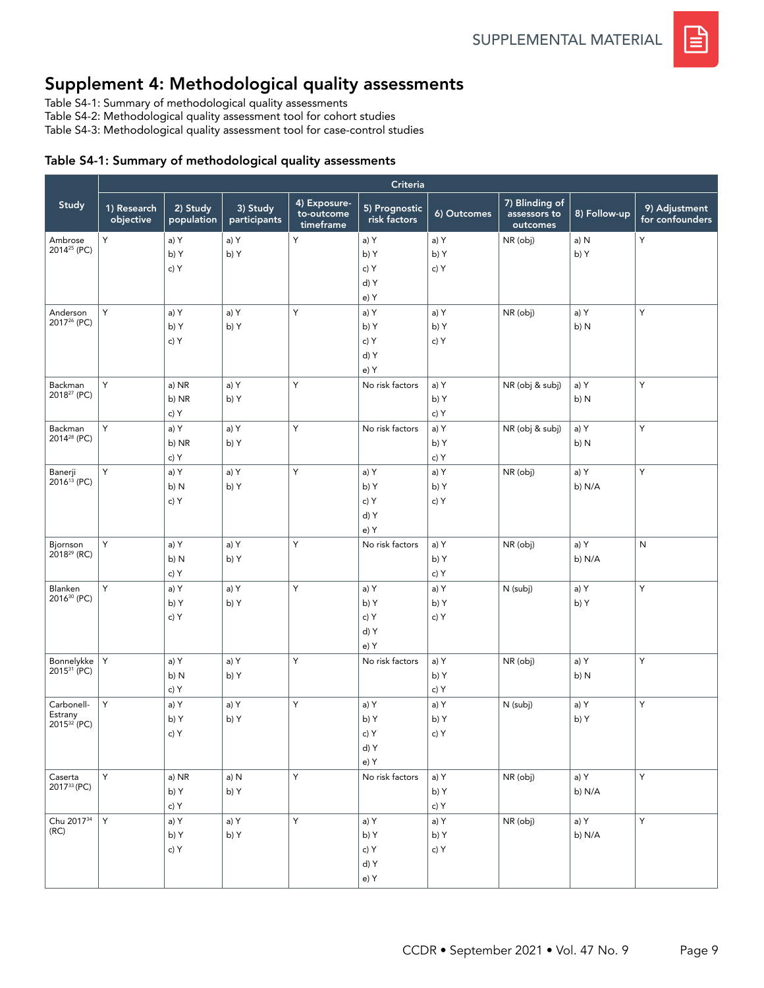# Supplement 4: Methodological quality assessments

Table S4-1: Summary of methodological quality assessments

Table S4-2: Methodological quality assessment tool for cohort studies

Table S4-3: Methodological quality assessment tool for case-control studies

#### Table S4-1: Summary of methodological quality assessments

|                                                  |                          |                        |                          | Criteria                                |                                      |                      |                                            |                |                                  |  |
|--------------------------------------------------|--------------------------|------------------------|--------------------------|-----------------------------------------|--------------------------------------|----------------------|--------------------------------------------|----------------|----------------------------------|--|
| Study                                            | 1) Research<br>objective | 2) Study<br>population | 3) Study<br>participants | 4) Exposure-<br>to-outcome<br>timeframe | 5) Prognostic<br>risk factors        | 6) Outcomes          | 7) Blinding of<br>assessors to<br>outcomes | 8) Follow-up   | 9) Adjustment<br>for confounders |  |
| Ambrose<br>2014 <sup>25</sup> (PC)               | Y                        | a) Y<br>b) Y<br>c) Y   | a) Y<br>b) Y             | Y                                       | a) Y<br>b) Y<br>c) Y<br>d) Y<br>e) Y | a) Y<br>b) Y<br>c) Y | NR (obj)                                   | a) N<br>b) Y   | Υ                                |  |
| Anderson<br>2017 <sup>26</sup> (PC)              | Y                        | a) Y<br>b) Y<br>c) Y   | a) Y<br>b) Y             | Y                                       | a) Y<br>b) Y<br>c) Y<br>d) Y<br>e) Y | a) Y<br>b) Y<br>c) Y | NR (obj)                                   | a) Y<br>b) N   | Y                                |  |
| Backman<br>2018 <sup>27</sup> (PC)               | Y                        | a) NR<br>b) NR<br>c) Y | a) Y<br>b) Y             | Υ                                       | No risk factors                      | a) Y<br>b) Y<br>c) Y | NR (obj & subj)                            | a) Y<br>b) N   | Υ                                |  |
| Backman<br>2014 <sup>28</sup> (PC)               | Y                        | a) Y<br>b) NR<br>c) Y  | a) Y<br>b) Y             | Y                                       | No risk factors                      | a) Y<br>b) Y<br>c) Y | NR (obj & subj)                            | a) Y<br>b) N   | Υ                                |  |
| Banerji<br>2016 <sup>13</sup> (PC)               | Y                        | a) Y<br>b) N<br>c) Y   | a) Y<br>b) Y             | Υ                                       | a) Y<br>b) Y<br>c) Y<br>d) Y<br>e) Y | a) Y<br>b) Y<br>c) Y | NR (obj)                                   | a) Y<br>b) N/A | Y                                |  |
| Bjornson<br>$2018^{29}$ (RC)                     | Y                        | a) Y<br>b) N<br>c) Y   | a) Y<br>b) Y             | Y                                       | No risk factors                      | a) Y<br>b) Y<br>c) Y | NR (obj)                                   | a) Y<br>b) N/A | N                                |  |
| Blanken<br>2016 <sup>30</sup> (PC)               | Y                        | a) Y<br>b) Y<br>c) Y   | a) Y<br>b) Y             | Y                                       | a) Y<br>b) Y<br>c) Y<br>d) Y<br>e) Y | a) Y<br>b) Y<br>c) Y | N (subj)                                   | a) Y<br>b) Y   | Y                                |  |
| Bonnelykke<br>2015 <sup>31</sup> (PC)            | Y                        | a) Y<br>b) N<br>c) Y   | a) Y<br>b) Y             | Y                                       | No risk factors                      | a) Y<br>b) Y<br>c) Y | NR (obj)                                   | a) Y<br>b) N   | Y                                |  |
| Carbonell-<br>Estrany<br>2015 <sup>32</sup> (PC) | Y                        | a) Y<br>b) Y<br>c) Y   | a) Y<br>b) Y             | Υ                                       | a) Y<br>b) Y<br>c) Y<br>d) Y<br>e)Y  | a) Y<br>b) Y<br>c) Y | N (subj)                                   | a) Y<br>b) Y   | Υ                                |  |
| Caserta<br>201733 (PC)                           | Y                        | a) NR<br>b) Y<br>c) Y  | a) N<br>b) Y             | Y                                       | No risk factors                      | a) Y<br>b) Y<br>c) Y | NR (obj)                                   | a) Y<br>b) N/A | Y                                |  |
| Chu 2017 <sup>34</sup><br>(RC)                   | Y                        | a) Y<br>b) Y<br>c) Y   | a) Y<br>b) Y             | Y                                       | a) Y<br>b) Y<br>c) Y<br>d) Y<br>e) Y | a) Y<br>b) Y<br>c) Y | NR (obj)                                   | a) Y<br>b) N/A | Y                                |  |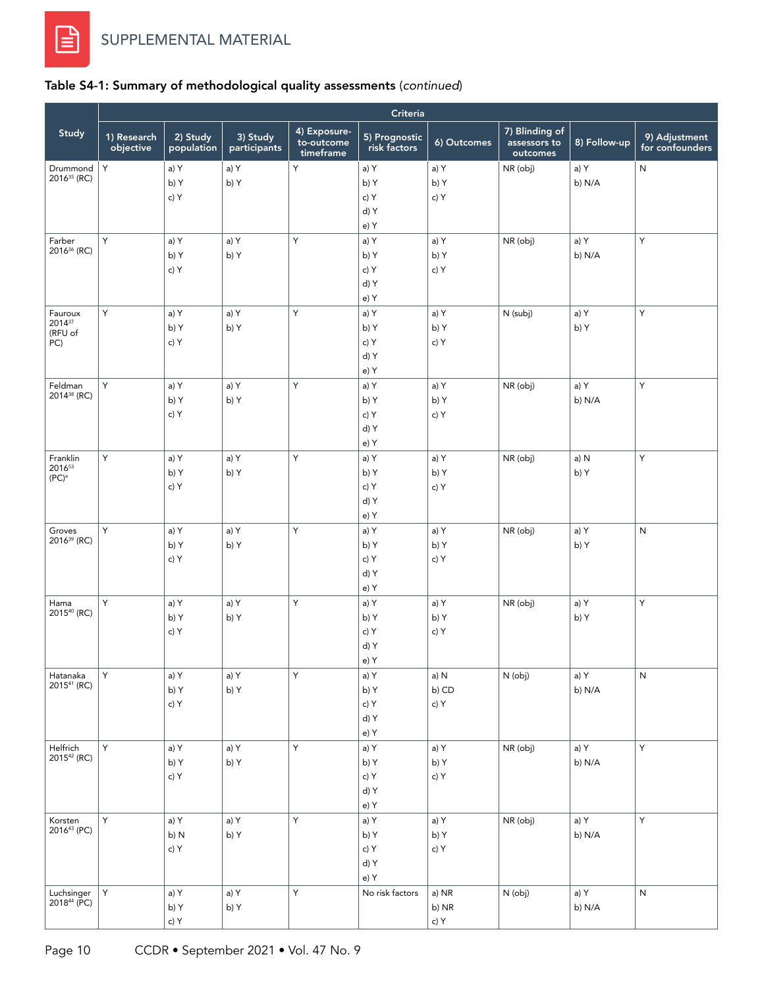## Table S4-1: Summary of methodological quality assessments (*continued*)

| Criteria                           |                          |                        |                          |                                         |                               |              |                                            |              |                                  |
|------------------------------------|--------------------------|------------------------|--------------------------|-----------------------------------------|-------------------------------|--------------|--------------------------------------------|--------------|----------------------------------|
| Study                              | 1) Research<br>objective | 2) Study<br>population | 3) Study<br>participants | 4) Exposure-<br>to-outcome<br>timeframe | 5) Prognostic<br>risk factors | 6) Outcomes  | 7) Blinding of<br>assessors to<br>outcomes | 8) Follow-up | 9) Adjustment<br>for confounders |
| Drummond                           | Y                        | a) Y                   | a) Y                     | Y                                       | a) Y                          | a) Y         | NR (obj)                                   | a) Y         | ${\sf N}$                        |
| 2016 <sup>35</sup> (RC)            |                          | b) Y                   | b) Y                     |                                         | b) Y                          | b) Y         |                                            | b) N/A       |                                  |
|                                    |                          | c) Y                   |                          |                                         | c) Y                          | c) Y         |                                            |              |                                  |
|                                    |                          |                        |                          |                                         | d) Y                          |              |                                            |              |                                  |
|                                    |                          |                        |                          |                                         | e) Y                          |              |                                            |              |                                  |
| Farber<br>2016 <sup>36</sup> (RC)  | Y                        | a) Y                   | a) Y                     | Υ                                       | a) Y                          | a) Y         | NR (obj)                                   | a) Y         | Y                                |
|                                    |                          | b) Y                   | b) Y                     |                                         | b) Y                          | b) Y         |                                            | b) N/A       |                                  |
|                                    |                          | c) Y                   |                          |                                         | c) Y                          | c) Y         |                                            |              |                                  |
|                                    |                          |                        |                          |                                         | d) Y                          |              |                                            |              |                                  |
|                                    |                          |                        |                          |                                         | e) Y                          |              |                                            |              |                                  |
| Fauroux<br>201437                  | Y                        | a) Y                   | a) Y                     | Y                                       | a) Y                          | a) Y         | N (subj)                                   | a) Y         | Υ                                |
| (RFU of                            |                          | b) Y                   | b) Y                     |                                         | b) Y                          | b) Y         |                                            | b) Y         |                                  |
| PC)                                |                          | c) Y                   |                          |                                         | c) Y                          | c) Y         |                                            |              |                                  |
|                                    |                          |                        |                          |                                         | d) Y                          |              |                                            |              |                                  |
|                                    |                          |                        |                          |                                         | e) Y                          |              |                                            |              |                                  |
| Feldman<br>2014 <sup>38</sup> (RC) | Y                        | a) Y                   | a) Y                     | Y                                       | a) Y                          | a) Y         | NR (obj)                                   | a) Y         | Υ                                |
|                                    |                          | b) Y                   | b) Y                     |                                         | b) Y                          | b) Y         |                                            | b) N/A       |                                  |
|                                    |                          | c) Y                   |                          |                                         | c) Y                          | c) Y         |                                            |              |                                  |
|                                    |                          |                        |                          |                                         | d) Y                          |              |                                            |              |                                  |
|                                    |                          |                        |                          |                                         | e) Y                          |              |                                            |              |                                  |
| Franklin<br>201653                 | Y                        | a) Y                   | a) Y                     | Υ                                       | a) Y                          | a) Y         | NR (obj)                                   | a) N         | Y                                |
| $(PC)^a$                           |                          | b) Y                   | b) Y                     |                                         | b) Y                          | b) Y         |                                            | b) Y         |                                  |
|                                    |                          | c) Y                   |                          |                                         | c) Y                          | c) Y         |                                            |              |                                  |
|                                    |                          |                        |                          |                                         | d) Y                          |              |                                            |              |                                  |
| Groves                             | Y                        | a) Y                   |                          | Y                                       | e) Y                          |              |                                            |              |                                  |
| 2016 <sup>39</sup> (RC)            |                          | b) Y                   | a) Y<br>b) Y             |                                         | a) Y<br>b) Y                  | a) Y         | NR (obj)                                   | a) Y         | ${\sf N}$                        |
|                                    |                          | c) Y                   |                          |                                         | c) Y                          | b) Y<br>c) Y |                                            | b) Y         |                                  |
|                                    |                          |                        |                          |                                         | d) Y                          |              |                                            |              |                                  |
|                                    |                          |                        |                          |                                         | e) Y                          |              |                                            |              |                                  |
| Hama                               | Υ                        | a) Y                   | a) Y                     | Y                                       | a) Y                          | a) Y         | NR (obj)                                   | a) Y         | Y                                |
| 2015 <sup>40</sup> (RC)            |                          | b) Y                   | b) Y                     |                                         | b) Y                          | b) Y         |                                            | b) Y         |                                  |
|                                    |                          | c) Y                   |                          |                                         | c) Y                          | c) Y         |                                            |              |                                  |
|                                    |                          |                        |                          |                                         | d) Y                          |              |                                            |              |                                  |
|                                    |                          |                        |                          |                                         | e) Y                          |              |                                            |              |                                  |
| Hatanaka                           | Υ                        | a) Y                   | a) Y                     | Υ                                       | a) Y                          | a) N         | N (obj)                                    | a) Y         | ${\sf N}$                        |
| 2015 <sup>41</sup> (RC)            |                          | b) Y                   | b) Y                     |                                         | b) Y                          | b) CD        |                                            | b) N/A       |                                  |
|                                    |                          | c) Y                   |                          |                                         | c) Y                          | c) Y         |                                            |              |                                  |
|                                    |                          |                        |                          |                                         | d) Y                          |              |                                            |              |                                  |
|                                    |                          |                        |                          |                                         | e) Y                          |              |                                            |              |                                  |
| Helfrich                           | Y                        | a) Y                   | a) Y                     | Y                                       | a) Y                          | a) Y         | NR (obj)                                   | a) Y         | Y                                |
| 2015 <sup>42</sup> (RC)            |                          | b) Y                   | b) Y                     |                                         | b) Y                          | b) Y         |                                            | b) N/A       |                                  |
|                                    |                          | c) Y                   |                          |                                         | c) Y                          | c) Y         |                                            |              |                                  |
|                                    |                          |                        |                          |                                         | d) Y                          |              |                                            |              |                                  |
|                                    |                          |                        |                          |                                         | e) Y                          |              |                                            |              |                                  |
| Korsten                            | Y                        | a) Y                   | a) Y                     | Ÿ                                       | a) Y                          | a) Y         | NR (obj)                                   | a) Y         | Y                                |
| 2016 <sup>43</sup> (PC)            |                          | b) N                   | b) Y                     |                                         | b) Y                          | b) Y         |                                            | b) N/A       |                                  |
|                                    |                          | c) Y                   |                          |                                         | c) Y                          | c) Y         |                                            |              |                                  |
|                                    |                          |                        |                          |                                         | d) Y                          |              |                                            |              |                                  |
|                                    |                          |                        |                          |                                         | e) Y                          |              |                                            |              |                                  |
| Luchsinger                         | $\mathsf Y$              | a) Y                   | a) Y                     | Y                                       | No risk factors               | a) NR        | N (obj)                                    | a) Y         | ${\sf N}$                        |
| 201844 (PC)                        |                          | b) Y                   | b) Y                     |                                         |                               | b) NR        |                                            | b) N/A       |                                  |
|                                    |                          | c) Y                   |                          |                                         |                               | c) Y         |                                            |              |                                  |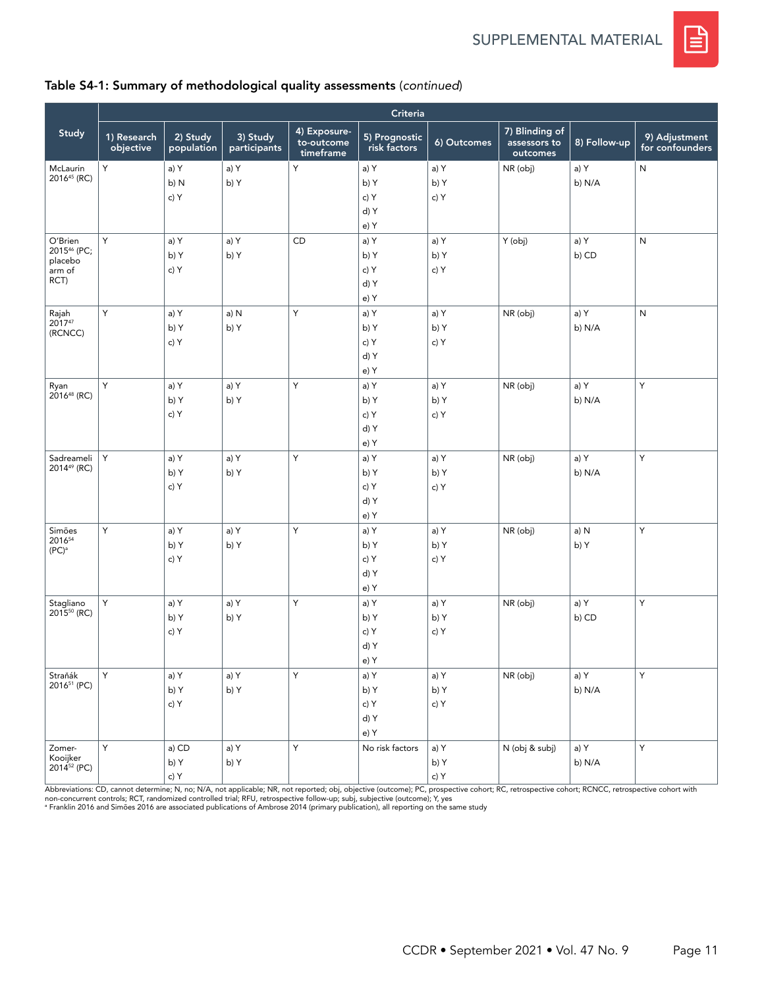

## Table S4-1: Summary of methodological quality assessments (*continued*)

|                                                                 | Criteria                 |                        |                          |                                         |                                      |                      |                                            |                |                                  |
|-----------------------------------------------------------------|--------------------------|------------------------|--------------------------|-----------------------------------------|--------------------------------------|----------------------|--------------------------------------------|----------------|----------------------------------|
| Study                                                           | 1) Research<br>objective | 2) Study<br>population | 3) Study<br>participants | 4) Exposure-<br>to-outcome<br>timeframe | 5) Prognostic<br>risk factors        | 6) Outcomes          | 7) Blinding of<br>assessors to<br>outcomes | 8) Follow-up   | 9) Adjustment<br>for confounders |
| McLaurin<br>2016 <sup>45</sup> (RC)                             | Y                        | a) Y<br>b) N<br>c) Y   | a) Y<br>b) Y             | Y                                       | a) Y<br>b) Y<br>c) Y<br>d) Y<br>e) Y | a) Y<br>b) Y<br>c) Y | NR (obj)                                   | a) Y<br>b) N/A | ${\sf N}$                        |
| O'Brien<br>2015 <sup>46</sup> (PC;<br>placebo<br>arm of<br>RCT) | Y                        | a) Y<br>b) Y<br>c) Y   | a) Y<br>b) Y             | <b>CD</b>                               | a) Y<br>b) Y<br>c) Y<br>d) Y<br>e) Y | a) Y<br>b) Y<br>c) Y | Y (obj)                                    | a) Y<br>b) CD  | N                                |
| Rajah<br>201747<br>(RCNCC)                                      | Υ                        | a) Y<br>b) Y<br>c) Y   | a) N<br>b) Y             | Y                                       | a) Y<br>b) Y<br>c) Y<br>d) Y<br>e) Y | a) Y<br>b) Y<br>c) Y | NR (obj)                                   | a) Y<br>b) N/A | N                                |
| Ryan<br>$2016^{48}$ (RC)                                        | Y                        | a) Y<br>b) Y<br>c) Y   | a) Y<br>b) Y             | Y                                       | a) Y<br>b) Y<br>c) Y<br>d) Y<br>e) Y | a) Y<br>b) Y<br>c) Y | NR (obj)                                   | a) Y<br>b) N/A | Y                                |
| Sadreameli<br>2014 <sup>49</sup> (RC)                           | Y                        | a) Y<br>b) Y<br>c) Y   | a) Y<br>b) Y             | Υ                                       | a) Y<br>b) Y<br>c) Y<br>d) Y<br>e) Y | a) Y<br>b) Y<br>c) Y | NR (obj)                                   | a) Y<br>b) N/A | Υ                                |
| Simões<br>201654<br>$(PC)^a$                                    | Y                        | a) Y<br>b) Y<br>c) Y   | a) Y<br>b) Y             | Υ                                       | a) Y<br>b) Y<br>c) Y<br>d) Y<br>e) Y | a) Y<br>b) Y<br>c) Y | NR (obj)                                   | a) N<br>b) Y   | Υ                                |
| Stagliano<br>2015 <sup>50</sup> (RC)                            | Y                        | a) Y<br>b) Y<br>c) Y   | a) Y<br>b) Y             | Y                                       | a) Y<br>b) Y<br>c) Y<br>d) Y<br>e) Y | a) Y<br>b) Y<br>c) Y | NR (obj)                                   | a) Y<br>b) CD  | Υ                                |
| Straňák<br>2016 <sup>51</sup> (PC)                              | Y                        | a) Y<br>b) Y<br>c) Y   | a) Y<br>b) Y             | Y                                       | a) Y<br>b) Y<br>c) Y<br>d) Y<br>e) Y | a) Y<br>b) Y<br>c) Y | NR (obj)                                   | a) Y<br>b) N/A | Y                                |
| Zomer-<br>Kooijker<br>2014 <sup>52</sup> (PC)                   | Y                        | a) CD<br>b) Y<br>c) Y  | a) Y<br>b) Y             | $\sf Y$                                 | No risk factors                      | a) Y<br>b) Y<br>c) Y | N (obj & subj)                             | a) Y<br>b) N/A | Y                                |

Abbreviations: CD, cannot determine; N, no; N/A, not applicable; NR, not reported; obj, objective (outcome); PC, prospective cohort; RC, retrospective cohort; RCNCC, retrospective cohort with<br>non-concurrent controls; RCT,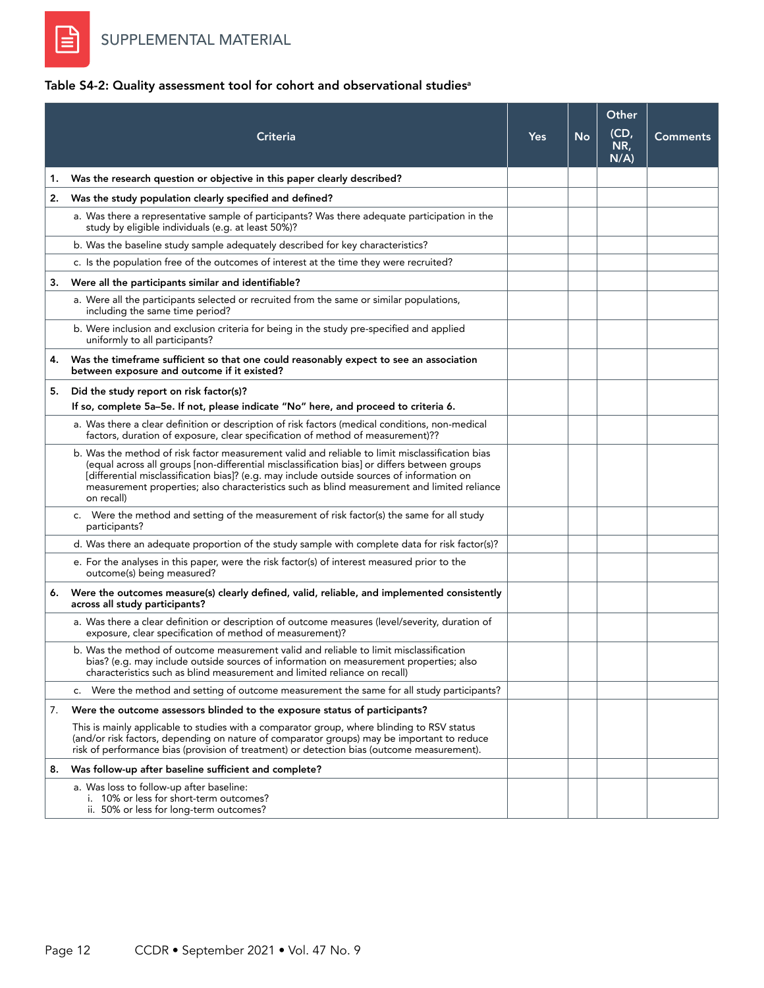E

## Table S4-2: Quality assessment tool for cohort and observational studies<sup>a</sup>

|    | Criteria                                                                                                                                                                                                                                                                                                                                                                                                   | <b>Yes</b> | No | Other<br>(CD,<br>NR,<br>N/A | <b>Comments</b> |
|----|------------------------------------------------------------------------------------------------------------------------------------------------------------------------------------------------------------------------------------------------------------------------------------------------------------------------------------------------------------------------------------------------------------|------------|----|-----------------------------|-----------------|
| 1. | Was the research question or objective in this paper clearly described?                                                                                                                                                                                                                                                                                                                                    |            |    |                             |                 |
| 2. | Was the study population clearly specified and defined?                                                                                                                                                                                                                                                                                                                                                    |            |    |                             |                 |
|    | a. Was there a representative sample of participants? Was there adequate participation in the<br>study by eligible individuals (e.g. at least 50%)?                                                                                                                                                                                                                                                        |            |    |                             |                 |
|    | b. Was the baseline study sample adequately described for key characteristics?                                                                                                                                                                                                                                                                                                                             |            |    |                             |                 |
|    | c. Is the population free of the outcomes of interest at the time they were recruited?                                                                                                                                                                                                                                                                                                                     |            |    |                             |                 |
| 3. | Were all the participants similar and identifiable?                                                                                                                                                                                                                                                                                                                                                        |            |    |                             |                 |
|    | a. Were all the participants selected or recruited from the same or similar populations,<br>including the same time period?                                                                                                                                                                                                                                                                                |            |    |                             |                 |
|    | b. Were inclusion and exclusion criteria for being in the study pre-specified and applied<br>uniformly to all participants?                                                                                                                                                                                                                                                                                |            |    |                             |                 |
| 4. | Was the timeframe sufficient so that one could reasonably expect to see an association<br>between exposure and outcome if it existed?                                                                                                                                                                                                                                                                      |            |    |                             |                 |
| 5. | Did the study report on risk factor(s)?                                                                                                                                                                                                                                                                                                                                                                    |            |    |                             |                 |
|    | If so, complete 5a-5e. If not, please indicate "No" here, and proceed to criteria 6.                                                                                                                                                                                                                                                                                                                       |            |    |                             |                 |
|    | a. Was there a clear definition or description of risk factors (medical conditions, non-medical<br>factors, duration of exposure, clear specification of method of measurement)??                                                                                                                                                                                                                          |            |    |                             |                 |
|    | b. Was the method of risk factor measurement valid and reliable to limit misclassification bias<br>(equal across all groups [non-differential misclassification bias] or differs between groups<br>[differential misclassification bias]? (e.g. may include outside sources of information on<br>measurement properties; also characteristics such as blind measurement and limited reliance<br>on recall) |            |    |                             |                 |
|    | c. Were the method and setting of the measurement of risk factor(s) the same for all study<br>participants?                                                                                                                                                                                                                                                                                                |            |    |                             |                 |
|    | d. Was there an adequate proportion of the study sample with complete data for risk factor(s)?                                                                                                                                                                                                                                                                                                             |            |    |                             |                 |
|    | e. For the analyses in this paper, were the risk factor(s) of interest measured prior to the<br>outcome(s) being measured?                                                                                                                                                                                                                                                                                 |            |    |                             |                 |
|    | 6. Were the outcomes measure(s) clearly defined, valid, reliable, and implemented consistently<br>across all study participants?                                                                                                                                                                                                                                                                           |            |    |                             |                 |
|    | a. Was there a clear definition or description of outcome measures (level/severity, duration of<br>exposure, clear specification of method of measurement)?                                                                                                                                                                                                                                                |            |    |                             |                 |
|    | b. Was the method of outcome measurement valid and reliable to limit misclassification<br>bias? (e.g. may include outside sources of information on measurement properties; also<br>characteristics such as blind measurement and limited reliance on recall)                                                                                                                                              |            |    |                             |                 |
|    | c. Were the method and setting of outcome measurement the same for all study participants?                                                                                                                                                                                                                                                                                                                 |            |    |                             |                 |
| 7. | Were the outcome assessors blinded to the exposure status of participants?                                                                                                                                                                                                                                                                                                                                 |            |    |                             |                 |
|    | This is mainly applicable to studies with a comparator group, where blinding to RSV status<br>(and/or risk factors, depending on nature of comparator groups) may be important to reduce<br>risk of performance bias (provision of treatment) or detection bias (outcome measurement).                                                                                                                     |            |    |                             |                 |
| 8. | Was follow-up after baseline sufficient and complete?                                                                                                                                                                                                                                                                                                                                                      |            |    |                             |                 |
|    | a. Was loss to follow-up after baseline:<br>i. 10% or less for short-term outcomes?<br>ii. 50% or less for long-term outcomes?                                                                                                                                                                                                                                                                             |            |    |                             |                 |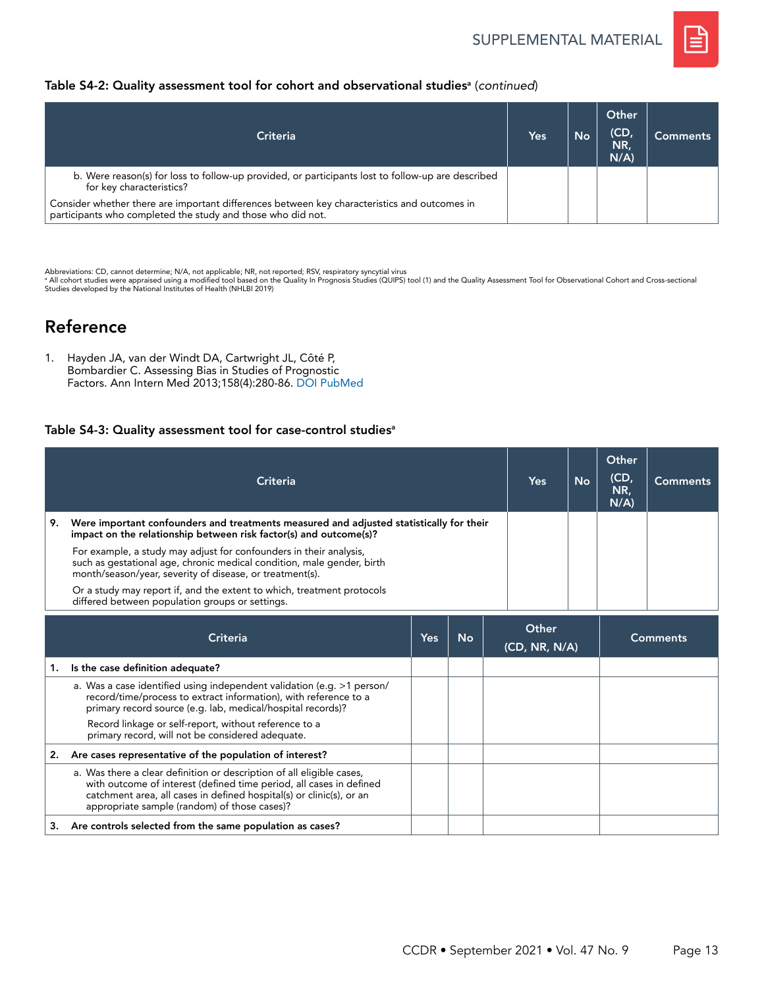

### Table S4-2: Quality assessment tool for cohort and observational studies<sup>a</sup> (continued)

| Criteria                                                                                                                                                    | Yes | <b>No</b> | Other<br>(CD)<br>NR,<br>$N/A$ ) | Comments |
|-------------------------------------------------------------------------------------------------------------------------------------------------------------|-----|-----------|---------------------------------|----------|
| b. Were reason(s) for loss to follow-up provided, or participants lost to follow-up are described<br>for key characteristics?                               |     |           |                                 |          |
| Consider whether there are important differences between key characteristics and outcomes in<br>participants who completed the study and those who did not. |     |           |                                 |          |

Abbreviations: CD, cannot determine; N/A, not applicable; NR, not reported; RSV, respiratory syncytial virus<br>\* All cohort studies were appraised using a modified tool based on the Quality In Prognosis Studies (QUIPS) tool Studies developed by the National Institutes of Health (NHLBI 2019)

# Reference

1. Hayden JA, van der Windt DA, Cartwright JL, Côté P, Bombardier C. Assessing Bias in Studies of Prognostic Factors. Ann Intern Med 2013;158(4):280-86. [DOI](https://doi.org/10.7326/0003-4819-158-4-201302190-00009) [PubMed](https://pubmed.ncbi.nlm.nih.gov/23420236/)

#### Table S4-3: Quality assessment tool for case-control studies<sup>a</sup>

|    | Criteria                                                                                                                                                                                                 | Yes | <b>No</b> | Other<br>(CD,<br>NR,<br>$N/A$ ) | Comments |
|----|----------------------------------------------------------------------------------------------------------------------------------------------------------------------------------------------------------|-----|-----------|---------------------------------|----------|
| 9. | Were important confounders and treatments measured and adjusted statistically for their<br>impact on the relationship between risk factor(s) and outcome(s)?                                             |     |           |                                 |          |
|    | For example, a study may adjust for confounders in their analysis,<br>such as gestational age, chronic medical condition, male gender, birth<br>month/season/year, severity of disease, or treatment(s). |     |           |                                 |          |
|    | Or a study may report if, and the extent to which, treatment protocols<br>differed between population groups or settings.                                                                                |     |           |                                 |          |

|    | Criteria                                                                                                                                                                                                                                                             | Yes | <b>No</b> | Other<br>(CD, NR, N/A) | <b>Comments</b> |
|----|----------------------------------------------------------------------------------------------------------------------------------------------------------------------------------------------------------------------------------------------------------------------|-----|-----------|------------------------|-----------------|
| 1. | Is the case definition adequate?                                                                                                                                                                                                                                     |     |           |                        |                 |
|    | a. Was a case identified using independent validation (e.g. >1 person/<br>record/time/process to extract information), with reference to a<br>primary record source (e.g. lab, medical/hospital records)?                                                            |     |           |                        |                 |
|    | Record linkage or self-report, without reference to a<br>primary record, will not be considered adequate.                                                                                                                                                            |     |           |                        |                 |
|    | Are cases representative of the population of interest?                                                                                                                                                                                                              |     |           |                        |                 |
|    | a. Was there a clear definition or description of all eligible cases,<br>with outcome of interest (defined time period, all cases in defined<br>catchment area, all cases in defined hospital(s) or clinic(s), or an<br>appropriate sample (random) of those cases)? |     |           |                        |                 |
| з. | Are controls selected from the same population as cases?                                                                                                                                                                                                             |     |           |                        |                 |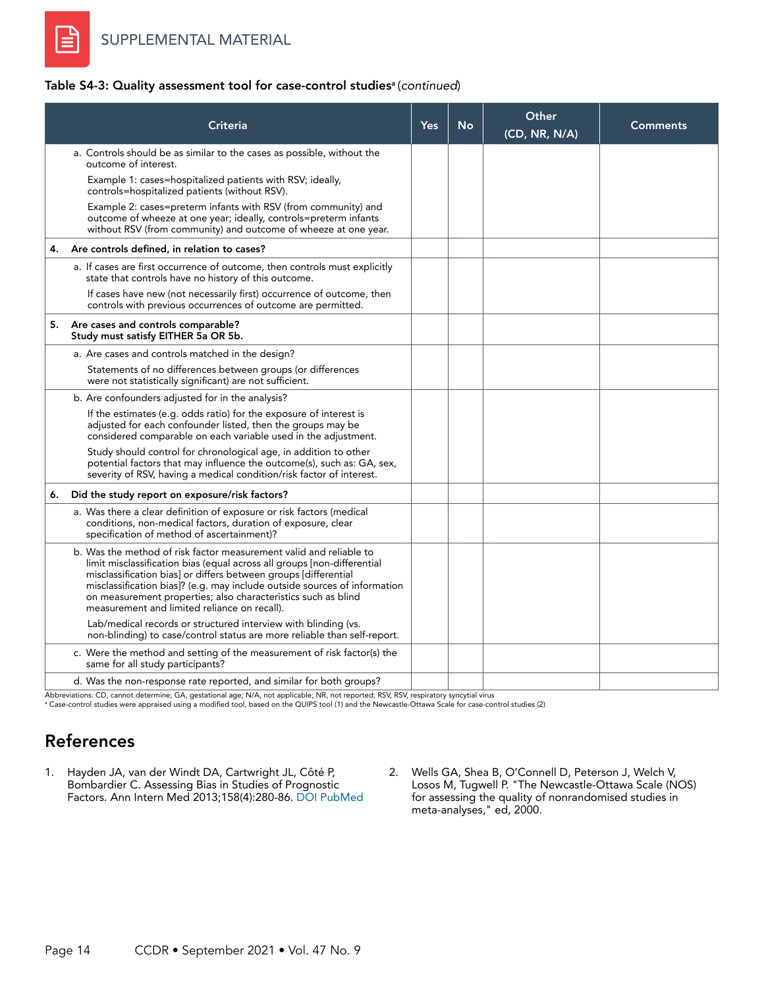

#### Table S4-3: Quality assessment tool for case-control studies<sup>a</sup> (continued)

|    | Criteria                                                                                                                                                                                                                                                                                                                                                                                                       | <b>Yes</b> | <b>No</b> | Other<br>(CD, NR, N/A) | <b>Comments</b> |
|----|----------------------------------------------------------------------------------------------------------------------------------------------------------------------------------------------------------------------------------------------------------------------------------------------------------------------------------------------------------------------------------------------------------------|------------|-----------|------------------------|-----------------|
|    | a. Controls should be as similar to the cases as possible, without the<br>outcome of interest.                                                                                                                                                                                                                                                                                                                 |            |           |                        |                 |
|    | Example 1: cases=hospitalized patients with RSV; ideally,<br>controls=hospitalized patients (without RSV).                                                                                                                                                                                                                                                                                                     |            |           |                        |                 |
|    | Example 2: cases=preterm infants with RSV (from community) and<br>outcome of wheeze at one year; ideally, controls=preterm infants<br>without RSV (from community) and outcome of wheeze at one year.                                                                                                                                                                                                          |            |           |                        |                 |
| 4. | Are controls defined, in relation to cases?                                                                                                                                                                                                                                                                                                                                                                    |            |           |                        |                 |
|    | a. If cases are first occurrence of outcome, then controls must explicitly<br>state that controls have no history of this outcome.                                                                                                                                                                                                                                                                             |            |           |                        |                 |
|    | If cases have new (not necessarily first) occurrence of outcome, then<br>controls with previous occurrences of outcome are permitted.                                                                                                                                                                                                                                                                          |            |           |                        |                 |
|    | 5. Are cases and controls comparable?<br>Study must satisfy EITHER 5a OR 5b.                                                                                                                                                                                                                                                                                                                                   |            |           |                        |                 |
|    | a. Are cases and controls matched in the design?                                                                                                                                                                                                                                                                                                                                                               |            |           |                        |                 |
|    | Statements of no differences between groups (or differences<br>were not statistically significant) are not sufficient.                                                                                                                                                                                                                                                                                         |            |           |                        |                 |
|    | b. Are confounders adjusted for in the analysis?                                                                                                                                                                                                                                                                                                                                                               |            |           |                        |                 |
|    | If the estimates (e.g. odds ratio) for the exposure of interest is<br>adjusted for each confounder listed, then the groups may be<br>considered comparable on each variable used in the adjustment.                                                                                                                                                                                                            |            |           |                        |                 |
|    | Study should control for chronological age, in addition to other<br>potential factors that may influence the outcome(s), such as: GA, sex,<br>severity of RSV, having a medical condition/risk factor of interest.                                                                                                                                                                                             |            |           |                        |                 |
| 6. | Did the study report on exposure/risk factors?                                                                                                                                                                                                                                                                                                                                                                 |            |           |                        |                 |
|    | a. Was there a clear definition of exposure or risk factors (medical<br>conditions, non-medical factors, duration of exposure, clear<br>specification of method of ascertainment)?                                                                                                                                                                                                                             |            |           |                        |                 |
|    | b. Was the method of risk factor measurement valid and reliable to<br>limit misclassification bias (equal across all groups [non-differential<br>misclassification bias] or differs between groups [differential<br>misclassification bias]? (e.g. may include outside sources of information<br>on measurement properties; also characteristics such as blind<br>measurement and limited reliance on recall). |            |           |                        |                 |
|    | Lab/medical records or structured interview with blinding (vs.<br>non-blinding) to case/control status are more reliable than self-report.                                                                                                                                                                                                                                                                     |            |           |                        |                 |
|    | c. Were the method and setting of the measurement of risk factor(s) the<br>same for all study participants?                                                                                                                                                                                                                                                                                                    |            |           |                        |                 |
|    | d. Was the non-response rate reported, and similar for both groups?                                                                                                                                                                                                                                                                                                                                            |            |           |                        |                 |

Abbreviations: CD, cannot determine; GA, gestational age; N/A, not applicable; NR, not reported; RSV, RSV, respiratory syncytial virus<br>ª Case-control studies were appraised using a modified tool, based on the QUIPS tool (1

# References

- 1. Hayden JA, van der Windt DA, Cartwright JL, Côté P, Bombardier C. Assessing Bias in Studies of Prognostic Factors. Ann Intern Med 2013;158(4):280-86. [DOI](https://doi.org/10.7326/0003-4819-158-4-201302190-00009) [PubMed](https://pubmed.ncbi.nlm.nih.gov/23420236/)
- 2. Wells GA, Shea B, O'Connell D, Peterson J, Welch V, Losos M, Tugwell P. "The Newcastle-Ottawa Scale (NOS) for assessing the quality of nonrandomised studies in meta-analyses," ed, 2000.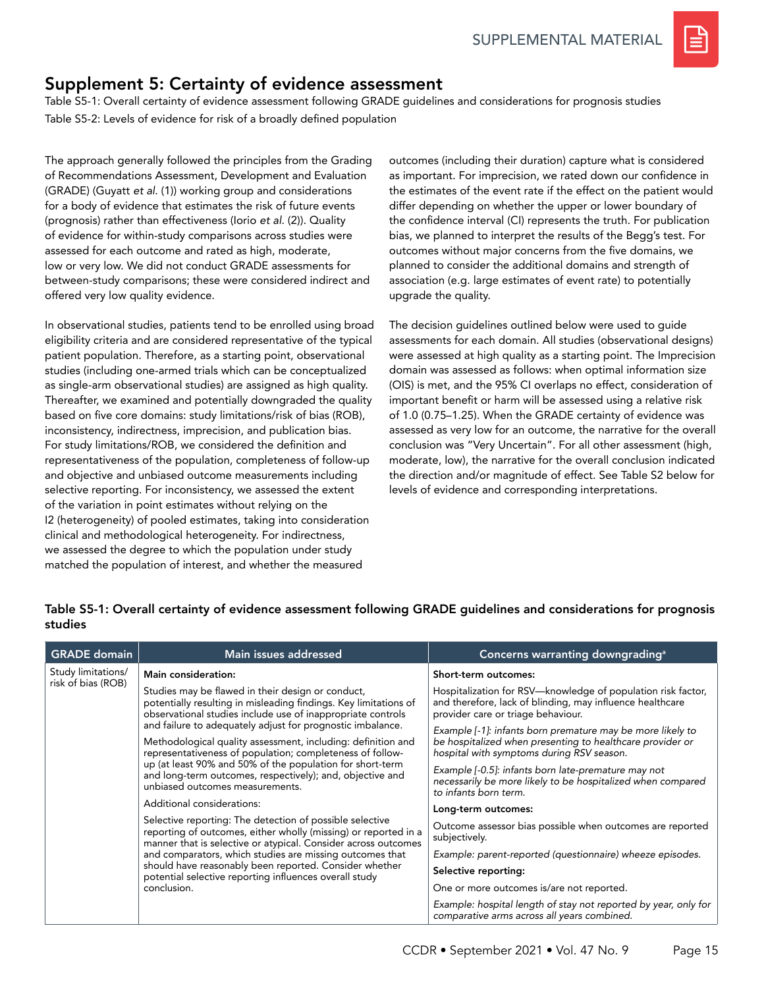

# Supplement 5: Certainty of evidence assessment

Table S5-1: Overall certainty of evidence assessment following GRADE guidelines and considerations for prognosis studies Table S5-2: Levels of evidence for risk of a broadly defined population

The approach generally followed the principles from the Grading of Recommendations Assessment, Development and Evaluation (GRADE) (Guyatt *et al.* (1)) working group and considerations for a body of evidence that estimates the risk of future events (prognosis) rather than effectiveness (Iorio *et al.* (2)). Quality of evidence for within-study comparisons across studies were assessed for each outcome and rated as high, moderate, low or very low. We did not conduct GRADE assessments for between-study comparisons; these were considered indirect and offered very low quality evidence.

In observational studies, patients tend to be enrolled using broad eligibility criteria and are considered representative of the typical patient population. Therefore, as a starting point, observational studies (including one-armed trials which can be conceptualized as single-arm observational studies) are assigned as high quality. Thereafter, we examined and potentially downgraded the quality based on five core domains: study limitations/risk of bias (ROB), inconsistency, indirectness, imprecision, and publication bias. For study limitations/ROB, we considered the definition and representativeness of the population, completeness of follow-up and objective and unbiased outcome measurements including selective reporting. For inconsistency, we assessed the extent of the variation in point estimates without relying on the I2 (heterogeneity) of pooled estimates, taking into consideration clinical and methodological heterogeneity. For indirectness, we assessed the degree to which the population under study matched the population of interest, and whether the measured

outcomes (including their duration) capture what is considered as important. For imprecision, we rated down our confidence in the estimates of the event rate if the effect on the patient would differ depending on whether the upper or lower boundary of the confidence interval (CI) represents the truth. For publication bias, we planned to interpret the results of the Begg's test. For outcomes without major concerns from the five domains, we planned to consider the additional domains and strength of association (e.g. large estimates of event rate) to potentially upgrade the quality.

The decision guidelines outlined below were used to guide assessments for each domain. All studies (observational designs) were assessed at high quality as a starting point. The Imprecision domain was assessed as follows: when optimal information size (OIS) is met, and the 95% CI overlaps no effect, consideration of important benefit or harm will be assessed using a relative risk of 1.0 (0.75–1.25). When the GRADE certainty of evidence was assessed as very low for an outcome, the narrative for the overall conclusion was "Very Uncertain". For all other assessment (high, moderate, low), the narrative for the overall conclusion indicated the direction and/or magnitude of effect. See Table S2 below for levels of evidence and corresponding interpretations.

#### Table S5-1: Overall certainty of evidence assessment following GRADE guidelines and considerations for prognosis studies

| <b>GRADE</b> domain | Main issues addressed                                                                                                                                                                         | Concerns warranting downgrading <sup>a</sup>                                                                                                                         |
|---------------------|-----------------------------------------------------------------------------------------------------------------------------------------------------------------------------------------------|----------------------------------------------------------------------------------------------------------------------------------------------------------------------|
| Study limitations/  | Main consideration:                                                                                                                                                                           | Short-term outcomes:                                                                                                                                                 |
| risk of bias (ROB)  | Studies may be flawed in their design or conduct,<br>potentially resulting in misleading findings. Key limitations of<br>observational studies include use of inappropriate controls          | Hospitalization for RSV-knowledge of population risk factor,<br>and therefore, lack of blinding, may influence healthcare<br>provider care or triage behaviour.      |
|                     | and failure to adequately adjust for prognostic imbalance.<br>Methodological quality assessment, including: definition and<br>representativeness of population; completeness of follow-       | Example [-1]: infants born premature may be more likely to<br>be hospitalized when presenting to healthcare provider or<br>hospital with symptoms during RSV season. |
|                     | up (at least 90% and 50% of the population for short-term<br>and long-term outcomes, respectively); and, objective and<br>unbiased outcomes measurements.                                     | Example [-0.5]: infants born late-premature may not<br>necessarily be more likely to be hospitalized when compared<br>to infants born term.                          |
|                     | Additional considerations:                                                                                                                                                                    | Long-term outcomes:                                                                                                                                                  |
|                     | Selective reporting: The detection of possible selective<br>reporting of outcomes, either wholly (missing) or reported in a<br>manner that is selective or atypical. Consider across outcomes | Outcome assessor bias possible when outcomes are reported<br>subjectively.                                                                                           |
|                     | and comparators, which studies are missing outcomes that                                                                                                                                      | Example: parent-reported (questionnaire) wheeze episodes.                                                                                                            |
|                     | should have reasonably been reported. Consider whether<br>potential selective reporting influences overall study                                                                              | Selective reporting:                                                                                                                                                 |
|                     | conclusion.                                                                                                                                                                                   | One or more outcomes is/are not reported.                                                                                                                            |
|                     |                                                                                                                                                                                               | Example: hospital length of stay not reported by year, only for<br>comparative arms across all years combined.                                                       |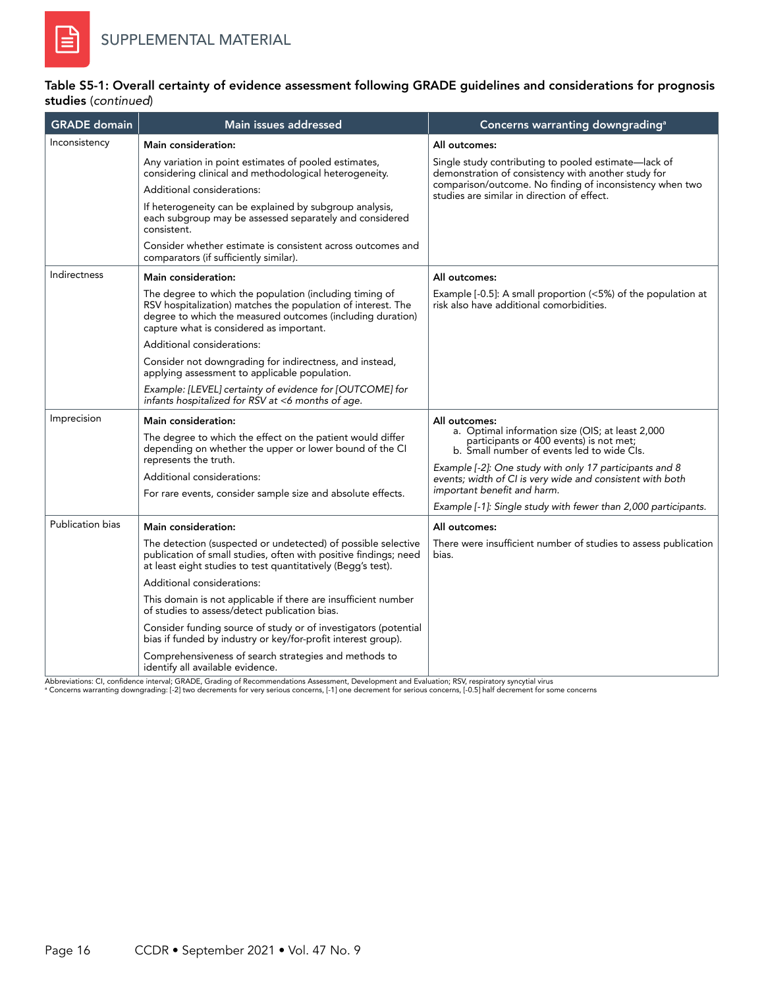### Table S5-1: Overall certainty of evidence assessment following GRADE guidelines and considerations for prognosis studies (*continued*)

| <b>GRADE</b> domain     | Main issues addressed                                                                                                                                                                                                                       | Concerns warranting downgrading <sup>a</sup>                                                                                                               |  |  |
|-------------------------|---------------------------------------------------------------------------------------------------------------------------------------------------------------------------------------------------------------------------------------------|------------------------------------------------------------------------------------------------------------------------------------------------------------|--|--|
| Inconsistency           | Main consideration:                                                                                                                                                                                                                         | All outcomes:                                                                                                                                              |  |  |
|                         | Any variation in point estimates of pooled estimates,<br>considering clinical and methodological heterogeneity.                                                                                                                             | Single study contributing to pooled estimate—lack of<br>demonstration of consistency with another study for                                                |  |  |
|                         | Additional considerations:                                                                                                                                                                                                                  | comparison/outcome. No finding of inconsistency when two<br>studies are similar in direction of effect.                                                    |  |  |
|                         | If heterogeneity can be explained by subgroup analysis,<br>each subgroup may be assessed separately and considered<br>consistent.                                                                                                           |                                                                                                                                                            |  |  |
|                         | Consider whether estimate is consistent across outcomes and<br>comparators (if sufficiently similar).                                                                                                                                       |                                                                                                                                                            |  |  |
| Indirectness            | <b>Main consideration:</b>                                                                                                                                                                                                                  | All outcomes:                                                                                                                                              |  |  |
|                         | The degree to which the population (including timing of<br>RSV hospitalization) matches the population of interest. The<br>degree to which the measured outcomes (including duration)<br>capture what is considered as important.           | Example [-0.5]: A small proportion (<5%) of the population at<br>risk also have additional comorbidities.                                                  |  |  |
|                         | Additional considerations:                                                                                                                                                                                                                  |                                                                                                                                                            |  |  |
|                         | Consider not downgrading for indirectness, and instead,<br>applying assessment to applicable population.                                                                                                                                    |                                                                                                                                                            |  |  |
|                         | Example: [LEVEL] certainty of evidence for [OUTCOME] for<br>infants hospitalized for RSV at <6 months of age.                                                                                                                               |                                                                                                                                                            |  |  |
| Imprecision             | <b>Main consideration:</b><br>The degree to which the effect on the patient would differ<br>depending on whether the upper or lower bound of the CI                                                                                         | All outcomes:<br>a. Optimal information size (OIS; at least 2,000<br>participants or 400 events) is not met;<br>b. Small number of events led to wide CIs. |  |  |
|                         | represents the truth.                                                                                                                                                                                                                       | Example [-2]: One study with only 17 participants and 8                                                                                                    |  |  |
|                         | Additional considerations:<br>For rare events, consider sample size and absolute effects.                                                                                                                                                   | events; width of CI is very wide and consistent with both<br>important benefit and harm.                                                                   |  |  |
|                         |                                                                                                                                                                                                                                             | Example [-1]: Single study with fewer than 2,000 participants.                                                                                             |  |  |
| <b>Publication bias</b> | Main consideration:                                                                                                                                                                                                                         | All outcomes:                                                                                                                                              |  |  |
|                         | The detection (suspected or undetected) of possible selective<br>publication of small studies, often with positive findings; need<br>at least eight studies to test quantitatively (Begg's test).                                           | There were insufficient number of studies to assess publication<br>bias.                                                                                   |  |  |
|                         | Additional considerations:                                                                                                                                                                                                                  |                                                                                                                                                            |  |  |
|                         | This domain is not applicable if there are insufficient number<br>of studies to assess/detect publication bias.                                                                                                                             |                                                                                                                                                            |  |  |
|                         | Consider funding source of study or of investigators (potential<br>bias if funded by industry or key/for-profit interest group).                                                                                                            |                                                                                                                                                            |  |  |
|                         | Comprehensiveness of search strategies and methods to<br>identify all available evidence.<br>broughtigger CL confidence intervals CDADE, Creding of Decembrandetions Associated Development and Evaluation: PCV requiredons availability in |                                                                                                                                                            |  |  |

Abbreviations: CI, confidence interval; GRADE, Grading of Recommendations Assessment, Development and Evaluation; RSV, respiratory syncytial virus<br>ª Concerns warranting downgrading: [-2] two decrements for very serious con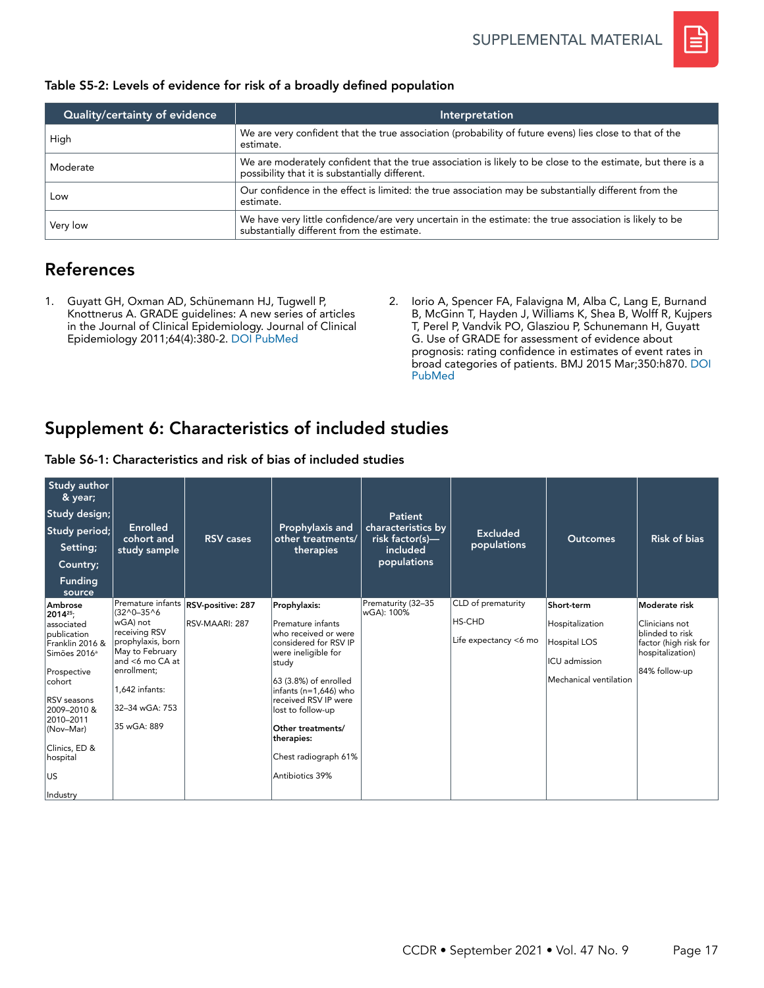

| Table S5-2: Levels of evidence for risk of a broadly defined population |  |  |  |  |  |  |
|-------------------------------------------------------------------------|--|--|--|--|--|--|
|-------------------------------------------------------------------------|--|--|--|--|--|--|

| Quality/certainty of evidence | Interpretation                                                                                                                                                 |
|-------------------------------|----------------------------------------------------------------------------------------------------------------------------------------------------------------|
| High                          | We are very confident that the true association (probability of future evens) lies close to that of the<br>estimate.                                           |
| Moderate                      | We are moderately confident that the true association is likely to be close to the estimate, but there is a<br>possibility that it is substantially different. |
| Low                           | Our confidence in the effect is limited: the true association may be substantially different from the<br>estimate.                                             |
| Very low                      | We have very little confidence/are very uncertain in the estimate: the true association is likely to be<br>substantially different from the estimate.          |

# References

- 1. Guyatt GH, Oxman AD, Schünemann HJ, Tugwell P, Knottnerus A. GRADE guidelines: A new series of articles in the Journal of Clinical Epidemiology. Journal of Clinical Epidemiology 2011;64(4):380-2. [DOI](https://doi.org/10.1016/j.jclinepi.2010.09.011) [PubMed](https://pubmed.ncbi.nlm.nih.gov/21185693/)
- 2. Iorio A, Spencer FA, Falavigna M, Alba C, Lang E, Burnand B, McGinn T, Hayden J, Williams K, Shea B, Wolff R, Kujpers T, Perel P, Vandvik PO, Glasziou P, Schunemann H, Guyatt G. Use of GRADE for assessment of evidence about prognosis: rating confidence in estimates of event rates in broad categories of patients. BMJ 2015 Mar;350:h870. [DOI](https://doi.org/10.1136/bmj.h870) PubMed

# Supplement 6: Characteristics of included studies

| Study author<br>& year;<br>Study design;<br>Study period;<br>Setting;<br>Country;<br><b>Funding</b><br>source                                                                                                                                        | Enrolled<br>cohort and<br>study sample                                                                                                                                                         | <b>RSV</b> cases                    | Prophylaxis and<br>other treatments/<br>therapies                                                                                                                                                                                                                                               | Patient<br>characteristics by<br>$risk$ factor(s)—<br>included<br>populations | <b>Excluded</b><br>populations                               | <b>Outcomes</b>                                                                                 | <b>Risk of bias</b>                                                                                              |
|------------------------------------------------------------------------------------------------------------------------------------------------------------------------------------------------------------------------------------------------------|------------------------------------------------------------------------------------------------------------------------------------------------------------------------------------------------|-------------------------------------|-------------------------------------------------------------------------------------------------------------------------------------------------------------------------------------------------------------------------------------------------------------------------------------------------|-------------------------------------------------------------------------------|--------------------------------------------------------------|-------------------------------------------------------------------------------------------------|------------------------------------------------------------------------------------------------------------------|
| Ambrose<br>2014 <sup>25</sup> :<br>associated<br>publication<br>Franklin 2016 &<br>Simões 2016 <sup>a</sup><br>Prospective<br>cohort<br><b>RSV</b> seasons<br>2009-2010 &<br>2010-2011<br>(Nov-Mar)<br>Clinics, ED &<br>hospital<br>lus.<br>Industry | Premature infants<br>$(32^0 - 35^0)$<br>wGA) not<br>receiving RSV<br>prophylaxis, born<br>May to February<br>and <6 mo CA at<br>enrollment;<br>1,642 infants:<br>32-34 wGA: 753<br>35 wGA: 889 | RSV-positive: 287<br>RSV-MAARI: 287 | Prophylaxis:<br>Premature infants<br>who received or were<br>considered for RSV IP<br>were ineligible for<br>study<br>63 (3.8%) of enrolled<br>infants (n=1,646) who<br>received RSV IP were<br>lost to follow-up<br>Other treatments/<br>therapies:<br>Chest radiograph 61%<br>Antibiotics 39% | Prematurity (32-35<br>wGA): 100%                                              | CLD of prematurity<br><b>HS-CHD</b><br>Life expectancy <6 mo | Short-term<br>Hospitalization<br><b>Hospital LOS</b><br>ICU admission<br>Mechanical ventilation | Moderate risk<br>Clinicians not<br>blinded to risk<br>factor (high risk for<br>hospitalization)<br>84% follow-up |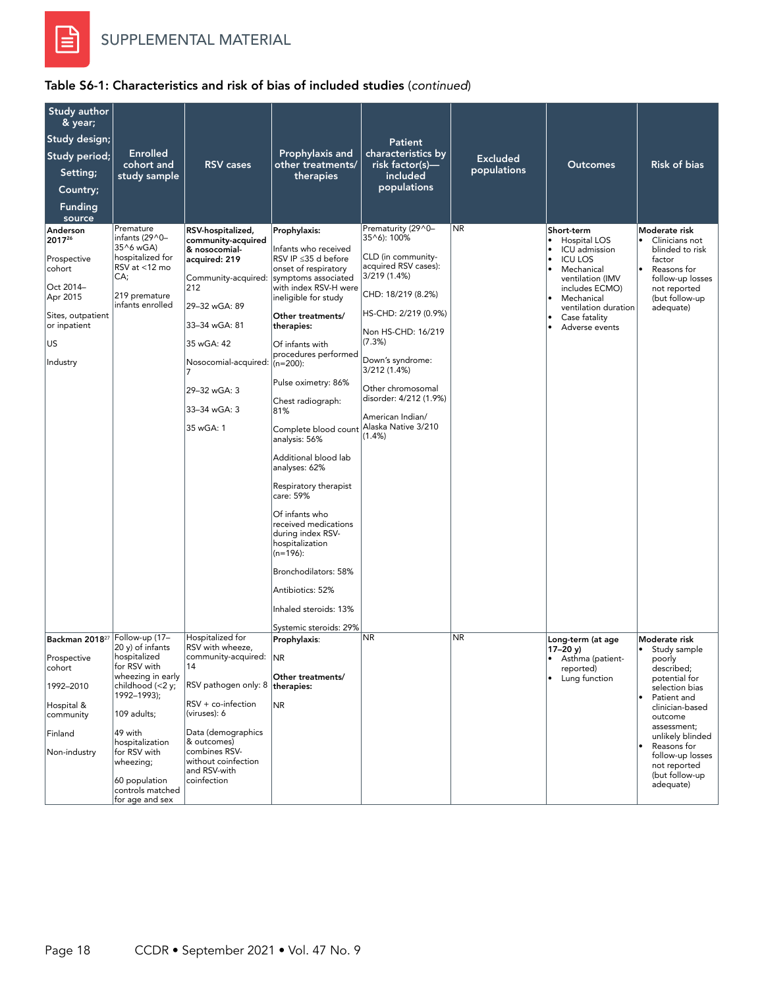

| Study author<br>& year;                                                                                                      |                                                                                                                                |                                                                                                                                                                                                                              |                                                                                                                                                                                                                                                                                                                                                                                                                                                                                                                                                                                  |                                                                                                                                                                                                                                                                                                                          |                 |                                                                                                                                                                                                         |                                                                                                                                                                             |
|------------------------------------------------------------------------------------------------------------------------------|--------------------------------------------------------------------------------------------------------------------------------|------------------------------------------------------------------------------------------------------------------------------------------------------------------------------------------------------------------------------|----------------------------------------------------------------------------------------------------------------------------------------------------------------------------------------------------------------------------------------------------------------------------------------------------------------------------------------------------------------------------------------------------------------------------------------------------------------------------------------------------------------------------------------------------------------------------------|--------------------------------------------------------------------------------------------------------------------------------------------------------------------------------------------------------------------------------------------------------------------------------------------------------------------------|-----------------|---------------------------------------------------------------------------------------------------------------------------------------------------------------------------------------------------------|-----------------------------------------------------------------------------------------------------------------------------------------------------------------------------|
| Study design;                                                                                                                |                                                                                                                                |                                                                                                                                                                                                                              |                                                                                                                                                                                                                                                                                                                                                                                                                                                                                                                                                                                  | <b>Patient</b>                                                                                                                                                                                                                                                                                                           |                 |                                                                                                                                                                                                         |                                                                                                                                                                             |
| Study period;                                                                                                                | <b>Enrolled</b><br>cohort and                                                                                                  | <b>RSV</b> cases                                                                                                                                                                                                             | Prophylaxis and<br>other treatments/                                                                                                                                                                                                                                                                                                                                                                                                                                                                                                                                             | characteristics by<br>risk factor(s)—                                                                                                                                                                                                                                                                                    | <b>Excluded</b> | <b>Outcomes</b>                                                                                                                                                                                         | <b>Risk of bias</b>                                                                                                                                                         |
| Setting;                                                                                                                     | study sample                                                                                                                   |                                                                                                                                                                                                                              | therapies                                                                                                                                                                                                                                                                                                                                                                                                                                                                                                                                                                        | included                                                                                                                                                                                                                                                                                                                 | populations     |                                                                                                                                                                                                         |                                                                                                                                                                             |
| Country;                                                                                                                     |                                                                                                                                |                                                                                                                                                                                                                              |                                                                                                                                                                                                                                                                                                                                                                                                                                                                                                                                                                                  | populations                                                                                                                                                                                                                                                                                                              |                 |                                                                                                                                                                                                         |                                                                                                                                                                             |
| <b>Funding</b><br>source                                                                                                     |                                                                                                                                |                                                                                                                                                                                                                              |                                                                                                                                                                                                                                                                                                                                                                                                                                                                                                                                                                                  |                                                                                                                                                                                                                                                                                                                          |                 |                                                                                                                                                                                                         |                                                                                                                                                                             |
| Anderson<br>201726<br>Prospective<br>cohort<br>Oct 2014-<br>Apr 2015<br>Sites, outpatient<br>or inpatient<br>US.<br>Industry | Premature<br>infants (29^0-<br>35^6 wGA)<br>hospitalized for<br>RSV at <12 mo<br>CA;<br>219 premature<br>infants enrolled      | RSV-hospitalized,<br>community-acquired<br>& nosocomial-<br>acquired: 219<br>Community-acquired:<br>212<br>29-32 wGA: 89<br>33-34 wGA: 81<br>35 wGA: 42<br>Nosocomial-acquired:<br>29-32 wGA: 3<br>33-34 wGA: 3<br>35 wGA: 1 | Prophylaxis:<br>Infants who received<br>RSV IP ≤35 d before<br>onset of respiratory<br>symptoms associated<br>with index RSV-H were<br>ineligible for study<br>Other treatments/<br>therapies:<br>Of infants with<br>procedures performed<br>$(n=200)$ :<br>Pulse oximetry: 86%<br>Chest radiograph:<br>81%<br>Complete blood count<br>analysis: 56%<br>Additional blood lab<br>analyses: 62%<br>Respiratory therapist<br>care: 59%<br>Of infants who<br>received medications<br>during index RSV-<br>hospitalization<br>$(n=196)$ :<br>Bronchodilators: 58%<br>Antibiotics: 52% | Prematurity (29^0-<br>35^6): 100%<br>CLD (in community-<br>acquired RSV cases):<br>3/219 (1.4%)<br>CHD: 18/219 (8.2%)<br>HS-CHD: 2/219 (0.9%)<br>Non HS-CHD: 16/219<br>(7.3%)<br>Down's syndrome:<br>3/212 (1.4%)<br>Other chromosomal<br>disorder: 4/212 (1.9%)<br>American Indian/<br>Alaska Native 3/210<br>$(1.4\%)$ | <b>NR</b>       | Short-term<br>Hospital LOS<br>ICU admission<br><b>ICU LOS</b><br>Mechanical<br>$\bullet$<br>ventilation (IMV<br>includes ECMO)<br>Mechanical<br>ventilation duration<br>Case fatality<br>Adverse events | Moderate risk<br>Clinicians not<br>blinded to risk<br>factor<br>Reasons for<br>$\bullet$<br>follow-up losses<br>not reported<br>(but follow-up<br>adequate)                 |
|                                                                                                                              |                                                                                                                                |                                                                                                                                                                                                                              | Inhaled steroids: 13%                                                                                                                                                                                                                                                                                                                                                                                                                                                                                                                                                            |                                                                                                                                                                                                                                                                                                                          |                 |                                                                                                                                                                                                         |                                                                                                                                                                             |
| Backman 2018 <sup>27</sup>                                                                                                   | Follow-up (17-                                                                                                                 | Hospitalized for                                                                                                                                                                                                             | Systemic steroids: 29%<br>Prophylaxis:                                                                                                                                                                                                                                                                                                                                                                                                                                                                                                                                           | NR                                                                                                                                                                                                                                                                                                                       | <b>NR</b>       | Long-term (at age                                                                                                                                                                                       | Moderate risk                                                                                                                                                               |
| Prospective<br>cohort<br>1992-2010                                                                                           | 20 y) of infants<br>hospitalized<br>for RSV with<br>wheezing in early<br>childhood (<2 y;<br>1992-1993);                       | RSV with wheeze,<br>community-acquired: NR<br>14<br>RSV pathogen only: 8   therapies:                                                                                                                                        | Other treatments/                                                                                                                                                                                                                                                                                                                                                                                                                                                                                                                                                                |                                                                                                                                                                                                                                                                                                                          |                 | $17 - 20$ y)<br>Asthma (patient-<br>reported)<br>Lung function<br>$\bullet$                                                                                                                             | Study sample<br>٠<br>poorly<br>described;<br>potential for<br>selection bias                                                                                                |
| Hospital &<br>community<br>Finland<br>Non-industry                                                                           | 109 adults;<br>49 with<br>hospitalization<br>for RSV with<br>wheezing;<br>60 population<br>controls matched<br>for age and sex | $RSV + co-infection$<br>(viruses): 6<br>Data (demographics<br>& outcomes)<br>combines RSV-<br>without coinfection<br>and RSV-with<br>coinfection                                                                             | NR                                                                                                                                                                                                                                                                                                                                                                                                                                                                                                                                                                               |                                                                                                                                                                                                                                                                                                                          |                 |                                                                                                                                                                                                         | Patient and<br>$\bullet$<br>clinician-based<br>outcome<br>assessment;<br>unlikely blinded<br>Reasons for<br>follow-up losses<br>not reported<br>(but follow-up<br>adequate) |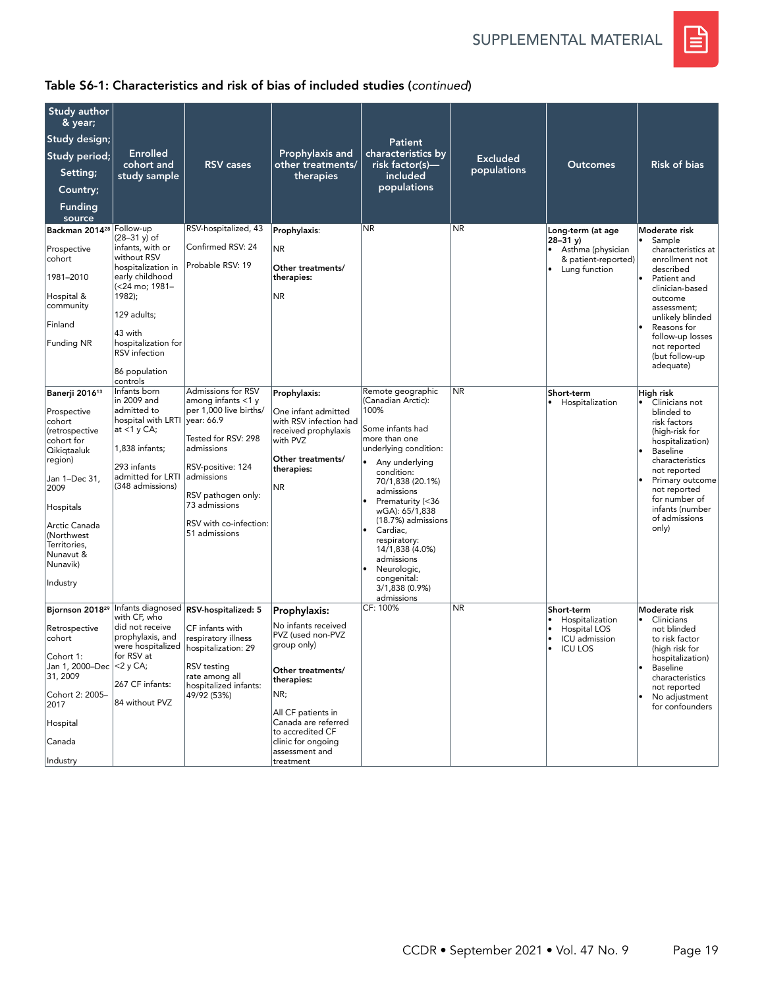SUPPLEMENTAL MATERIAL



| Study author<br>& year;<br>Study design;<br>Study period;<br>Setting;<br>Country;<br><b>Funding</b><br>source                                                                                              | <b>Enrolled</b><br>cohort and<br>study sample                                                                                                                                                                                                | <b>RSV</b> cases                                                                                                                                                                                                     | Prophylaxis and<br>other treatments/<br>therapies                                                                                                                                                                                       | <b>Patient</b><br>characteristics by<br>risk factor(s)—<br>included<br>populations                                                                                                                                                                                                                                                                | <b>Excluded</b><br>populations | <b>Outcomes</b>                                                                                              | <b>Risk of bias</b>                                                                                                                                                                                                                                               |
|------------------------------------------------------------------------------------------------------------------------------------------------------------------------------------------------------------|----------------------------------------------------------------------------------------------------------------------------------------------------------------------------------------------------------------------------------------------|----------------------------------------------------------------------------------------------------------------------------------------------------------------------------------------------------------------------|-----------------------------------------------------------------------------------------------------------------------------------------------------------------------------------------------------------------------------------------|---------------------------------------------------------------------------------------------------------------------------------------------------------------------------------------------------------------------------------------------------------------------------------------------------------------------------------------------------|--------------------------------|--------------------------------------------------------------------------------------------------------------|-------------------------------------------------------------------------------------------------------------------------------------------------------------------------------------------------------------------------------------------------------------------|
| Backman 2014 <sup>28</sup> Follow-up<br>Prospective<br>cohort<br>1981-2010<br>Hospital &<br>community<br>Finland<br><b>Funding NR</b><br>Banerji 2016 <sup>13</sup>                                        | $(28-31 y)$ of<br>infants, with or<br>without RSV<br>hospitalization in<br>early childhood<br>(<24 mo; 1981-<br>1982);<br>129 adults;<br>43 with<br>hospitalization for<br><b>RSV</b> infection<br>86 population<br>controls<br>Infants born | RSV-hospitalized, 43<br>Confirmed RSV: 24<br>Probable RSV: 19<br>Admissions for RSV                                                                                                                                  | Prophylaxis:<br><b>NR</b><br>Other treatments/<br>therapies:<br><b>NR</b>                                                                                                                                                               | <b>NR</b><br>Remote geographic                                                                                                                                                                                                                                                                                                                    | N <sub>R</sub><br><b>NR</b>    | Long-term (at age<br>$28 - 31$ y)<br>Asthma (physician<br>& patient-reported)<br>Lung function<br>Short-term | Moderate risk<br>Sample<br>l.<br>characteristics at<br>enrollment not<br>described<br>Patient and<br>clinician-based<br>outcome<br>assessment;<br>unlikely blinded<br>Reasons for<br>follow-up losses<br>not reported<br>(but follow-up<br>adequate)<br>High risk |
| Prospective<br>cohort<br>(retrospective<br>cohort for<br>Qikiqtaaluk<br>region)<br>Jan 1-Dec 31,<br>2009<br>Hospitals<br>Arctic Canada<br>(Northwest)<br>Territories,<br>Nunavut &<br>Nunavik)<br>Industry | in 2009 and<br>admitted to<br>hospital with LRTI<br>at $<1$ y CA;<br>1,838 infants;<br>293 infants<br>admitted for LRTI<br>(348 admissions)                                                                                                  | among infants <1 y<br>per 1,000 live births/<br>vear: 66.9<br>Tested for RSV: 298<br>admissions<br>RSV-positive: 124<br>admissions<br>RSV pathogen only:<br>73 admissions<br>RSV with co-infection:<br>51 admissions | Prophylaxis:<br>One infant admitted<br>with RSV infection had<br>received prophylaxis<br>with PVZ<br>Other treatments/<br>therapies:<br>NR.                                                                                             | (Canadian Arctic):<br>100%<br>Some infants had<br>more than one<br>underlying condition:<br>Any underlying<br>condition:<br>70/1,838 (20.1%)<br>admissions<br>Prematurity (<36<br>wGA): 65/1,838<br>(18.7%) admissions<br>Cardiac,<br>respiratory:<br>14/1,838 (4.0%)<br>admissions<br>Neurologic,<br>congenital:<br>3/1,838 (0.9%)<br>admissions |                                | Hospitalization                                                                                              | Clinicians not<br>$\bullet$<br>blinded to<br>risk factors<br>(high-risk for<br>hospitalization)<br>Baseline<br>characteristics<br>not reported<br>Primary outcome<br>not reported<br>for number of<br>infants (number<br>of admissions<br>only)                   |
| Bjornson 2018 <sup>29</sup><br>Retrospective<br>cohort<br>Cohort 1:<br>Jan 1, 2000-Dec <2 y CA;<br>31, 2009<br>Cohort 2: 2005-<br>2017<br>Hospital<br>Canada<br>Industry                                   | with CF, who<br>did not receive<br>prophylaxis, and<br>for RSV at<br>267 CF infants:<br>84 without PVZ                                                                                                                                       | Infants diagnosed RSV-hospitalized: 5<br>CF infants with<br>respiratory illness<br>were hospitalized   hospitalization: 29<br>RSV testing<br>rate among all<br>hospitalized infants:<br>49/92 (53%)                  | Prophylaxis:<br>No infants received<br>PVZ (used non-PVZ<br>group only)<br>Other treatments/<br>therapies:<br>NR;<br>All CF patients in<br>Canada are referred<br>to accredited CF<br>clinic for ongoing<br>assessment and<br>treatment | CF: 100%                                                                                                                                                                                                                                                                                                                                          | <b>NR</b>                      | Short-term<br>Hospitalization<br>Hospital LOS<br>ICU admission<br><b>ICU LOS</b><br>$\bullet$                | Moderate risk<br>Clinicians<br>$\bullet$<br>not blinded<br>to risk factor<br>(high risk for<br>hospitalization)<br>Baseline<br>characteristics<br>not reported<br>No adjustment<br>for confounders                                                                |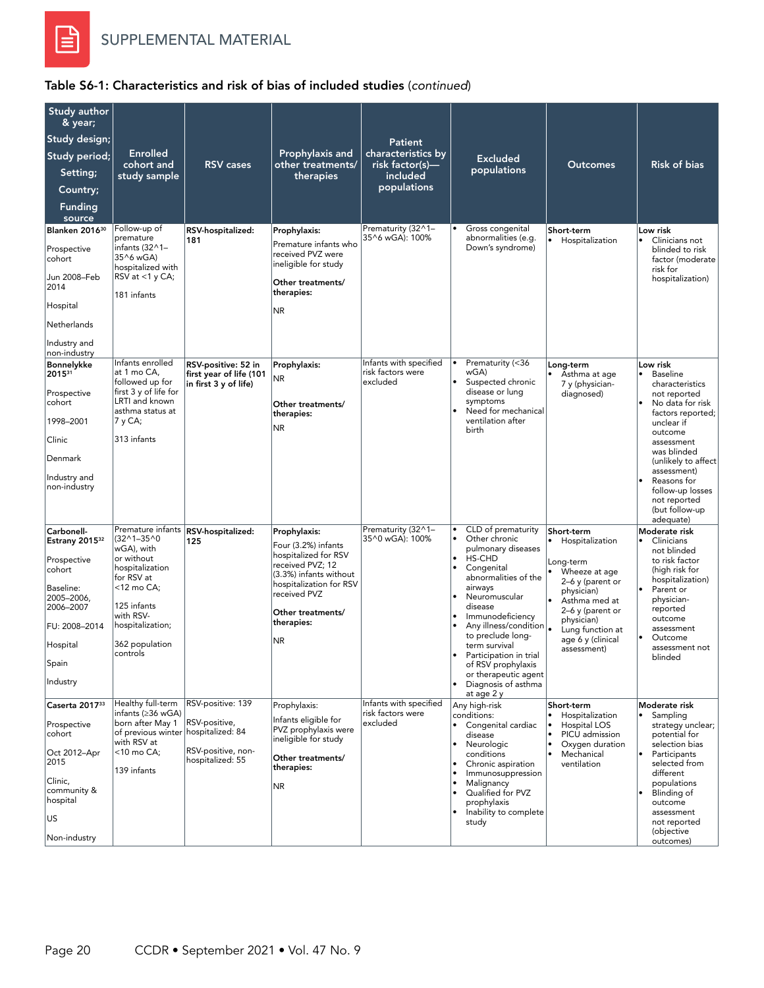

| Study author<br>& year;<br>Study design;<br>Study period;<br>Setting;<br>Country;<br><b>Funding</b><br>source<br>Blanken 2016 <sup>30</sup><br>Prospective<br>cohort<br>Jun 2008–Feb | <b>Enrolled</b><br>cohort and<br>study sample<br>Follow-up of<br>premature<br>infants $(32^{\wedge}1 -$<br>35^6 wGA)<br>hospitalized with<br>RSV at $<$ 1 y CA;                                               | <b>RSV</b> cases<br>RSV-hospitalized:<br>181                                 | Prophylaxis and<br>other treatments/<br>therapies<br>Prophylaxis:<br>Premature infants who<br>received PVZ were<br>ineligible for study<br>Other treatments/                                   | Patient<br>characteristics by<br>risk factor(s)—<br>included<br>populations<br>Prematurity (32^1-<br>35^6 wGA): 100% | <b>Excluded</b><br>populations<br>Gross congenital<br>abnormalities (e.g.<br>Down's syndrome)                                                                                                                                                                                                                                                                                                                        | <b>Outcomes</b><br>Short-term<br>$\bullet$<br>Hospitalization                                                                                                                                                                          | <b>Risk of bias</b><br>Low risk<br>Clinicians not<br>٠<br>blinded to risk<br>factor (moderate<br>risk for<br>hospitalization)                                                                                                                                                         |
|--------------------------------------------------------------------------------------------------------------------------------------------------------------------------------------|---------------------------------------------------------------------------------------------------------------------------------------------------------------------------------------------------------------|------------------------------------------------------------------------------|------------------------------------------------------------------------------------------------------------------------------------------------------------------------------------------------|----------------------------------------------------------------------------------------------------------------------|----------------------------------------------------------------------------------------------------------------------------------------------------------------------------------------------------------------------------------------------------------------------------------------------------------------------------------------------------------------------------------------------------------------------|----------------------------------------------------------------------------------------------------------------------------------------------------------------------------------------------------------------------------------------|---------------------------------------------------------------------------------------------------------------------------------------------------------------------------------------------------------------------------------------------------------------------------------------|
| 2014<br>Hospital<br>Netherlands<br>Industry and<br>non-industry                                                                                                                      | 181 infants                                                                                                                                                                                                   |                                                                              | therapies:<br>NR.                                                                                                                                                                              |                                                                                                                      |                                                                                                                                                                                                                                                                                                                                                                                                                      |                                                                                                                                                                                                                                        |                                                                                                                                                                                                                                                                                       |
| <b>Bonnelykke</b><br>201531<br>Prospective<br>cohort<br>1998-2001<br>Clinic<br>Denmark<br>Industry and<br>non-industry                                                               | Infants enrolled<br>at 1 mo CA,<br>followed up for<br>first 3 y of life for<br>LRTI and known<br>asthma status at<br>7 y CA;<br>313 infants                                                                   | RSV-positive: 52 in<br>first year of life (101<br>in first 3 y of life)      | Prophylaxis:<br><b>NR</b><br>Other treatments/<br>therapies:<br>NR.                                                                                                                            | Infants with specified<br>risk factors were<br>excluded                                                              | Prematurity (<36<br>wGA)<br>Suspected chronic<br>disease or lung<br>symptoms<br>Need for mechanical<br>ventilation after<br>birth                                                                                                                                                                                                                                                                                    | Long-term<br>Asthma at age<br>7 y (physician-<br>diagnosed)                                                                                                                                                                            | Low risk<br><b>Baseline</b><br>characteristics<br>not reported<br>No data for risk<br>factors reported;<br>unclear if<br>outcome<br>assessment<br>was blinded<br>(unlikely to affect<br>assessment)<br>Reasons for<br>follow-up losses<br>not reported<br>(but follow-up<br>adequate) |
| Carbonell-<br>Estrany 2015 <sup>32</sup><br>Prospective<br>cohort<br>Baseline:<br>2005-2006,<br>2006-2007<br>FU: 2008-2014<br>Hospital<br>Spain<br>Industry                          | Premature infants<br>$(32^{\wedge}1 - 35^{\wedge}0)$<br>wGA), with<br>or without<br>hospitalization<br>for RSV at<br><12 mo CA;<br>125 infants<br>with RSV-<br>hospitalization;<br>362 population<br>controls | RSV-hospitalized:<br>125                                                     | Prophylaxis:<br>Four (3.2%) infants<br>hospitalized for RSV<br>received PVZ; 12<br>(3.3%) infants without<br>hospitalization for RSV<br>received PVZ<br>Other treatments/<br>therapies:<br>NR. | Prematurity (32^1-<br>35^0 wGA): 100%                                                                                | CLD of prematurity<br>Other chronic<br>pulmonary diseases<br>$\bullet$<br>HS-CHD<br>$\bullet$<br>Congenital<br>abnormalities of the<br>airways<br>Neuromuscular<br>disease<br>Immunodeficiency<br>$\bullet$<br>Any illness/condition  .<br>to preclude long-<br>term survival<br>Participation in trial<br>$\bullet$<br>of RSV prophylaxis<br>or therapeutic agent<br>Diagnosis of asthma<br>$\bullet$<br>at age 2 y | Short-term<br>• Hospitalization<br>Long-term<br>Wheeze at age<br>$\bullet$<br>$2-6$ y (parent or<br>physician)<br>$\bullet$<br>Asthma med at<br>2-6 y (parent or<br>physician)<br>Lung function at<br>age 6 y (clinical<br>assessment) | Moderate risk<br>Clinicians<br>$\bullet$<br>not blinded<br>to risk factor<br>(high risk for<br>hospitalization)<br>Parent or<br>physician-<br>reported<br>outcome<br>assessment<br>Outcome<br>assessment not<br>blinded                                                               |
| Caserta 201733<br>Prospective<br>cohort<br>Oct 2012-Apr<br>2015<br>Clinic,<br>community &<br>hospital<br>US<br>Non-industry                                                          | Healthy full-term<br>infants (≥36 wGA)<br>born after May 1<br>of previous winter hospitalized: 84<br>with RSV at<br><10 mo CA;<br>139 infants                                                                 | RSV-positive: 139<br>RSV-positive,<br>RSV-positive, non-<br>hospitalized: 55 | Prophylaxis:<br>Infants eligible for<br>PVZ prophylaxis were<br>ineligible for study<br>Other treatments/<br>therapies:<br><b>NR</b>                                                           | Infants with specified<br>risk factors were<br>excluded                                                              | Any high-risk<br>conditions:<br>Congenital cardiac<br>disease<br>Neurologic<br>conditions<br>Chronic aspiration<br>Immunosuppression<br>$\bullet$<br>Malignancy<br>Qualified for PVZ<br>prophylaxis<br>Inability to complete<br>study                                                                                                                                                                                | Short-term<br>Hospitalization<br>$\bullet$<br>Hospital LOS<br>PICU admission<br>$\bullet$<br>Oxygen duration<br>$\bullet$<br>Mechanical<br>ventilation                                                                                 | Moderate risk<br>Sampling<br>strategy unclear;<br>potential for<br>selection bias<br>$\bullet$<br>Participants<br>selected from<br>different<br>populations<br>Blinding of<br>outcome<br>assessment<br>not reported<br>(objective<br>outcomes)                                        |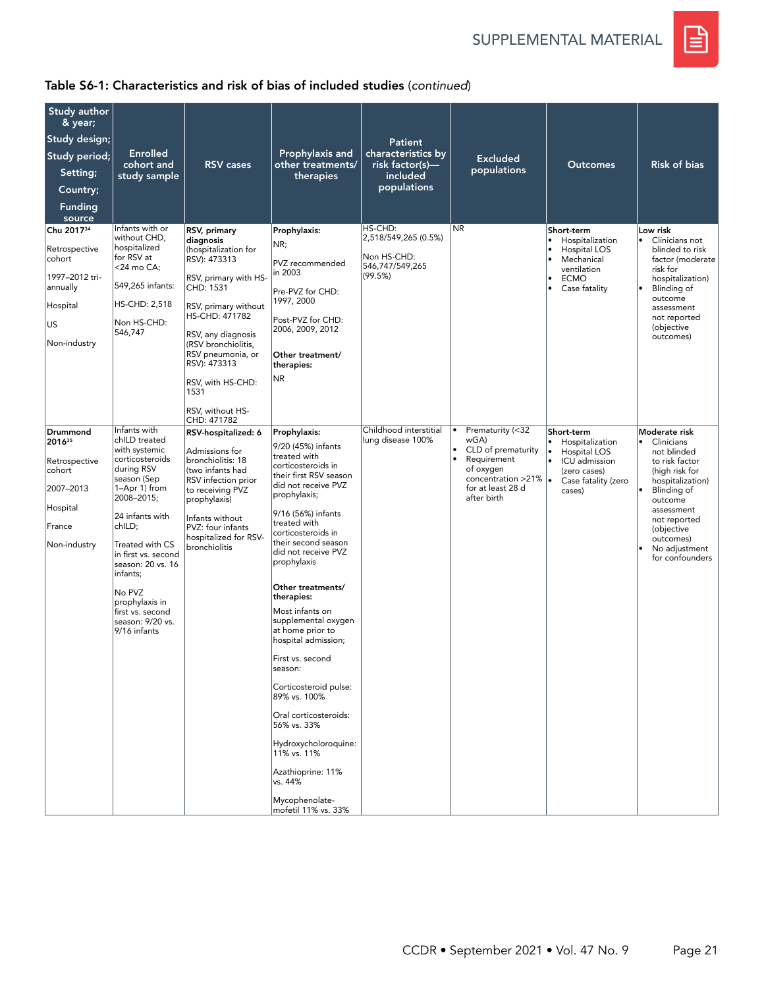SUPPLEMENTAL MATERIAL



| Study author<br>& year;<br>Study design;<br>Study period;<br>Setting;<br>Country;<br><b>Funding</b><br>source<br>Chu 201734<br>Retrospective<br>cohort<br>1997-2012 tri-<br>annually<br>Hospital<br>US<br>Non-industry | <b>Enrolled</b><br>cohort and<br>study sample<br>Infants with or<br>without CHD,<br>hospitalized<br>for RSV at<br><24 mo CA;<br>549,265 infants:<br><b>HS-CHD: 2,518</b><br>Non HS-CHD:<br>546,747                                                                                                                        | <b>RSV</b> cases<br>RSV, primary<br>diagnosis<br>(hospitalization for<br>RSV): 473313<br>RSV, primary with HS-<br>CHD: 1531<br>RSV, primary without<br><b>HS-CHD: 471782</b><br>RSV, any diagnosis<br>(RSV bronchiolitis,<br>RSV pneumonia, or<br>RSV): 473313<br>RSV, with HS-CHD:<br>1531 | Prophylaxis and<br>other treatments/<br>therapies<br>Prophylaxis:<br>NR;<br>PVZ recommended<br>in 2003<br>Pre-PVZ for CHD:<br>1997, 2000<br>Post-PVZ for CHD:<br>2006, 2009, 2012<br>Other treatment/<br>therapies:<br>NR.                                                                                                                                                                                                                                                                                                                                                                                                 | <b>Patient</b><br>characteristics by<br>risk factor(s)-<br>included<br>populations<br>HS-CHD:<br>2,518/549,265 (0.5%)<br>Non HS-CHD:<br>546,747/549,265<br>(99.5%) | <b>Excluded</b><br>populations<br>N <sub>R</sub>                                                                                                     | <b>Outcomes</b><br>Short-term<br>Hospitalization<br>Hospital LOS<br>Mechanical<br>ventilation<br><b>ECMO</b><br>$\bullet$<br>Case fatality | <b>Risk of bias</b><br>Low risk<br>Clinicians not<br>$\bullet$<br>blinded to risk<br>factor (moderate<br>risk for<br>hospitalization)<br>Blinding of<br>outcome<br>assessment<br>not reported<br>(objective<br>outcomes)            |
|------------------------------------------------------------------------------------------------------------------------------------------------------------------------------------------------------------------------|---------------------------------------------------------------------------------------------------------------------------------------------------------------------------------------------------------------------------------------------------------------------------------------------------------------------------|---------------------------------------------------------------------------------------------------------------------------------------------------------------------------------------------------------------------------------------------------------------------------------------------|----------------------------------------------------------------------------------------------------------------------------------------------------------------------------------------------------------------------------------------------------------------------------------------------------------------------------------------------------------------------------------------------------------------------------------------------------------------------------------------------------------------------------------------------------------------------------------------------------------------------------|--------------------------------------------------------------------------------------------------------------------------------------------------------------------|------------------------------------------------------------------------------------------------------------------------------------------------------|--------------------------------------------------------------------------------------------------------------------------------------------|-------------------------------------------------------------------------------------------------------------------------------------------------------------------------------------------------------------------------------------|
| Drummond<br>201635<br>Retrospective<br>cohort<br>2007-2013<br>Hospital<br>France<br>Non-industry                                                                                                                       | Infants with<br>chILD treated<br>with systemic<br>corticosteroids<br>during RSV<br>season (Sep<br>1–Apr 1) from<br>2008-2015;<br>24 infants with<br>chILD;<br>Treated with CS<br>in first vs. second<br>season: 20 vs. 16<br>infants;<br>No PVZ<br>prophylaxis in<br>first vs. second<br>season: 9/20 vs.<br>9/16 infants | RSV, without HS-<br>CHD: 471782<br>RSV-hospitalized: 6<br>Admissions for<br>bronchiolitis: 18<br>(two infants had<br>RSV infection prior<br>to receiving PVZ<br>prophylaxis)<br>Infants without<br>PVZ: four infants<br>hospitalized for RSV-<br>bronchiolitis                              | Prophylaxis:<br>9/20 (45%) infants<br>treated with<br>corticosteroids in<br>their first RSV season<br>did not receive PVZ<br>prophylaxis;<br>9/16 (56%) infants<br>treated with<br>corticosteroids in<br>their second season<br>did not receive PVZ<br>prophylaxis<br>Other treatments/<br>therapies:<br>Most infants on<br>supplemental oxygen<br>at home prior to<br>hospital admission;<br>First vs. second<br>season:<br>Corticosteroid pulse:<br>89% vs. 100%<br>Oral corticosteroids:<br>56% vs. 33%<br>Hydroxycholoroquine:<br>11% vs. 11%<br>Azathioprine: 11%<br>vs. 44%<br>Mycophenolate-<br>mofetil 11% vs. 33% | Childhood interstitial<br>lung disease 100%                                                                                                                        | Prematurity (<32<br>wGA)<br>CLD of prematurity<br>$\bullet$<br>Requirement<br>of oxygen<br>concentration >21%  .<br>for at least 28 d<br>after birth | Short-term<br>Hospitalization<br>Hospital LOS<br>$\bullet$<br>$\bullet$<br>ICU admission<br>(zero cases)<br>Case fatality (zero<br>cases)  | Moderate risk<br>$\bullet$ Clinicians<br>not blinded<br>to risk factor<br>(high risk for<br>hospitalization)<br>Blinding of<br>outcome<br>assessment<br>not reported<br>(objective<br>outcomes)<br>No adjustment<br>for confounders |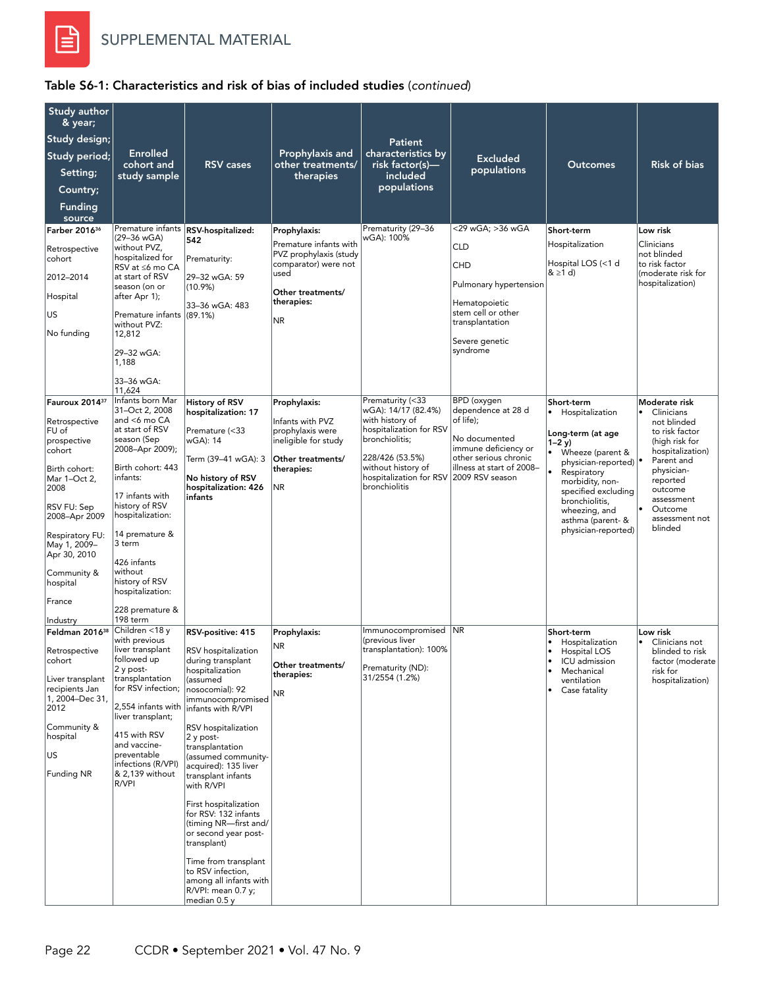

| Study author<br>& year;<br>Study design;<br>Study period;<br>Setting;<br>Country;<br><b>Funding</b><br>source                                                                                                                                              | <b>Enrolled</b><br>cohort and<br>study sample                                                                                                                                                                                                                                                                                          | <b>RSV</b> cases                                                                                                                                                                                                                                                                                                                                                                                                                                                                                                                   | Prophylaxis and<br>other treatments/<br>therapies                                                                                                | Patient<br>characteristics by<br>risk factor(s)-<br>included<br>populations                                                                                                                                  | <b>Excluded</b><br>populations                                                                                                                          | <b>Outcomes</b>                                                                                                                                                                                                                                                | <b>Risk of bias</b>                                                                                                                                                                                                      |
|------------------------------------------------------------------------------------------------------------------------------------------------------------------------------------------------------------------------------------------------------------|----------------------------------------------------------------------------------------------------------------------------------------------------------------------------------------------------------------------------------------------------------------------------------------------------------------------------------------|------------------------------------------------------------------------------------------------------------------------------------------------------------------------------------------------------------------------------------------------------------------------------------------------------------------------------------------------------------------------------------------------------------------------------------------------------------------------------------------------------------------------------------|--------------------------------------------------------------------------------------------------------------------------------------------------|--------------------------------------------------------------------------------------------------------------------------------------------------------------------------------------------------------------|---------------------------------------------------------------------------------------------------------------------------------------------------------|----------------------------------------------------------------------------------------------------------------------------------------------------------------------------------------------------------------------------------------------------------------|--------------------------------------------------------------------------------------------------------------------------------------------------------------------------------------------------------------------------|
| Farber 2016 <sup>36</sup><br>Retrospective<br>cohort<br>2012-2014<br>Hospital<br>US<br>No funding                                                                                                                                                          | Premature infants<br>(29-36 wGA)<br>without PVZ,<br>hospitalized for<br>RSV at ≤6 mo CA<br>at start of RSV<br>season (on or<br>after Apr 1);<br>Premature infants (89.1%)<br>without PVZ:<br>12,812<br>29-32 wGA:<br>1,188<br>33-36 wGA:                                                                                               | RSV-hospitalized:<br>542<br>Prematurity:<br>29-32 wGA: 59<br>$(10.9\%)$<br>33-36 wGA: 483                                                                                                                                                                                                                                                                                                                                                                                                                                          | Prophylaxis:<br>Premature infants with<br>PVZ prophylaxis (study<br>comparator) were not<br>used<br>Other treatments/<br>therapies:<br><b>NR</b> | Prematurity (29-36<br>wGA): 100%                                                                                                                                                                             | <29 wGA: >36 wGA<br><b>CLD</b><br>CHD<br>Pulmonary hypertension<br>Hematopoietic<br>stem cell or other<br>transplantation<br>Severe genetic<br>syndrome | Short-term<br>Hospitalization<br>Hospital LOS (<1 d<br>$& \geq 1$ d)                                                                                                                                                                                           | Low risk<br>Clinicians<br>not blinded<br>to risk factor<br>(moderate risk for<br>hospitalization)                                                                                                                        |
| Fauroux 2014 <sup>37</sup><br>Retrospective<br>FU of<br>prospective<br>cohort<br>Birth cohort:<br>Mar 1-Oct 2,<br>2008<br>RSV FU: Sep<br>2008-Apr 2009<br>Respiratory FU:<br>May 1, 2009-<br>Apr 30, 2010<br>Community &<br>hospital<br>France<br>Industry | 11,624<br>Infants born Mar<br>31-Oct 2, 2008<br>and <6 mo CA<br>at start of RSV<br>season (Sep<br>2008-Apr 2009);<br>Birth cohort: 443<br>infants:<br>17 infants with<br>history of RSV<br>hospitalization:<br>14 premature &<br>3 term<br>426 infants<br>without<br>history of RSV<br>hospitalization:<br>228 premature &<br>198 term | <b>History of RSV</b><br>hospitalization: 17<br>Premature (<33<br>wGA): 14<br>Term (39–41 wGA): 3<br>No history of RSV<br>hospitalization: 426<br>infants                                                                                                                                                                                                                                                                                                                                                                          | Prophylaxis:<br>Infants with PVZ<br>prophylaxis were<br>ineligible for study<br>Other treatments/<br>therapies:<br><b>NR</b>                     | Prematurity (<33<br>wGA): 14/17 (82.4%)<br>with history of<br>hospitalization for RSV<br>bronchiolitis;<br>228/426 (53.5%)<br>without history of<br>hospitalization for RSV 2009 RSV season<br>bronchiolitis | BPD (oxygen<br>dependence at 28 d<br>of life);<br>No documented<br>immune deficiency or<br>other serious chronic<br>illness at start of 2008-           | Short-term<br>Hospitalization<br>Long-term (at age<br>$1 - 2y$<br>Wheeze (parent &<br>physician-reported) <sup>•</sup><br>Respiratory<br>morbidity, non-<br>specified excluding<br>bronchiolitis,<br>wheezing, and<br>asthma (parent- &<br>physician-reported) | Moderate risk<br>Clinicians<br>$\bullet$<br>not blinded<br>to risk factor<br>(high risk for<br>hospitalization)<br>Parent and<br>physician-<br>reported<br>outcome<br>assessment<br>Outcome<br>assessment not<br>blinded |
| Feldman 2016 <sup>38</sup><br>Retrospective<br>cohort<br>Liver transplant<br>recipients Jan<br>1, 2004-Dec 31,<br>2012<br>Community &<br>hospital<br>US<br>Funding NR                                                                                      | Children <18 y<br>with previous<br>liver transplant<br>tollowed up<br>2 y post-<br>transplantation<br>for RSV infection;<br>2,554 infants with<br>liver transplant;<br>415 with RSV<br>and vaccine-<br>preventable<br>infections (R/VPI)<br>& 2,139 without<br>R/VPI                                                                   | RSV-positive: 415<br>RSV hospitalization<br>during transplant<br>hospitalization<br>(assumed<br>nosocomial): 92<br>immunocompromised<br>infants with R/VPI<br>RSV hospitalization<br>2 y post-<br>transplantation<br>(assumed community-<br>acquired): 135 liver<br>transplant infants<br>with R/VPI<br>First hospitalization<br>for RSV: 132 infants<br>(timing NR-first and/<br>or second year post-<br>transplant)<br>Time from transplant<br>to RSV infection,<br>among all infants with<br>R/VPI: mean 0.7 y;<br>median 0.5 y | Prophylaxis:<br><b>NR</b><br>Other treatments/<br>therapies:<br>NR                                                                               | Immunocompromised NR<br>(previous liver<br>transplantation): 100%<br>Prematurity (ND):<br>31/2554 (1.2%)                                                                                                     |                                                                                                                                                         | Short-term<br>Hospitalization<br>$\bullet$<br>Hospital LOS<br>$\bullet$<br>ICU admission<br>Mechanical<br>٠<br>ventilation<br>Case fatality                                                                                                                    | Low risk<br>Clinicians not<br>$\bullet$<br>blinded to risk<br>factor (moderate<br>risk for<br>hospitalization)                                                                                                           |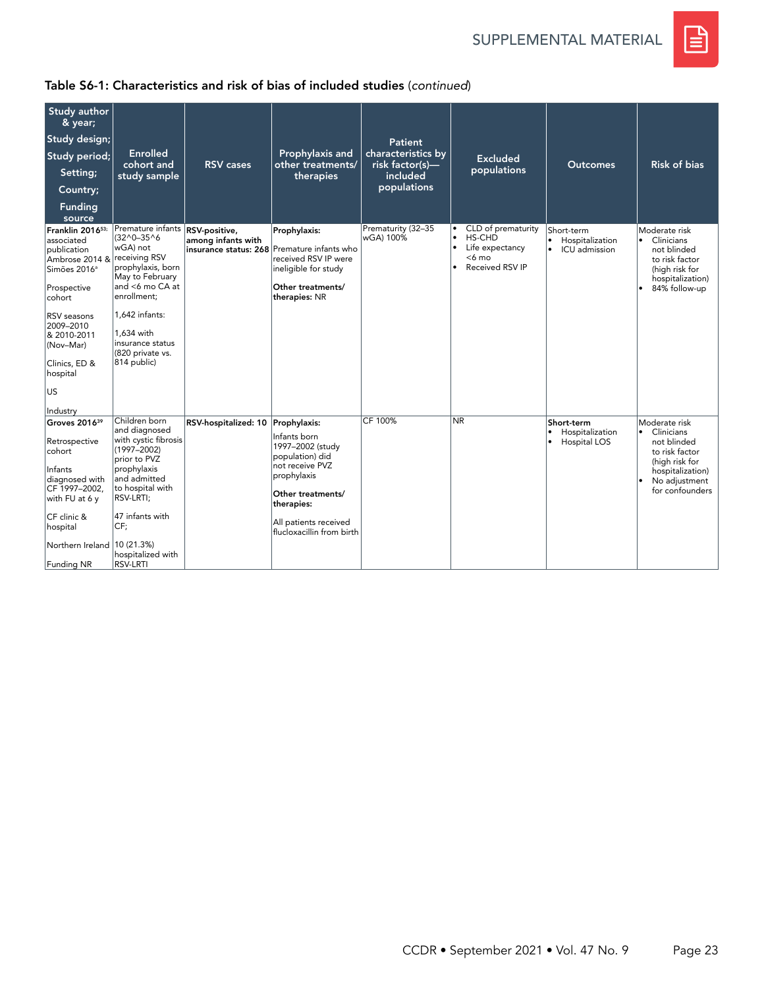SUPPLEMENTAL MATERIAL



| Study author<br>& year;                                                                                                                                                                                                              |                                                                                                                                                                                                                                   |                                             |                                                                                                                                                                                                |                                       |                                                                                                                    |                                                             |                                                                                                                                                       |
|--------------------------------------------------------------------------------------------------------------------------------------------------------------------------------------------------------------------------------------|-----------------------------------------------------------------------------------------------------------------------------------------------------------------------------------------------------------------------------------|---------------------------------------------|------------------------------------------------------------------------------------------------------------------------------------------------------------------------------------------------|---------------------------------------|--------------------------------------------------------------------------------------------------------------------|-------------------------------------------------------------|-------------------------------------------------------------------------------------------------------------------------------------------------------|
| Study design;                                                                                                                                                                                                                        |                                                                                                                                                                                                                                   |                                             |                                                                                                                                                                                                | Patient                               |                                                                                                                    |                                                             |                                                                                                                                                       |
| Study period;                                                                                                                                                                                                                        | <b>Enrolled</b><br>cohort and                                                                                                                                                                                                     | <b>RSV</b> cases                            | Prophylaxis and<br>other treatments/                                                                                                                                                           | characteristics by<br>risk factor(s)- | <b>Excluded</b>                                                                                                    | <b>Outcomes</b>                                             | <b>Risk of bias</b>                                                                                                                                   |
| Setting;                                                                                                                                                                                                                             | study sample                                                                                                                                                                                                                      |                                             | therapies                                                                                                                                                                                      | included                              | populations                                                                                                        |                                                             |                                                                                                                                                       |
| Country;                                                                                                                                                                                                                             |                                                                                                                                                                                                                                   |                                             |                                                                                                                                                                                                | populations                           |                                                                                                                    |                                                             |                                                                                                                                                       |
| <b>Funding</b><br>source                                                                                                                                                                                                             |                                                                                                                                                                                                                                   |                                             |                                                                                                                                                                                                |                                       |                                                                                                                    |                                                             |                                                                                                                                                       |
| Franklin 201653;<br>associated<br>publication<br>Ambrose 2014 & receiving RSV<br>Simões 2016 <sup>a</sup><br>Prospective<br>cohort<br>RSV seasons<br>2009-2010<br>& 2010-2011<br>(Nov-Mar)<br>Clinics, ED &<br>hospital<br><b>US</b> | Premature infants RSV-positive,<br>$(32^0 - 35^0)$<br>wGA) not<br>prophylaxis, born<br>May to February<br>and <6 mo CA at<br>enrollment;<br>$1.642$ infants:<br>1.634 with<br>insurance status<br>(820 private vs.<br>814 public) | among infants with<br>insurance status: 268 | Prophylaxis:<br>Premature infants who<br>received RSV IP were<br>ineligible for study<br>Other treatments/<br>therapies: NR                                                                    | Prematurity (32-35<br>wGA) 100%       | CLD of prematurity<br>HS-CHD<br>$\bullet$<br>$\bullet$<br>Life expectancy<br><6 mo<br>Received RSV IP<br>$\bullet$ | Short-term<br>Hospitalization<br>$\bullet$<br>ICU admission | Moderate risk<br>Clinicians<br>$\bullet$<br>not blinded<br>to risk factor<br>(high risk for<br>hospitalization)<br>84% follow-up                      |
| Industry<br>Groves 2016 <sup>39</sup><br>Retrospective<br>cohort<br>Infants<br>diagnosed with<br>CF 1997-2002,<br>with FU at 6 y<br>CF clinic &<br>hospital<br>Northern Ireland 10 (21.3%)<br><b>Funding NR</b>                      | Children born<br>and diagnosed<br>with cystic fibrosis<br>$(1997 - 2002)$<br>prior to PVZ<br>prophylaxis<br>and admitted<br>to hospital with<br>RSV-LRTI;<br>47 infants with<br>CF:<br>hospitalized with<br><b>RSV-LRTI</b>       | RSV-hospitalized: 10                        | Prophylaxis:<br>Infants born<br>1997-2002 (study<br>population) did<br>not receive PVZ<br>prophylaxis<br>Other treatments/<br>therapies:<br>All patients received<br>flucloxacillin from birth | CF 100%                               | <b>NR</b>                                                                                                          | Short-term<br>Hospitalization<br>٠<br>Hospital LOS          | Moderate risk<br>• Clinicians<br>not blinded<br>to risk factor<br>(high risk for<br>hospitalization)<br>No adjustment<br>$\bullet$<br>for confounders |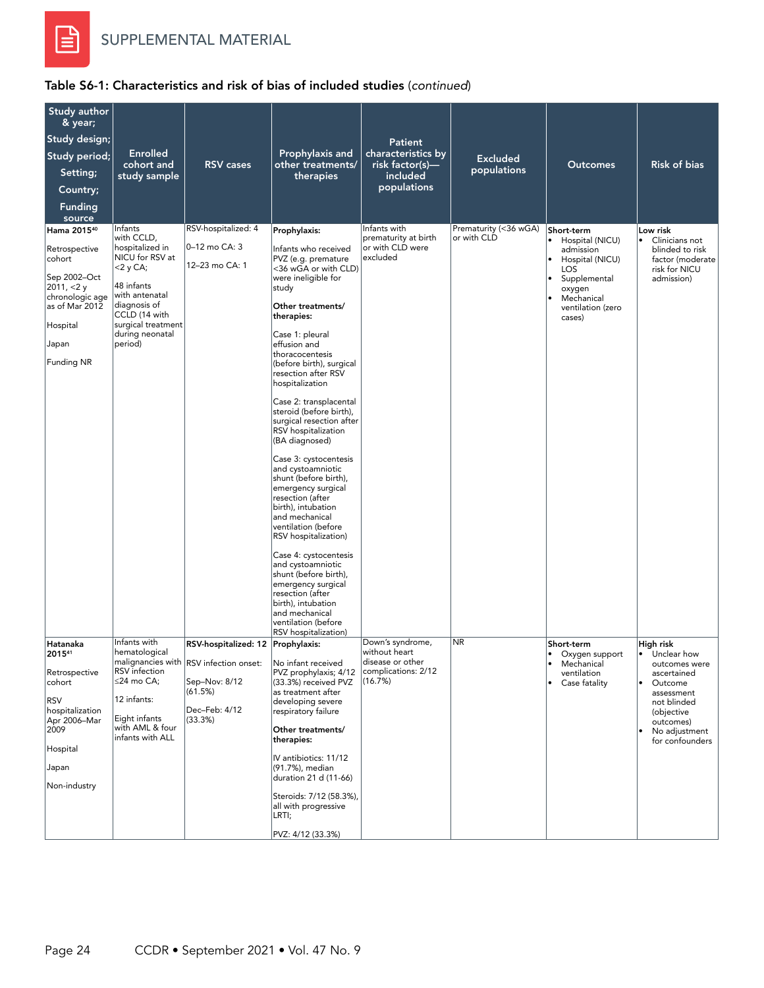

| Study author<br>& year;<br>Study design;<br>Study period;<br>Setting;<br>Country;<br><b>Funding</b><br>source                                               | <b>Enrolled</b><br>cohort and<br>study sample                                                                                                                                                | <b>RSV</b> cases                                                                                                                    | Prophylaxis and<br>other treatments/<br>therapies                                                                                                                                                                                                                                                                                                                                                                                                                                                                                                                                                                                                                                                                                                                                                                            | <b>Patient</b><br>characteristics by<br>risk factor(s)-<br>included<br>populations      | <b>Excluded</b><br>populations       | <b>Outcomes</b>                                                                                                                                                                           | <b>Risk of bias</b>                                                                                                                                                            |
|-------------------------------------------------------------------------------------------------------------------------------------------------------------|----------------------------------------------------------------------------------------------------------------------------------------------------------------------------------------------|-------------------------------------------------------------------------------------------------------------------------------------|------------------------------------------------------------------------------------------------------------------------------------------------------------------------------------------------------------------------------------------------------------------------------------------------------------------------------------------------------------------------------------------------------------------------------------------------------------------------------------------------------------------------------------------------------------------------------------------------------------------------------------------------------------------------------------------------------------------------------------------------------------------------------------------------------------------------------|-----------------------------------------------------------------------------------------|--------------------------------------|-------------------------------------------------------------------------------------------------------------------------------------------------------------------------------------------|--------------------------------------------------------------------------------------------------------------------------------------------------------------------------------|
| Hama 2015 <sup>40</sup><br>Retrospective<br>cohort<br>Sep 2002-Oct<br>2011, $<$ 2 y<br>chronologic age<br>as of Mar 2012<br>Hospital<br>Japan<br>Funding NR | Infants<br>with CCLD,<br>hospitalized in<br>NICU for RSV at<br><2 y CA;<br>48 infants<br>with antenatal<br>diagnosis of<br>CCLD (14 with<br>surgical treatment<br>during neonatal<br>period) | RSV-hospitalized: 4<br>0-12 mo CA: 3<br>12-23 mo CA: 1                                                                              | Prophylaxis:<br>Infants who received<br>PVZ (e.g. premature<br><36 wGA or with CLD)<br>were ineligible for<br>study<br>Other treatments/<br>therapies:<br>Case 1: pleural<br>effusion and<br>thoracocentesis<br>(before birth), surgical<br>resection after RSV<br>hospitalization<br>Case 2: transplacental<br>steroid (before birth).<br>surgical resection after<br>RSV hospitalization<br>(BA diagnosed)<br>Case 3: cystocentesis<br>and cystoamniotic<br>shunt (before birth),<br>emergency surgical<br>resection (after<br>birth), intubation<br>and mechanical<br>ventilation (before<br>RSV hospitalization)<br>Case 4: cystocentesis<br>and cystoamniotic<br>shunt (before birth),<br>emergency surgical<br>resection (after<br>birth), intubation<br>and mechanical<br>ventilation (before<br>RSV hospitalization) | Infants with<br>prematurity at birth<br>or with CLD were<br>excluded                    | Prematurity (<36 wGA)<br>or with CLD | Short-term<br>Hospital (NICU)<br>$\bullet$<br>admission<br>Hospital (NICU)<br>$\bullet$<br><b>LOS</b><br>Supplemental<br>$\bullet$<br>oxygen<br>Mechanical<br>ventilation (zero<br>cases) | Low risk<br>Clinicians not<br>$\bullet$<br>blinded to risk<br>factor (moderate<br>risk for NICU<br>admission)                                                                  |
| Hatanaka<br>201541<br>Retrospective<br>cohort<br><b>RSV</b><br>hospitalization<br>Apr 2006-Mar<br>2009<br>Hospital<br>Japan<br>Non-industry                 | Infants with<br>hematological<br>RSV infection<br>≤24 mo CA;<br>12 infants:<br>Eight infants<br>with AML & four<br>infants with ALL                                                          | RSV-hospitalized: 12 Prophylaxis:<br>malignancies with RSV infection onset:<br>Sep-Nov: 8/12<br>(61.5%)<br>Dec-Feb: 4/12<br>(33.3%) | No infant received<br>PVZ prophylaxis; 4/12<br>(33.3%) received PVZ<br>as treatment after<br>developing severe<br>respiratory failure<br>Other treatments/<br>therapies:<br>IV antibiotics: 11/12<br>(91.7%), median<br>duration 21 d (11-66)<br>Steroids: 7/12 (58.3%),<br>all with progressive<br>LRTI;<br>PVZ: 4/12 (33.3%)                                                                                                                                                                                                                                                                                                                                                                                                                                                                                               | Down's syndrome,<br>without heart<br>disease or other<br>complications: 2/12<br>(16.7%) | <b>NR</b>                            | Short-term<br>Oxygen support<br>$\bullet$<br>Mechanical<br>ventilation<br>Case fatality                                                                                                   | High risk<br>• Unclear how<br>outcomes were<br>ascertained<br>Outcome<br>$\bullet$<br>assessment<br>not blinded<br>(objective<br>outcomes)<br>No adjustment<br>for confounders |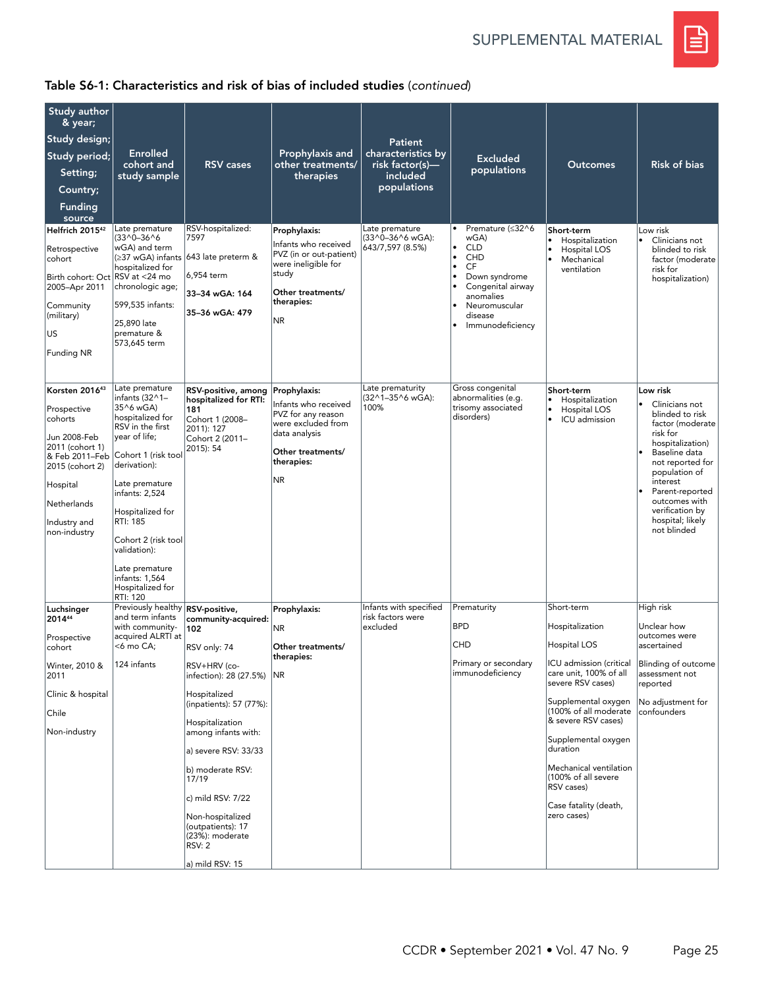SUPPLEMENTAL MATERIAL



| Study author                                                                                                                                                                |                                                                                                                                                                                                                                                                                                                  |                                                                                                                      |                                                                                                                                                   |                                                         |                                                                                                                                                                                           |                                                                                                     |                                                                                                                                                                                                                                                                            |
|-----------------------------------------------------------------------------------------------------------------------------------------------------------------------------|------------------------------------------------------------------------------------------------------------------------------------------------------------------------------------------------------------------------------------------------------------------------------------------------------------------|----------------------------------------------------------------------------------------------------------------------|---------------------------------------------------------------------------------------------------------------------------------------------------|---------------------------------------------------------|-------------------------------------------------------------------------------------------------------------------------------------------------------------------------------------------|-----------------------------------------------------------------------------------------------------|----------------------------------------------------------------------------------------------------------------------------------------------------------------------------------------------------------------------------------------------------------------------------|
| & year;                                                                                                                                                                     |                                                                                                                                                                                                                                                                                                                  |                                                                                                                      |                                                                                                                                                   |                                                         |                                                                                                                                                                                           |                                                                                                     |                                                                                                                                                                                                                                                                            |
| Study design;<br>Study period;                                                                                                                                              | <b>Enrolled</b>                                                                                                                                                                                                                                                                                                  |                                                                                                                      | Prophylaxis and                                                                                                                                   | <b>Patient</b><br>characteristics by                    |                                                                                                                                                                                           |                                                                                                     |                                                                                                                                                                                                                                                                            |
| Setting;                                                                                                                                                                    | cohort and                                                                                                                                                                                                                                                                                                       | <b>RSV</b> cases                                                                                                     | other treatments/                                                                                                                                 | risk factor(s)—                                         | <b>Excluded</b><br>populations                                                                                                                                                            | <b>Outcomes</b>                                                                                     | <b>Risk of bias</b>                                                                                                                                                                                                                                                        |
| Country;                                                                                                                                                                    | study sample                                                                                                                                                                                                                                                                                                     |                                                                                                                      | therapies                                                                                                                                         | included<br>populations                                 |                                                                                                                                                                                           |                                                                                                     |                                                                                                                                                                                                                                                                            |
| <b>Funding</b>                                                                                                                                                              |                                                                                                                                                                                                                                                                                                                  |                                                                                                                      |                                                                                                                                                   |                                                         |                                                                                                                                                                                           |                                                                                                     |                                                                                                                                                                                                                                                                            |
| source                                                                                                                                                                      |                                                                                                                                                                                                                                                                                                                  |                                                                                                                      |                                                                                                                                                   |                                                         |                                                                                                                                                                                           |                                                                                                     |                                                                                                                                                                                                                                                                            |
| Helfrich 2015 <sup>42</sup><br>Retrospective<br>cohort<br>Birth cohort: Oct RSV at <24 mo<br>2005-Apr 2011<br>Community<br>(military)<br>US                                 | Late premature<br>(33^0-36^6<br>wGA) and term<br>(≥37 wGA) infants<br>hospitalized for<br>chronologic age;<br>599,535 infants:<br>25,890 late<br>premature &<br>573,645 term                                                                                                                                     | RSV-hospitalized:<br>7597<br>643 late preterm &<br>6,954 term<br>33-34 wGA: 164<br>35-36 wGA: 479                    | Prophylaxis:<br>Infants who received<br>PVZ (in or out-patient)<br>were ineligible for<br>study<br>Other treatments/<br>therapies:<br>NR.         | Late premature<br>(33^0-36^6 wGA):<br>643/7,597 (8.5%)  | Premature (≤32^6<br>wGA)<br><b>CLD</b><br>$\bullet$<br>CHD<br>٠<br><b>CF</b><br>۱<br>Down syndrome<br>Congenital airway<br>anomalies<br>Neuromuscular<br>٠<br>disease<br>Immunodeficiency | Short-term<br>Hospitalization<br>$\bullet$<br>Hospital LOS<br>۱۰<br>۱.<br>Mechanical<br>ventilation | Low risk<br>$\bullet$<br>Clinicians not<br>blinded to risk<br>factor (moderate<br>risk for<br>hospitalization)                                                                                                                                                             |
| <b>Funding NR</b>                                                                                                                                                           |                                                                                                                                                                                                                                                                                                                  |                                                                                                                      |                                                                                                                                                   |                                                         |                                                                                                                                                                                           |                                                                                                     |                                                                                                                                                                                                                                                                            |
| Korsten 201643<br>Prospective<br>cohorts<br>Jun 2008-Feb<br>2011 (cohort 1)<br>& Feb 2011-Feb<br>2015 (cohort 2)<br>Hospital<br>Netherlands<br>Industry and<br>non-industry | Late premature<br>infants (32^1-<br>35^6 wGA)<br>hospitalized for<br>RSV in the first<br>year of life;<br>Cohort 1 (risk tool<br>derivation):<br>Late premature<br>infants: 2,524<br>Hospitalized for<br>RTI: 185<br>Cohort 2 (risk tool<br>validation):<br>Late premature<br>infants: 1,564<br>Hospitalized for | RSV-positive, among<br>hospitalized for RTI:<br>181<br>Cohort 1 (2008-<br>2011): 127<br>Cohort 2 (2011-<br>2015): 54 | Prophylaxis:<br>Infants who received<br>PVZ for any reason<br>were excluded from<br>data analysis<br>Other treatments/<br>therapies:<br><b>NR</b> | Late prematurity<br>(32^1-35^6 wGA):<br>100%            | Gross congenital<br>abnormalities (e.g.<br>trisomy associated<br>disorders)                                                                                                               | Short-term<br>Hospitalization<br>Hospital LOS<br>$\bullet$<br>$\bullet$<br>ICU admission            | Low risk<br>$\bullet$<br>Clinicians not<br>blinded to risk<br>factor (moderate<br>risk for<br>hospitalization)<br>Baseline data<br>not reported for<br>population of<br>interest<br>Parent-reported<br>outcomes with<br>verification by<br>hospital; likely<br>not blinded |
|                                                                                                                                                                             | RTI: 120                                                                                                                                                                                                                                                                                                         |                                                                                                                      |                                                                                                                                                   |                                                         |                                                                                                                                                                                           | Short-term                                                                                          |                                                                                                                                                                                                                                                                            |
| Luchsinger<br>201444                                                                                                                                                        | Previously healthy RSV-positive,<br>and term infants<br>with community-                                                                                                                                                                                                                                          | community-acquired:                                                                                                  | Prophylaxis:                                                                                                                                      | Infants with specified<br>risk factors were<br>excluded | Prematurity<br><b>BPD</b>                                                                                                                                                                 | Hospitalization                                                                                     | High risk<br>Unclear how                                                                                                                                                                                                                                                   |
| Prospective                                                                                                                                                                 | acquired ALRTI at<br><6 mo CA;                                                                                                                                                                                                                                                                                   | 102                                                                                                                  | NR.                                                                                                                                               |                                                         | <b>CHD</b>                                                                                                                                                                                | Hospital LOS                                                                                        | outcomes were<br>ascertained                                                                                                                                                                                                                                               |
| cohort<br>Winter, 2010 &<br>2011                                                                                                                                            | 124 infants                                                                                                                                                                                                                                                                                                      | RSV only: 74<br>RSV+HRV (co-<br>infection): 28 (27.5%)                                                               | Other treatments/<br>therapies:<br>NR                                                                                                             |                                                         | Primary or secondary<br>immunodeficiency                                                                                                                                                  | ICU admission (critical<br>care unit, 100% of all<br>severe RSV cases)                              | Blinding of outcome<br>assessment not<br>reported                                                                                                                                                                                                                          |
| Clinic & hospital                                                                                                                                                           |                                                                                                                                                                                                                                                                                                                  | Hospitalized<br>(inpatients): 57 (77%):                                                                              |                                                                                                                                                   |                                                         |                                                                                                                                                                                           | Supplemental oxygen                                                                                 | No adjustment for                                                                                                                                                                                                                                                          |
| Chile                                                                                                                                                                       |                                                                                                                                                                                                                                                                                                                  | Hospitalization                                                                                                      |                                                                                                                                                   |                                                         |                                                                                                                                                                                           | (100% of all moderate<br>& severe RSV cases)                                                        | confounders                                                                                                                                                                                                                                                                |
| Non-industry                                                                                                                                                                |                                                                                                                                                                                                                                                                                                                  | among infants with:                                                                                                  |                                                                                                                                                   |                                                         |                                                                                                                                                                                           | Supplemental oxygen<br>duration                                                                     |                                                                                                                                                                                                                                                                            |
|                                                                                                                                                                             |                                                                                                                                                                                                                                                                                                                  | a) severe RSV: 33/33<br>b) moderate RSV:<br>17/19                                                                    |                                                                                                                                                   |                                                         |                                                                                                                                                                                           | Mechanical ventilation<br>(100% of all severe                                                       |                                                                                                                                                                                                                                                                            |
|                                                                                                                                                                             |                                                                                                                                                                                                                                                                                                                  | c) mild RSV: 7/22                                                                                                    |                                                                                                                                                   |                                                         |                                                                                                                                                                                           | RSV cases)<br>Case fatality (death,                                                                 |                                                                                                                                                                                                                                                                            |
|                                                                                                                                                                             |                                                                                                                                                                                                                                                                                                                  | Non-hospitalized<br>(outpatients): 17<br>(23%): moderate<br><b>RSV: 2</b>                                            |                                                                                                                                                   |                                                         |                                                                                                                                                                                           | zero cases)                                                                                         |                                                                                                                                                                                                                                                                            |
|                                                                                                                                                                             |                                                                                                                                                                                                                                                                                                                  | a) mild RSV: 15                                                                                                      |                                                                                                                                                   |                                                         |                                                                                                                                                                                           |                                                                                                     |                                                                                                                                                                                                                                                                            |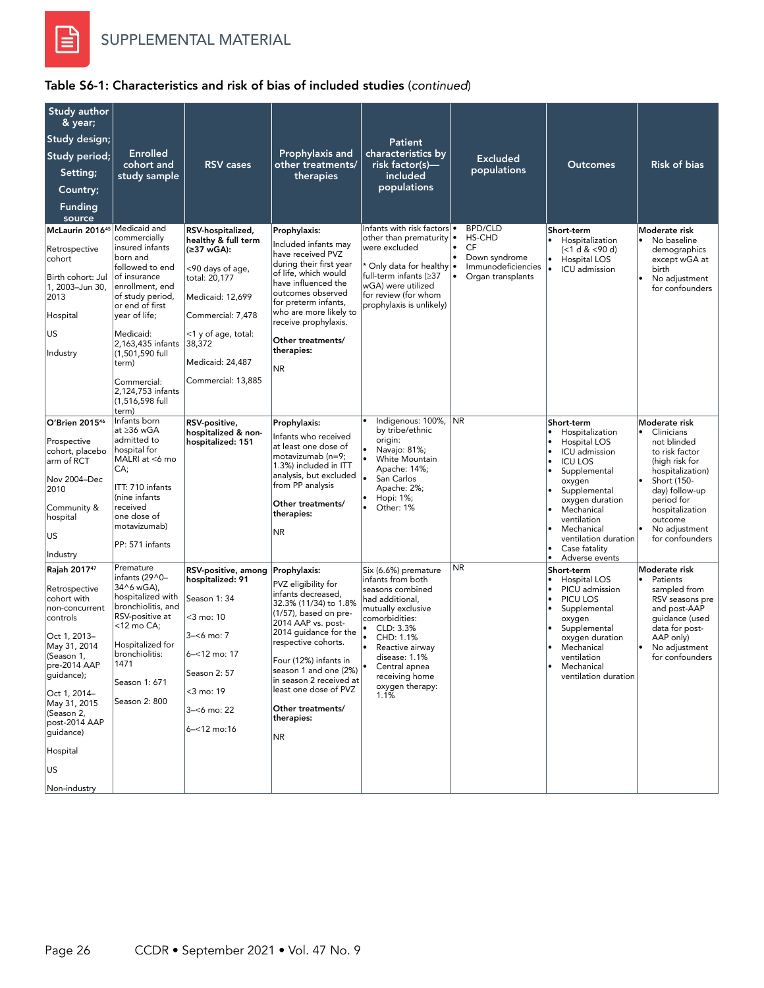

| Study author<br>& year;<br>Study design;<br>Study period;<br>Setting;<br>Country;<br><b>Funding</b><br>source<br>McLaurin 2016 <sup>45</sup> Medicaid and<br>Retrospective<br>cohort<br>Birth cohort: Jul<br>1, 2003-Jun 30,<br>2013<br>Hospital<br>US                      | <b>Enrolled</b><br>cohort and<br>study sample<br>commercially<br>insured infants<br>born and<br>followed to end<br>of insurance<br>enrollment, end<br>of study period,<br>or end of first<br>year of life;<br>Medicaid: | <b>RSV</b> cases<br>RSV-hospitalized,<br>healthy & full term<br>(≥37 wGA):<br><90 days of age,<br>total: 20,177<br>Medicaid: 12,699<br>Commercial: 7,478<br><1 y of age, total: | Prophylaxis and<br>other treatments/<br>therapies<br>Prophylaxis:<br>Included infants may<br>have received PVZ<br>during their first year<br>of life, which would<br>have influenced the<br>outcomes observed<br>for preterm infants,<br>who are more likely to<br>receive prophylaxis.                          | <b>Patient</b><br>characteristics by<br>risk factor(s)—<br>included<br>populations<br>Infants with risk factors<br>other than prematurity<br>were excluded<br>* Only data for healthy •<br>full-term infants (≥37<br>wGA) were utilized<br>for review (for whom<br>prophylaxis is unlikely) | <b>Excluded</b><br>populations<br><b>BPD/CLD</b><br>I۰<br>HS-CHD<br>CF<br>Down syndrome<br>Immunodeficiencies<br>Organ transplants | <b>Outcomes</b><br>Short-term<br>Hospitalization<br>(<1 d & <90 d)<br>$\bullet$<br>Hospital LOS<br>۱.<br>ICU admission                                                                                                                                                                                  | <b>Risk of bias</b><br>Moderate risk<br>No baseline<br>$\bullet$<br>demographics<br>except wGA at<br>birth<br>No adjustment<br>٠<br>for confounders                                                                                   |
|-----------------------------------------------------------------------------------------------------------------------------------------------------------------------------------------------------------------------------------------------------------------------------|-------------------------------------------------------------------------------------------------------------------------------------------------------------------------------------------------------------------------|---------------------------------------------------------------------------------------------------------------------------------------------------------------------------------|------------------------------------------------------------------------------------------------------------------------------------------------------------------------------------------------------------------------------------------------------------------------------------------------------------------|---------------------------------------------------------------------------------------------------------------------------------------------------------------------------------------------------------------------------------------------------------------------------------------------|------------------------------------------------------------------------------------------------------------------------------------|---------------------------------------------------------------------------------------------------------------------------------------------------------------------------------------------------------------------------------------------------------------------------------------------------------|---------------------------------------------------------------------------------------------------------------------------------------------------------------------------------------------------------------------------------------|
| Industry                                                                                                                                                                                                                                                                    | 2,163,435 infants<br>(1,501,590 full<br>term)<br>Commercial:<br>2,124,753 infants<br>(1.516.598 full<br>term)                                                                                                           | 38,372<br>Medicaid: 24,487<br>Commercial: 13,885                                                                                                                                | Other treatments/<br>therapies:<br>NR.                                                                                                                                                                                                                                                                           |                                                                                                                                                                                                                                                                                             |                                                                                                                                    |                                                                                                                                                                                                                                                                                                         |                                                                                                                                                                                                                                       |
| O'Brien 201546<br>Prospective<br>cohort, placebo<br>arm of RCT<br>Nov 2004-Dec<br>2010<br>Community &<br>hospital<br>US<br>Industry                                                                                                                                         | Infants born<br>at ≥36 wGA<br>admitted to<br>hospital for<br>MALRI at <6 mo<br>CA;<br>ITT: 710 infants<br>(nine infants<br>received<br>one dose of<br>motavizumab)<br>PP: 571 infants                                   | RSV-positive,<br>hospitalized & non-<br>hospitalized: 151                                                                                                                       | Prophylaxis:<br>Infants who received<br>at least one dose of<br>motavizumab (n=9;<br>1.3%) included in ITT<br>analysis, but excluded<br>from PP analysis<br>Other treatments/<br>therapies:<br><b>NR</b>                                                                                                         | Indigenous: 100%, NR<br>by tribe/ethnic<br>origin:<br>Navajo: 81%;<br>White Mountain<br>Apache: 14%;<br>San Carlos<br>Apache: 2%;<br>Hopi: 1%;<br>Other: 1%                                                                                                                                 |                                                                                                                                    | Short-term<br>Hospitalization<br>$\bullet$<br>Hospital LOS<br>ICU admission<br>$\bullet$<br>$\bullet$<br><b>ICU LOS</b><br>Supplemental<br>oxygen<br>Supplemental<br>oxygen duration<br>Mechanical<br>ventilation<br>Mechanical<br>ventilation duration<br>Case fatality<br>Adverse events<br>$\bullet$ | Moderate risk<br>Clinicians<br>٠<br>not blinded<br>to risk factor<br>(high risk for<br>hospitalization)<br>$\bullet$<br>Short (150-<br>day) follow-up<br>period for<br>hospitalization<br>outcome<br>No adjustment<br>for confounders |
| Rajah 201747<br>Retrospective<br>cohort with<br>non-concurrent<br>controls<br>Oct 1, 2013–<br>May 31, 2014<br>(Season 1,<br>pre-2014 AAP<br>guidance);<br>Oct 1, 2014-<br>May 31, 2015<br>(Season 2,<br>post-2014 AAP<br>guidance)<br>Hospital<br><b>US</b><br>Non-industry | Premature<br>infants (29^0-<br>34^6 wGA),<br>hospitalized with<br>bronchiolitis, and<br>RSV-positive at<br><12 mo CA;<br>Hospitalized for<br>bronchiolitis:<br>1471<br>Season 1: 671<br>Season 2: 800                   | RSV-positive, among Prophylaxis:<br>hospitalized: 91<br>Season 1:34<br><3 mo: 10<br>$3 - 6$ mo: 7<br>6-<12 mo: 17<br>Season 2: 57<br><3 mo: 19<br>3-<6 mo: 22<br>6-<12 mo:16    | PVZ eligibility for<br>infants decreased,<br>32.3% (11/34) to 1.8%<br>(1/57), based on pre-<br>2014 AAP vs. post-<br>2014 guidance for the<br>respective cohorts.<br>Four (12%) infants in<br>season 1 and one (2%)<br>in season 2 received at<br>least one dose of PVZ<br>Other treatments/<br>therapies:<br>NR | Six (6.6%) premature<br>infants from both<br>seasons combined<br>had additional,<br>mutually exclusive<br>comorbidities:<br>CLD: 3.3%<br>CHD: 1.1%<br>Reactive airway<br>disease: 1.1%<br>Central apnea<br>receiving home<br>oxygen therapy:<br>1.1%                                        | <b>NR</b>                                                                                                                          | Short-term<br>Hospital LOS<br>PICU admission<br>PICU LOS<br>Supplemental<br>$\bullet$<br>oxygen<br>Supplemental<br>oxygen duration<br>Mechanical<br>ventilation<br>Mechanical<br>ventilation duration                                                                                                   | Moderate risk<br>Patients<br>$\bullet$<br>sampled from<br>RSV seasons pre<br>and post-AAP<br>guidance (used<br>data for post-<br>AAP only)<br>No adjustment<br>for confounders                                                        |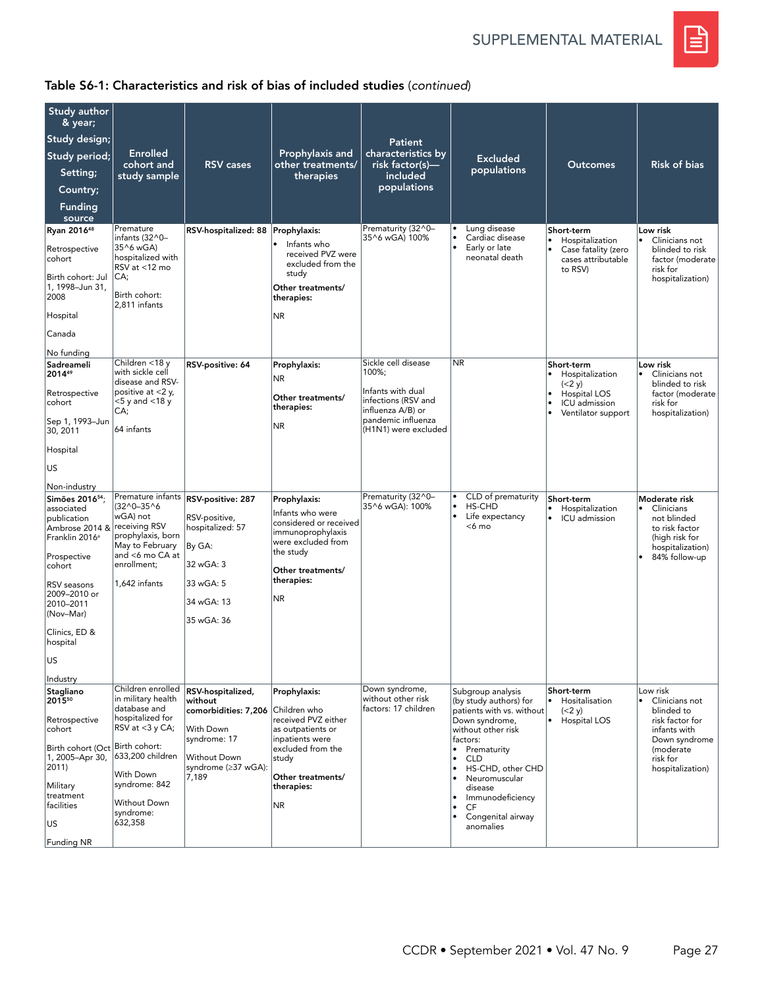SUPPLEMENTAL MATERIAL



| Study author                                       |                                                        |                                     |                                                       |                                                               |           |                                             |                                                       |                                                            |
|----------------------------------------------------|--------------------------------------------------------|-------------------------------------|-------------------------------------------------------|---------------------------------------------------------------|-----------|---------------------------------------------|-------------------------------------------------------|------------------------------------------------------------|
| & year;                                            |                                                        |                                     |                                                       |                                                               |           |                                             |                                                       |                                                            |
| Study design;                                      | <b>Enrolled</b>                                        |                                     | Prophylaxis and                                       | <b>Patient</b><br>characteristics by                          |           |                                             |                                                       |                                                            |
| Study period;                                      | cohort and                                             | <b>RSV</b> cases                    | other treatments/                                     | risk factor(s)—                                               |           | <b>Excluded</b><br>populations              | <b>Outcomes</b>                                       | <b>Risk of bias</b>                                        |
| Setting;                                           | study sample                                           |                                     | therapies                                             | included<br>populations                                       |           |                                             |                                                       |                                                            |
| Country;<br>Funding                                |                                                        |                                     |                                                       |                                                               |           |                                             |                                                       |                                                            |
| source                                             |                                                        |                                     |                                                       |                                                               |           |                                             |                                                       |                                                            |
| Ryan 2016 <sup>48</sup>                            | Premature<br>infants (32^0-                            | RSV-hospitalized: 88   Prophylaxis: |                                                       | Prematurity (32^0-<br>35^6 wGA) 100%                          |           | Lung disease<br>Cardiac disease             | Short-term<br>Hospitalization                         | Low risk<br>Clinicians not<br>$\bullet$                    |
| Retrospective<br>cohort                            | 35^6 wGA)<br>hospitalized with<br>RSV at <12 mo        |                                     | Infants who<br>received PVZ were<br>excluded from the |                                                               |           | Early or late<br>neonatal death             | Case fatality (zero<br>cases attributable             | blinded to risk<br>factor (moderate                        |
| Birth cohort: Jul<br>1, 1998-Jun 31,<br>2008       | CA;<br>Birth cohort:                                   |                                     | study<br>Other treatments/<br>therapies:              |                                                               |           |                                             | to RSV)                                               | risk for<br>hospitalization)                               |
| Hospital                                           | 2,811 infants                                          |                                     | NR.                                                   |                                                               |           |                                             |                                                       |                                                            |
| Canada                                             |                                                        |                                     |                                                       |                                                               |           |                                             |                                                       |                                                            |
| No funding                                         |                                                        |                                     |                                                       |                                                               |           |                                             |                                                       |                                                            |
| Sadreameli<br>201449                               | Children <18 y<br>with sickle cell<br>disease and RSV- | RSV-positive: 64                    | Prophylaxis:<br>NR.                                   | Sickle cell disease<br>100%;                                  | <b>NR</b> |                                             | Short-term<br>Hospitalization<br>$\bullet$<br>(< 2 y) | Low risk<br>Clinicians not<br>$\bullet$<br>blinded to risk |
| Retrospective<br>cohort                            | positive at $<$ 2 y,<br><5 y and <18 y<br>CA;          |                                     | Other treatments/<br>therapies:                       | Infants with dual<br>infections (RSV and<br>influenza A/B) or |           |                                             | Hospital LOS<br>ICU admission<br>Ventilator support   | factor (moderate<br>risk for<br>hospitalization)           |
| Sep 1, 1993-Jun<br>30, 2011                        | 64 infants                                             |                                     | NR.                                                   | pandemic influenza<br>(H1N1) were excluded                    |           |                                             |                                                       |                                                            |
| Hospital                                           |                                                        |                                     |                                                       |                                                               |           |                                             |                                                       |                                                            |
| <b>US</b>                                          |                                                        |                                     |                                                       |                                                               |           |                                             |                                                       |                                                            |
| Non-industry                                       |                                                        |                                     |                                                       |                                                               |           |                                             |                                                       |                                                            |
| Simões 2016 <sup>54</sup> ;<br>associated          | Premature infants<br>$(32^0 - 35^0)$                   | RSV-positive: 287                   | Prophylaxis:<br>Infants who were                      | Prematurity (32^0-<br>35^6 wGA): 100%                         |           | CLD of prematurity<br>HS-CHD                | Short-term<br>Hospitalization                         | Moderate risk<br>$\bullet$<br>Clinicians                   |
| publication<br>Ambrose 2014 & receiving RSV        | wGA) not                                               | RSV-positive,<br>hospitalized: 57   | considered or received                                |                                                               | $\bullet$ | Life expectancy<br><6 mo                    | ICU admission<br>$\bullet$                            | not blinded<br>to risk factor                              |
| Franklin 2016 <sup>a</sup>                         | prophylaxis, born<br>May to February                   | By GA:                              | immunoprophylaxis<br>were excluded from               |                                                               |           |                                             |                                                       | (high risk for<br>hospitalization)                         |
| Prospective<br>cohort                              | and <6 mo CA at<br>enrollment;                         | 32 wGA: 3                           | the study                                             |                                                               |           |                                             |                                                       | 84% follow-up                                              |
|                                                    | 1.642 infants                                          | 33 wGA: 5                           | Other treatments/<br>therapies:                       |                                                               |           |                                             |                                                       |                                                            |
| RSV seasons<br>2009-2010 or                        |                                                        |                                     | NR.                                                   |                                                               |           |                                             |                                                       |                                                            |
| 2010-2011<br>(Nov-Mar)                             |                                                        | 34 wGA: 13                          |                                                       |                                                               |           |                                             |                                                       |                                                            |
| Clinics, ED &<br>hospital                          |                                                        | 35 wGA: 36                          |                                                       |                                                               |           |                                             |                                                       |                                                            |
| US                                                 |                                                        |                                     |                                                       |                                                               |           |                                             |                                                       |                                                            |
| Industry                                           |                                                        |                                     |                                                       |                                                               |           |                                             |                                                       |                                                            |
| Stagliano<br>201550                                | Children enrolled<br>in military health                | RSV-hospitalized,<br>without        | Prophylaxis:                                          | Down syndrome,<br>without other risk                          |           | Subgroup analysis<br>(by study authors) for | Short-term<br>Hositalisation                          | Low risk<br>Clinicians not                                 |
| Retrospective                                      | database and<br>hospitalized for                       | comorbidities: 7,206 Children who   | received PVZ either                                   | factors: 17 children                                          |           | patients with vs. without<br>Down syndrome, | (< 2 y)<br>Hospital LOS<br>$\bullet$                  | blinded to<br>risk factor for                              |
| cohort                                             | RSV at $<$ 3 y CA;                                     | With Down<br>syndrome: 17           | as outpatients or<br>inpatients were                  |                                                               |           | without other risk<br>factors:              |                                                       | infants with<br>Down syndrome                              |
| Birth cohort (Oct Birth cohort:<br>1, 2005-Apr 30, | 633,200 children                                       | <b>Without Down</b>                 | excluded from the                                     |                                                               | $\bullet$ | Prematurity                                 |                                                       | (moderate                                                  |
| $ 2011\rangle$                                     | With Down                                              | svndrome (≥37 wGA):                 | study                                                 |                                                               | ۱         | <b>CLD</b><br>HS-CHD, other CHD             |                                                       | risk for<br>hospitalization)                               |
| Military                                           | syndrome: 842                                          | 7,189                               | Other treatments/<br>therapies:                       |                                                               | $\bullet$ | Neuromuscular<br>disease                    |                                                       |                                                            |
| treatment<br>facilities                            | Without Down                                           |                                     | NR                                                    |                                                               | ٠         | Immunodeficiency<br>CF                      |                                                       |                                                            |
| US                                                 | syndrome:<br>632,358                                   |                                     |                                                       |                                                               |           | Congenital airway<br>anomalies              |                                                       |                                                            |
| Funding NR                                         |                                                        |                                     |                                                       |                                                               |           |                                             |                                                       |                                                            |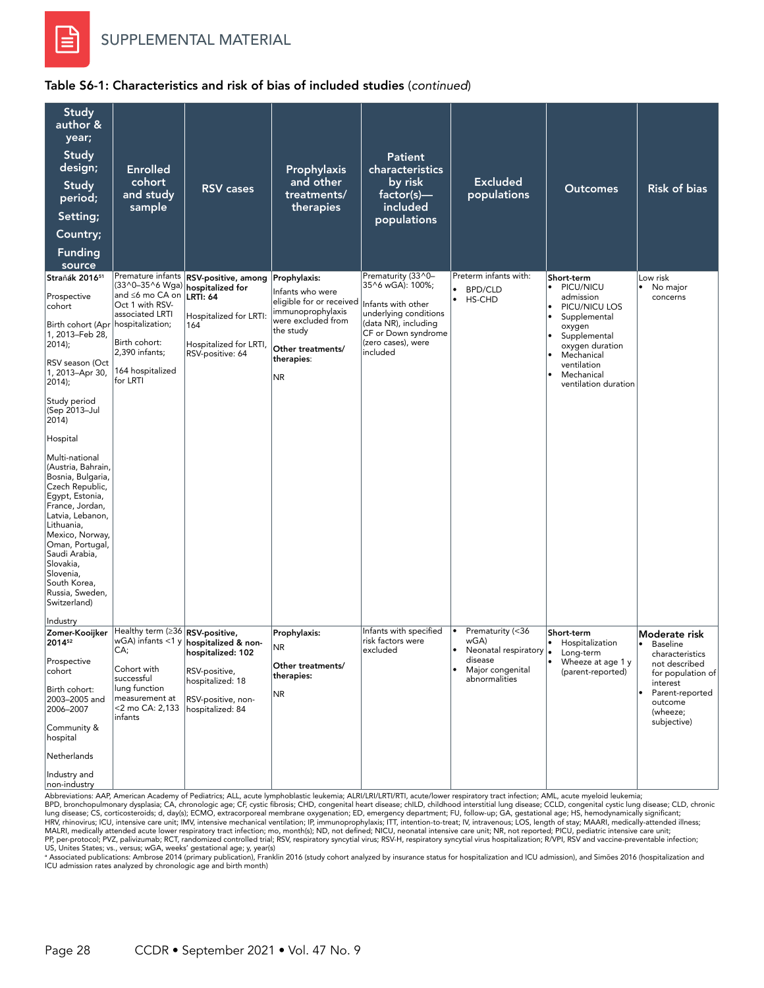

### Table S6-1: Characteristics and risk of bias of included studies (*continued*)

| Study<br>author &<br>year;<br><b>Study</b><br>design;<br>Study<br>period;<br>Setting;<br>Country;<br><b>Funding</b><br>source                                                                                                                                                                                                                                                                                                                                                                              | <b>Enrolled</b><br>cohort<br>and study<br>sample                                                                                                                                     | <b>RSV</b> cases                                                                                                                          | Prophylaxis<br>and other<br>treatments/<br>therapies                                                                                                           | <b>Patient</b><br>characteristics<br>by risk<br>factor(s)-<br>included<br>populations                                                                                  | <b>Excluded</b><br>populations                                                                                                | Outcomes                                                                                                                                                                                                        | <b>Risk of bias</b>                                                                                                                                                                      |
|------------------------------------------------------------------------------------------------------------------------------------------------------------------------------------------------------------------------------------------------------------------------------------------------------------------------------------------------------------------------------------------------------------------------------------------------------------------------------------------------------------|--------------------------------------------------------------------------------------------------------------------------------------------------------------------------------------|-------------------------------------------------------------------------------------------------------------------------------------------|----------------------------------------------------------------------------------------------------------------------------------------------------------------|------------------------------------------------------------------------------------------------------------------------------------------------------------------------|-------------------------------------------------------------------------------------------------------------------------------|-----------------------------------------------------------------------------------------------------------------------------------------------------------------------------------------------------------------|------------------------------------------------------------------------------------------------------------------------------------------------------------------------------------------|
| Straňák 201651<br>Prospective<br>cohort<br>Birth cohort (Apr<br>1, 2013-Feb 28,<br>$2014$ ;<br>RSV season (Oct<br>1, 2013-Apr 30,<br>$2014$ ;<br>Study period<br>(Sep 2013-Jul<br>2014<br>Hospital<br>Multi-national<br>(Austria, Bahrain,<br>Bosnia, Bulgaria,<br>Czech Republic,<br>Egypt, Estonia,<br>France, Jordan,<br>Latvia, Lebanon,<br>Lithuania,<br>Mexico, Norway,<br>Oman, Portugal,<br>Saudi Arabia,<br>Slovakia,<br>Slovenia,<br>South Korea.<br>Russia, Sweden,<br>Switzerland)<br>Industry | Premature infants<br>(33^0-35^6 Wga)<br>and ≤6 mo CA on<br>Oct 1 with RSV-<br>associated LRTI<br>hospitalization;<br>Birth cohort:<br>2,390 infants;<br>164 hospitalized<br>for LRTI | RSV-positive, among<br>hospitalized for<br><b>LRTI: 64</b><br>Hospitalized for LRTI:<br>164<br>Hospitalized for LRTI,<br>RSV-positive: 64 | Prophylaxis:<br>Infants who were<br>eligible for or received<br>immunoprophylaxis<br>were excluded from<br>the study<br>Other treatments/<br>therapies:<br>NR. | Prematurity (33^0-<br>35^6 wGA): 100%;<br>Infants with other<br>underlying conditions<br>(data NR), including<br>CF or Down syndrome<br>(zero cases), were<br>included | Preterm infants with:<br><b>BPD/CLD</b><br>$\bullet$<br>$\bullet$<br>HS-CHD                                                   | Short-term<br>PICU/NICU<br>$\bullet$<br>admission<br>PICU/NICU LOS<br>Supplemental<br>$\bullet$<br>oxygen<br>Supplemental<br>oxygen duration<br>Mechanical<br>ventilation<br>Mechanical<br>ventilation duration | Low risk<br>No major<br>$\bullet$<br>concerns                                                                                                                                            |
| Zomer-Kooijker<br>201452<br>Prospective<br>cohort<br>Birth cohort:<br>2003-2005 and<br>2006-2007<br>Community &<br>hospital<br>Netherlands<br>Industry and<br>non-industry                                                                                                                                                                                                                                                                                                                                 | Healthy term (≥36<br>$wGA$ ) infants <1 y<br>CA;<br>Cohort with<br>successful<br>lung function<br>measurement at<br><2 mo CA: 2,133<br>infants                                       | RSV-positive,<br>hospitalized & non-<br>hospitalized: 102<br>RSV-positive,<br>hospitalized: 18<br>RSV-positive, non-<br>hospitalized: 84  | Prophylaxis:<br>NR<br>Other treatments/<br>therapies:<br><b>NR</b>                                                                                             | Infants with specified<br>risk factors were<br>excluded                                                                                                                | Prematurity (<36<br>$\bullet$<br>wGA)<br>Neonatal respiratory  .<br>disease<br>Major congenital<br>$\bullet$<br>abnormalities | Short-term<br>Hospitalization<br>$\bullet$<br>Long-term<br>$\bullet$<br>Wheeze at age 1 y<br>(parent-reported)                                                                                                  | Moderate risk<br><b>Baseline</b><br>$\bullet$<br>characteristics<br>not described<br>for population of<br>interest<br>Parent-reported<br>$\bullet$<br>outcome<br>(wheeze;<br>subjective) |

Abbreviations: AAP, American Academy of Pediatrics; ALL, acute lymphoblastic leukemia; ALRI/LRI/LRTI/RTI, acute/lower respiratory tract infection; AML, acute myeloid leukemia;<br>BPD, bronchopulmonary dysplasia; CA, chronolog HRV, rhinovirus; ICU, intensive care unit; IMV, intensive mechanical ventilation; IP, immunoprophylaxis; ITT, intention-to-treat; IV, intravenous; LOS, length of stay; MAARI, medically-attended illness;<br>MALRI, medically at

US, Unites States; vs., versus; wGA, weeks' gestational age; y, year(s)<br>\* Associated publications: Ambrose 2014 (primary publication), Franklin 2016 (study cohort analyzed by insurance status for hospitalization and ICU ad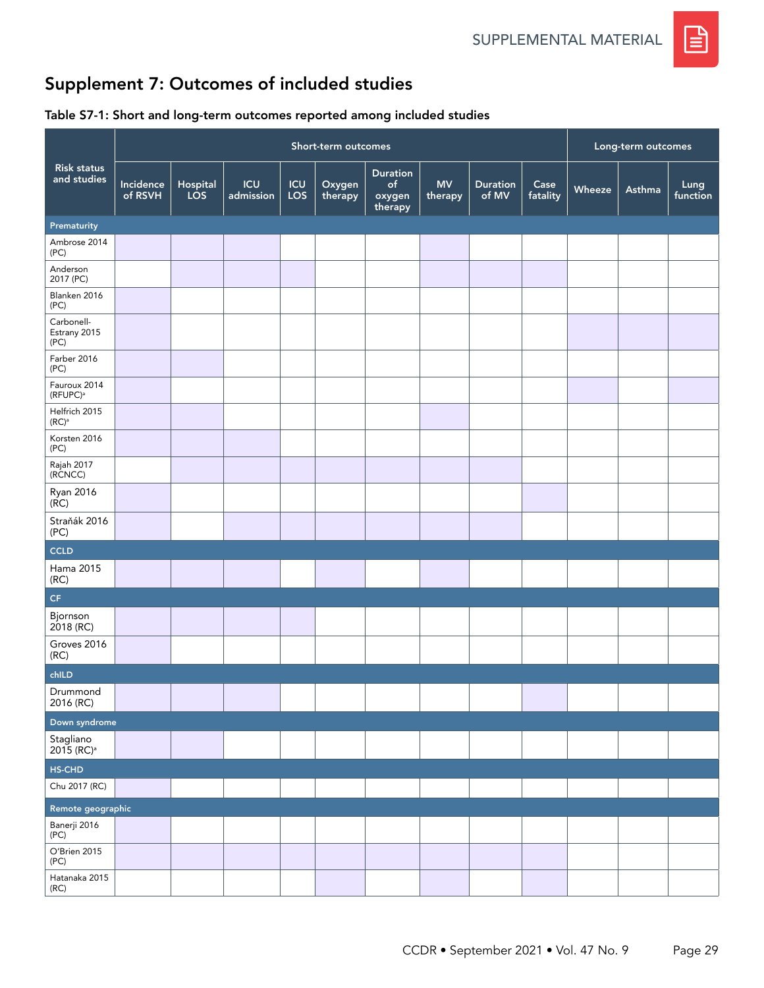

# Supplement 7: Outcomes of included studies

## Table S7-1: Short and long-term outcomes reported among included studies

|                                       |                      | Short-term outcomes |                         |            |                   |                                            |                      |                          |                  |        | Long-term outcomes |                  |  |
|---------------------------------------|----------------------|---------------------|-------------------------|------------|-------------------|--------------------------------------------|----------------------|--------------------------|------------------|--------|--------------------|------------------|--|
| <b>Risk status</b><br>and studies     | Incidence<br>of RSVH | Hospital<br>LOS     | <b>ICU</b><br>admission | ICU<br>LOS | Oxygen<br>therapy | <b>Duration</b><br>of<br>oxygen<br>therapy | <b>MV</b><br>therapy | <b>Duration</b><br>of MV | Case<br>fatality | Wheeze | Asthma             | Lung<br>function |  |
| Prematurity                           |                      |                     |                         |            |                   |                                            |                      |                          |                  |        |                    |                  |  |
| Ambrose 2014<br>(PC)                  |                      |                     |                         |            |                   |                                            |                      |                          |                  |        |                    |                  |  |
| Anderson<br>2017 (PC)                 |                      |                     |                         |            |                   |                                            |                      |                          |                  |        |                    |                  |  |
| Blanken 2016<br>(PC)                  |                      |                     |                         |            |                   |                                            |                      |                          |                  |        |                    |                  |  |
| Carbonell-<br>Estrany 2015<br>(PC)    |                      |                     |                         |            |                   |                                            |                      |                          |                  |        |                    |                  |  |
| Farber 2016<br>(PC)                   |                      |                     |                         |            |                   |                                            |                      |                          |                  |        |                    |                  |  |
| Fauroux 2014<br>(RFUPC) <sup>a</sup>  |                      |                     |                         |            |                   |                                            |                      |                          |                  |        |                    |                  |  |
| Helfrich 2015<br>$(RC)^a$             |                      |                     |                         |            |                   |                                            |                      |                          |                  |        |                    |                  |  |
| Korsten 2016<br>(PC)                  |                      |                     |                         |            |                   |                                            |                      |                          |                  |        |                    |                  |  |
| Rajah 2017<br>(RCNCC)                 |                      |                     |                         |            |                   |                                            |                      |                          |                  |        |                    |                  |  |
| <b>Ryan 2016</b><br>$(\overline{RC})$ |                      |                     |                         |            |                   |                                            |                      |                          |                  |        |                    |                  |  |
| Straňák 2016<br>(PC)                  |                      |                     |                         |            |                   |                                            |                      |                          |                  |        |                    |                  |  |
| CCLD                                  |                      |                     |                         |            |                   |                                            |                      |                          |                  |        |                    |                  |  |
| Hama 2015<br>(RC)                     |                      |                     |                         |            |                   |                                            |                      |                          |                  |        |                    |                  |  |
| $\mathsf{CF}$                         |                      |                     |                         |            |                   |                                            |                      |                          |                  |        |                    |                  |  |
| Bjornson<br>2018 (RC)                 |                      |                     |                         |            |                   |                                            |                      |                          |                  |        |                    |                  |  |
| Groves 2016<br>(RC)                   |                      |                     |                         |            |                   |                                            |                      |                          |                  |        |                    |                  |  |
| chILD                                 |                      |                     |                         |            |                   |                                            |                      |                          |                  |        |                    |                  |  |
| Drummond<br>2016 (RC)                 |                      |                     |                         |            |                   |                                            |                      |                          |                  |        |                    |                  |  |
| Down syndrome                         |                      |                     |                         |            |                   |                                            |                      |                          |                  |        |                    |                  |  |
| Stagliano<br>2015 (RC) <sup>a</sup>   |                      |                     |                         |            |                   |                                            |                      |                          |                  |        |                    |                  |  |
| HS-CHD                                |                      |                     |                         |            |                   |                                            |                      |                          |                  |        |                    |                  |  |
| Chu 2017 (RC)                         |                      |                     |                         |            |                   |                                            |                      |                          |                  |        |                    |                  |  |
| Remote geographic                     |                      |                     |                         |            |                   |                                            |                      |                          |                  |        |                    |                  |  |
| Banerji 2016<br>(PC)                  |                      |                     |                         |            |                   |                                            |                      |                          |                  |        |                    |                  |  |
| O'Brien 2015<br>(PC)                  |                      |                     |                         |            |                   |                                            |                      |                          |                  |        |                    |                  |  |
| Hatanaka 2015<br>(RC)                 |                      |                     |                         |            |                   |                                            |                      |                          |                  |        |                    |                  |  |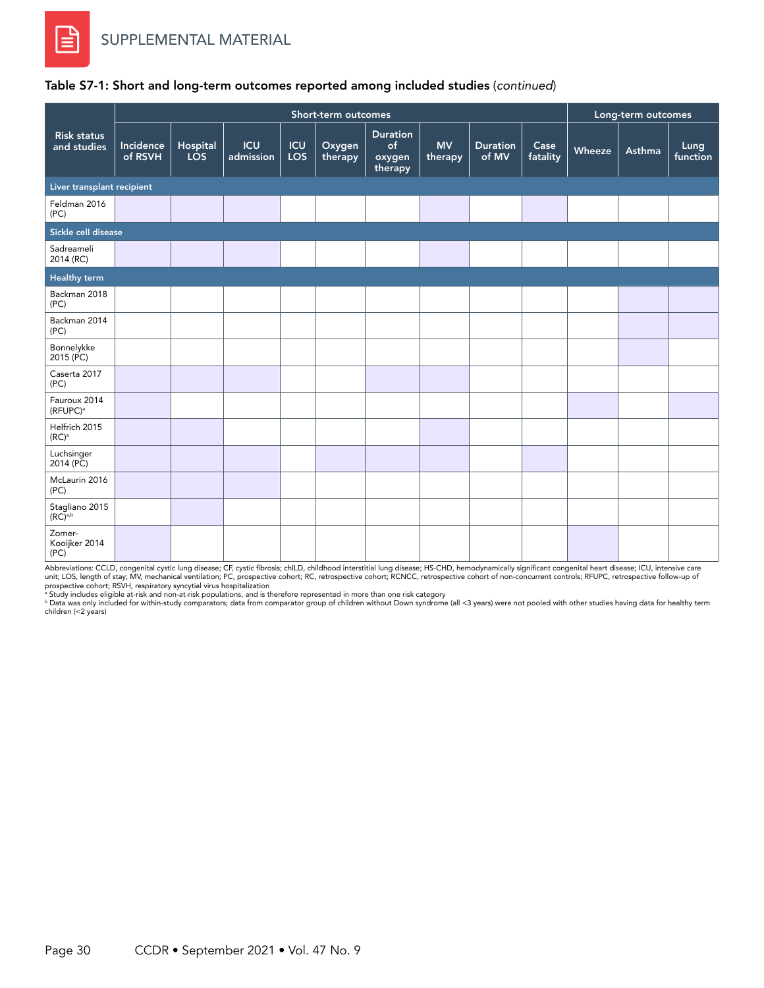|                                       |                      |                        |                         |                   | Short-term outcomes |                                            |                      |                          |                  |        | Long-term outcomes |                  |
|---------------------------------------|----------------------|------------------------|-------------------------|-------------------|---------------------|--------------------------------------------|----------------------|--------------------------|------------------|--------|--------------------|------------------|
| <b>Risk status</b><br>and studies     | Incidence<br>of RSVH | Hospital<br><b>LOS</b> | <b>ICU</b><br>admission | <b>ICU</b><br>LOS | Oxygen<br>therapy   | <b>Duration</b><br>of<br>oxygen<br>therapy | <b>MV</b><br>therapy | <b>Duration</b><br>of MV | Case<br>fatality | Wheeze | Asthma             | Lung<br>function |
| Liver transplant recipient            |                      |                        |                         |                   |                     |                                            |                      |                          |                  |        |                    |                  |
| Feldman 2016<br>(PC)                  |                      |                        |                         |                   |                     |                                            |                      |                          |                  |        |                    |                  |
| Sickle cell disease                   |                      |                        |                         |                   |                     |                                            |                      |                          |                  |        |                    |                  |
| Sadreameli<br>2014 (RC)               |                      |                        |                         |                   |                     |                                            |                      |                          |                  |        |                    |                  |
| <b>Healthy term</b>                   |                      |                        |                         |                   |                     |                                            |                      |                          |                  |        |                    |                  |
| Backman 2018<br>(PC)                  |                      |                        |                         |                   |                     |                                            |                      |                          |                  |        |                    |                  |
| Backman 2014<br>(PC)                  |                      |                        |                         |                   |                     |                                            |                      |                          |                  |        |                    |                  |
| Bonnelykke<br>2015 (PC)               |                      |                        |                         |                   |                     |                                            |                      |                          |                  |        |                    |                  |
| Caserta 2017<br>(PC)                  |                      |                        |                         |                   |                     |                                            |                      |                          |                  |        |                    |                  |
| Fauroux 2014<br>(RFUPC) <sup>a</sup>  |                      |                        |                         |                   |                     |                                            |                      |                          |                  |        |                    |                  |
| Helfrich 2015<br>$(RC)^a$             |                      |                        |                         |                   |                     |                                            |                      |                          |                  |        |                    |                  |
| Luchsinger<br>2014 (PC)               |                      |                        |                         |                   |                     |                                            |                      |                          |                  |        |                    |                  |
| McLaurin 2016<br>(PC)                 |                      |                        |                         |                   |                     |                                            |                      |                          |                  |        |                    |                  |
| Stagliano 2015<br>(RC) <sup>a,b</sup> |                      |                        |                         |                   |                     |                                            |                      |                          |                  |        |                    |                  |
| Zomer-<br>Kooijker 2014<br>(PC)       |                      |                        |                         |                   |                     |                                            |                      |                          |                  |        |                    |                  |

## Table S7-1: Short and long-term outcomes reported among included studies (*continued*)

Abbreviations: CCLD, congenital cystic lung disease; CF, cystic fibrosis; chILD, childhood interstitial lung disease; HS-CHD, hemodynamically significant congenital heart disease; ICU, intensive care<br>unit; LOS, length of s

prospective cohort; RSVH, respiratory syncytial virus hospitalization<br>\* Study includes eligible at-risk and non-at-risk populations, and is therefore represented in more than one risk category<br>\* Data was only included for children (<2 years)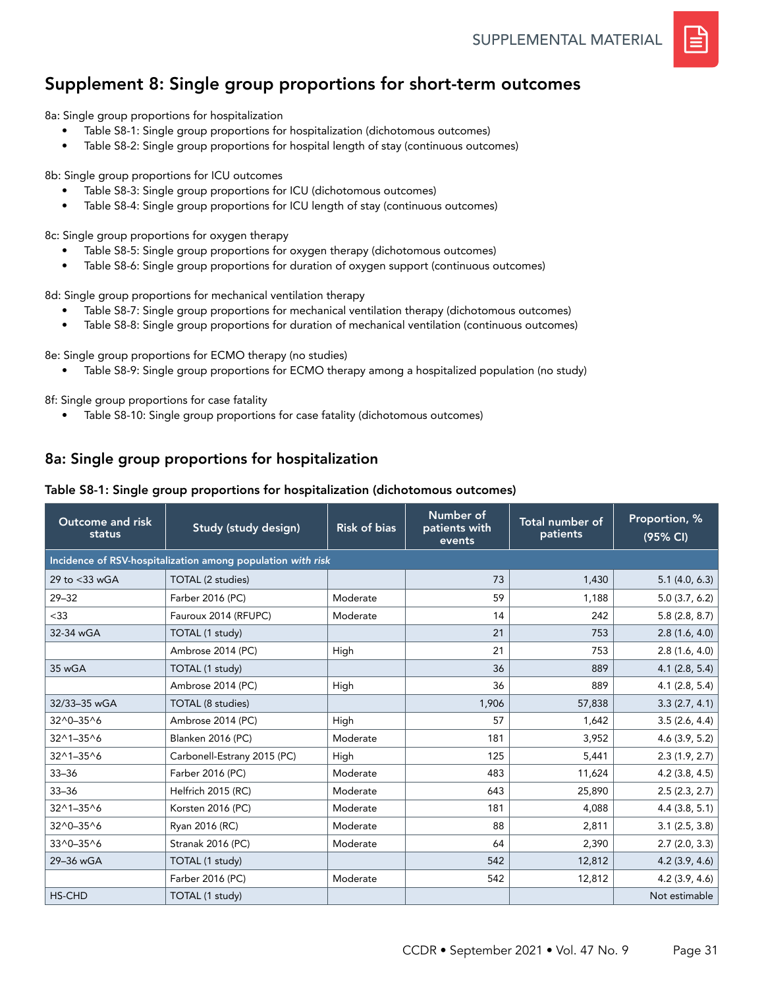

# Supplement 8: Single group proportions for short-term outcomes

8a: Single group proportions for hospitalization

- Table S8-1: Single group proportions for hospitalization (dichotomous outcomes)
- Table S8-2: Single group proportions for hospital length of stay (continuous outcomes)

8b: Single group proportions for ICU outcomes

- Table S8-3: Single group proportions for ICU (dichotomous outcomes)
- Table S8-4: Single group proportions for ICU length of stay (continuous outcomes)

8c: Single group proportions for oxygen therapy

- Table S8-5: Single group proportions for oxygen therapy (dichotomous outcomes)
- Table S8-6: Single group proportions for duration of oxygen support (continuous outcomes)

8d: Single group proportions for mechanical ventilation therapy

- Table S8-7: Single group proportions for mechanical ventilation therapy (dichotomous outcomes)
- Table S8-8: Single group proportions for duration of mechanical ventilation (continuous outcomes)

8e: Single group proportions for ECMO therapy (no studies)

• Table S8-9: Single group proportions for ECMO therapy among a hospitalized population (no study)

8f: Single group proportions for case fatality

• Table S8-10: Single group proportions for case fatality (dichotomous outcomes)

## 8a: Single group proportions for hospitalization

#### Table S8-1: Single group proportions for hospitalization (dichotomous outcomes)

| <b>Outcome and risk</b><br>status | Study (study design)                                        | <b>Risk of bias</b> | Number of<br>patients with<br>events | Total number of<br>patients | Proportion, %<br>(95% CI) |
|-----------------------------------|-------------------------------------------------------------|---------------------|--------------------------------------|-----------------------------|---------------------------|
|                                   | Incidence of RSV-hospitalization among population with risk |                     |                                      |                             |                           |
| 29 to <33 wGA                     | TOTAL (2 studies)                                           |                     | 73                                   | 1,430                       | 5.1(4.0, 6.3)             |
| $29 - 32$                         | Farber 2016 (PC)                                            | Moderate            | 59                                   | 1,188                       | 5.0(3.7, 6.2)             |
| $<$ 33                            | Fauroux 2014 (RFUPC)                                        | Moderate            | 14                                   | 242                         | 5.8(2.8, 8.7)             |
| 32-34 wGA                         | TOTAL (1 study)                                             |                     | 21                                   | 753                         | 2.8(1.6, 4.0)             |
|                                   | Ambrose 2014 (PC)                                           | High                | 21                                   | 753                         | 2.8(1.6, 4.0)             |
| 35 wGA                            | TOTAL (1 study)                                             |                     | 36                                   | 889                         | 4.1(2.8, 5.4)             |
|                                   | Ambrose 2014 (PC)                                           | High                | 36                                   | 889                         | 4.1(2.8, 5.4)             |
| 32/33-35 wGA                      | TOTAL (8 studies)                                           |                     | 1,906                                | 57,838                      | 3.3(2.7, 4.1)             |
| $32^0 - 35^0$                     | Ambrose 2014 (PC)                                           | High                | 57                                   | 1,642                       | 3.5(2.6, 4.4)             |
| 32^1-35^6                         | <b>Blanken 2016 (PC)</b>                                    | Moderate            | 181                                  | 3,952                       | 4.6(3.9, 5.2)             |
| 32^1-35^6                         | Carbonell-Estrany 2015 (PC)                                 | High                | 125                                  | 5,441                       | 2.3(1.9, 2.7)             |
| $33 - 36$                         | Farber 2016 (PC)                                            | Moderate            | 483                                  | 11,624                      | $4.2$ (3.8, 4.5)          |
| $33 - 36$                         | Helfrich 2015 (RC)                                          | Moderate            | 643                                  | 25,890                      | 2.5(2.3, 2.7)             |
| 32^1-35^6                         | Korsten 2016 (PC)                                           | Moderate            | 181                                  | 4,088                       | 4.4(3.8, 5.1)             |
| 32^0-35^6                         | Ryan 2016 (RC)                                              | Moderate            | 88                                   | 2,811                       | 3.1(2.5, 3.8)             |
| 33^0-35^6                         | Stranak 2016 (PC)                                           | Moderate            | 64                                   | 2,390                       | 2.7(2.0, 3.3)             |
| 29-36 wGA                         | TOTAL (1 study)                                             |                     | 542                                  | 12,812                      | 4.2(3.9, 4.6)             |
|                                   | Farber 2016 (PC)                                            | Moderate            | 542                                  | 12,812                      | 4.2(3.9, 4.6)             |
| <b>HS-CHD</b>                     | TOTAL (1 study)                                             |                     |                                      |                             | Not estimable             |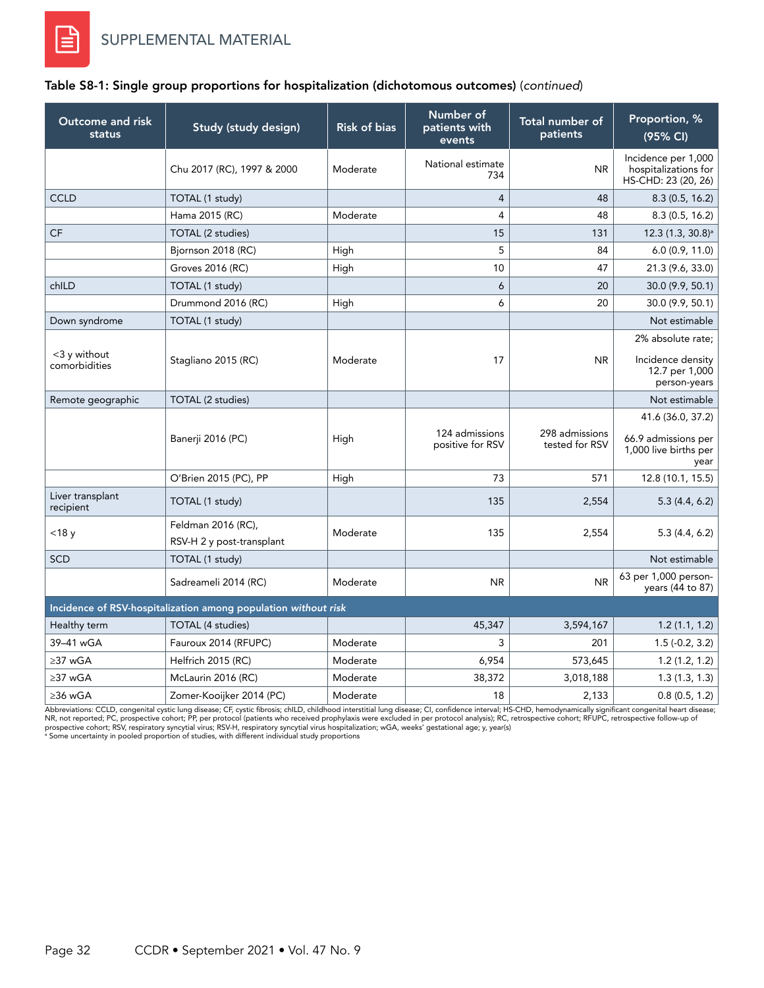#### Table S8-1: Single group proportions for hospitalization (dichotomous outcomes) (*continued*)

| Outcome and risk<br>status       | Study (study design)                                           | <b>Risk of bias</b> | Number of<br>patients with<br>events | Total number of<br>patients      | Proportion, %<br>(95% CI)                                          |
|----------------------------------|----------------------------------------------------------------|---------------------|--------------------------------------|----------------------------------|--------------------------------------------------------------------|
|                                  | Chu 2017 (RC), 1997 & 2000                                     | Moderate            | National estimate<br>734             | <b>NR</b>                        | Incidence per 1,000<br>hospitalizations for<br>HS-CHD: 23 (20, 26) |
| <b>CCLD</b>                      | TOTAL (1 study)                                                |                     | $\overline{4}$                       | 48                               | 8.3(0.5, 16.2)                                                     |
|                                  | Hama 2015 (RC)                                                 | Moderate            | $\overline{4}$                       | 48                               | 8.3(0.5, 16.2)                                                     |
| <b>CF</b>                        | TOTAL (2 studies)                                              |                     | 15                                   | 131                              | $12.3(1.3, 30.8)^{a}$                                              |
|                                  | Bjornson 2018 (RC)                                             | High                | 5                                    | 84                               | 6.0(0.9, 11.0)                                                     |
|                                  | Groves 2016 (RC)                                               | High                | 10                                   | 47                               | 21.3 (9.6, 33.0)                                                   |
| chILD                            | TOTAL (1 study)                                                |                     | 6                                    | 20                               | 30.0 (9.9, 50.1)                                                   |
|                                  | Drummond 2016 (RC)                                             | High                | 6                                    | 20                               | 30.0 (9.9, 50.1)                                                   |
| Down syndrome                    | TOTAL (1 study)                                                |                     |                                      |                                  | Not estimable                                                      |
|                                  |                                                                |                     |                                      |                                  | 2% absolute rate:                                                  |
| $<$ 3 y without<br>comorbidities | Stagliano 2015 (RC)                                            | Moderate            | 17                                   | <b>NR</b>                        | Incidence density<br>12.7 per 1,000<br>person-years                |
| Remote geographic                | TOTAL (2 studies)                                              |                     |                                      |                                  | Not estimable                                                      |
|                                  |                                                                |                     |                                      |                                  | 41.6 (36.0, 37.2)                                                  |
|                                  | Banerji 2016 (PC)                                              | High                | 124 admissions<br>positive for RSV   | 298 admissions<br>tested for RSV | 66.9 admissions per<br>1,000 live births per<br>year               |
|                                  | O'Brien 2015 (PC), PP                                          | High                | 73                                   | 571                              | 12.8 (10.1, 15.5)                                                  |
| Liver transplant<br>recipient    | TOTAL (1 study)                                                |                     | 135                                  | 2,554                            | 5.3(4.4, 6.2)                                                      |
| $<$ 18 $y$                       | Feldman 2016 (RC),<br>RSV-H 2 y post-transplant                | Moderate            | 135                                  | 2,554                            | 5.3(4.4, 6.2)                                                      |
| <b>SCD</b>                       | TOTAL (1 study)                                                |                     |                                      |                                  | Not estimable                                                      |
|                                  | Sadreameli 2014 (RC)                                           | Moderate            | <b>NR</b>                            | <b>NR</b>                        | 63 per 1,000 person-<br>years (44 to 87)                           |
|                                  | Incidence of RSV-hospitalization among population without risk |                     |                                      |                                  |                                                                    |
| Healthy term                     | TOTAL (4 studies)                                              |                     | 45,347                               | 3,594,167                        | 1.2(1.1, 1.2)                                                      |
| 39-41 wGA                        | Fauroux 2014 (RFUPC)                                           | Moderate            | 3                                    | 201                              | $1.5(-0.2, 3.2)$                                                   |
| $\geq$ 37 wGA                    | Helfrich 2015 (RC)                                             | Moderate            | 6,954                                | 573,645                          | 1.2(1.2, 1.2)                                                      |
| ≥37 wGA                          | McLaurin 2016 (RC)                                             | Moderate            | 38,372                               | 3,018,188                        | 1.3(1.3, 1.3)                                                      |
| ≥36 wGA                          | Zomer-Kooijker 2014 (PC)                                       | Moderate            | 18                                   | 2,133                            | 0.8(0.5, 1.2)                                                      |

Abbreviations: CCLD, congenital cystic lung disease; CF, cystic fibrosis; chlLD, childhood interstitial lung disease; CI, confidence interval; HS-CHD, hemodynamically significant congenital heart disease;<br>PIR, not reported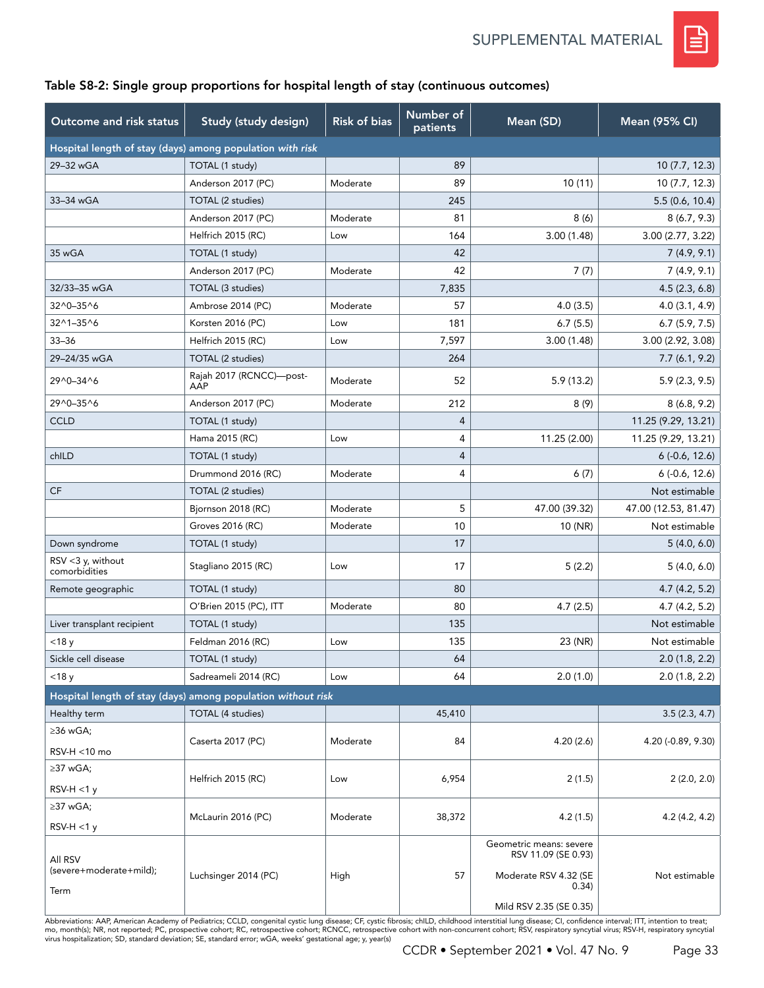

### Table S8-2: Single group proportions for hospital length of stay (continuous outcomes)

| Outcome and risk status            | Study (study design)                                         | <b>Risk of bias</b> | Number of<br>patients | Mean (SD)                                      | Mean (95% CI)        |
|------------------------------------|--------------------------------------------------------------|---------------------|-----------------------|------------------------------------------------|----------------------|
|                                    | Hospital length of stay (days) among population with risk    |                     |                       |                                                |                      |
| 29-32 wGA                          | TOTAL (1 study)                                              |                     | 89                    |                                                | 10 (7.7, 12.3)       |
|                                    | Anderson 2017 (PC)                                           | Moderate            | 89                    | 10(11)                                         | 10(7.7, 12.3)        |
| 33-34 wGA                          | TOTAL (2 studies)                                            |                     | 245                   |                                                | 5.5(0.6, 10.4)       |
|                                    | Anderson 2017 (PC)                                           | Moderate            | 81                    | 8(6)                                           | 8(6.7, 9.3)          |
|                                    | Helfrich 2015 (RC)                                           | Low                 | 164                   | 3.00(1.48)                                     | 3.00(2.77, 3.22)     |
| 35 wGA                             | TOTAL (1 study)                                              |                     | 42                    |                                                | 7(4.9, 9.1)          |
|                                    | Anderson 2017 (PC)                                           | Moderate            | 42                    | 7(7)                                           | 7(4.9, 9.1)          |
| 32/33-35 wGA                       | TOTAL (3 studies)                                            |                     | 7,835                 |                                                | 4.5(2.3, 6.8)        |
| 32^0-35^6                          | Ambrose 2014 (PC)                                            | Moderate            | 57                    | 4.0(3.5)                                       | 4.0(3.1, 4.9)        |
| 32^1-35^6                          | Korsten 2016 (PC)                                            | Low                 | 181                   | 6.7(5.5)                                       | 6.7(5.9, 7.5)        |
| $33 - 36$                          | Helfrich 2015 (RC)                                           | Low                 | 7,597                 | 3.00(1.48)                                     | 3.00 (2.92, 3.08)    |
| 29-24/35 wGA                       | TOTAL (2 studies)                                            |                     | 264                   |                                                | 7.7(6.1, 9.2)        |
| 29^0-34^6                          | Rajah 2017 (RCNCC)-post-<br>AAP                              | Moderate            | 52                    | 5.9 (13.2)                                     | 5.9(2.3, 9.5)        |
| 29^0-35^6                          | Anderson 2017 (PC)                                           | Moderate            | 212                   | 8(9)                                           | 8(6.8, 9.2)          |
| <b>CCLD</b>                        | TOTAL (1 study)                                              |                     | 4                     |                                                | 11.25 (9.29, 13.21)  |
|                                    | Hama 2015 (RC)                                               | Low                 | $\overline{4}$        | 11.25 (2.00)                                   | 11.25 (9.29, 13.21)  |
| chILD                              | TOTAL (1 study)                                              |                     | $\overline{4}$        |                                                | $6(-0.6, 12.6)$      |
|                                    | Drummond 2016 (RC)                                           | Moderate            | $\overline{4}$        | 6(7)                                           | $6(-0.6, 12.6)$      |
| CF                                 | TOTAL (2 studies)                                            |                     |                       |                                                | Not estimable        |
|                                    | Bjornson 2018 (RC)                                           | Moderate            | 5                     | 47.00 (39.32)                                  | 47.00 (12.53, 81.47) |
|                                    | Groves 2016 (RC)                                             | Moderate            | 10                    | 10 (NR)                                        | Not estimable        |
| Down syndrome                      | TOTAL (1 study)                                              |                     | 17                    |                                                | 5(4.0, 6.0)          |
| RSV <3 y, without<br>comorbidities | Stagliano 2015 (RC)                                          | Low                 | 17                    | 5(2.2)                                         | 5(4.0, 6.0)          |
| Remote geographic                  | TOTAL (1 study)                                              |                     | 80                    |                                                | 4.7(4.2, 5.2)        |
|                                    | O'Brien 2015 (PC), ITT                                       | Moderate            | 80                    | 4.7(2.5)                                       | 4.7(4.2, 5.2)        |
| Liver transplant recipient         | TOTAL (1 study)                                              |                     | 135                   |                                                | Not estimable        |
| $<$ 18 $y$                         | Feldman 2016 (RC)                                            | Low                 | 135                   | 23 (NR)                                        | Not estimable        |
| Sickle cell disease                | TOTAL (1 study)                                              |                     | 64                    |                                                | 2.0(1.8, 2.2)        |
| $<$ 18 $y$                         | Sadreameli 2014 (RC)                                         | Low                 | 64                    | 2.0(1.0)                                       | 2.0(1.8, 2.2)        |
|                                    | Hospital length of stay (days) among population without risk |                     |                       |                                                |                      |
| Healthy term                       | TOTAL (4 studies)                                            |                     | 45,410                |                                                | 3.5(2.3, 4.7)        |
| $\geq$ 36 wGA;                     |                                                              |                     |                       |                                                |                      |
| RSV-H <10 mo                       | Caserta 2017 (PC)                                            | Moderate            | 84                    | 4.20 (2.6)                                     | 4.20 (-0.89, 9.30)   |
| $\geq$ 37 wGA;                     |                                                              |                     |                       |                                                |                      |
| $RSV-H < 1y$                       | Helfrich 2015 (RC)                                           | Low                 | 6,954                 | 2(1.5)                                         | 2(2.0, 2.0)          |
| ≥37 wGA;                           | McLaurin 2016 (PC)                                           | Moderate            | 38,372                | 4.2(1.5)                                       | 4.2 (4.2, 4.2)       |
| $RSV-H < 1y$                       |                                                              |                     |                       |                                                |                      |
| All RSV                            |                                                              |                     |                       | Geometric means: severe<br>RSV 11.09 (SE 0.93) |                      |
| (severe+moderate+mild);<br>Term    | Luchsinger 2014 (PC)                                         | High                | 57                    | Moderate RSV 4.32 (SE<br>0.34)                 | Not estimable        |
|                                    |                                                              |                     |                       | Mild RSV 2.35 (SE 0.35)                        |                      |

Abbreviations: AAP, American Academy of Pediatrics; CCLD, congenital cystic lung disease; CF, cystic fibrosis; chlLD, childhood interstitial lung disease; CI, confidence interval; ITT, intention to treat;<br>mo, month(s); NR,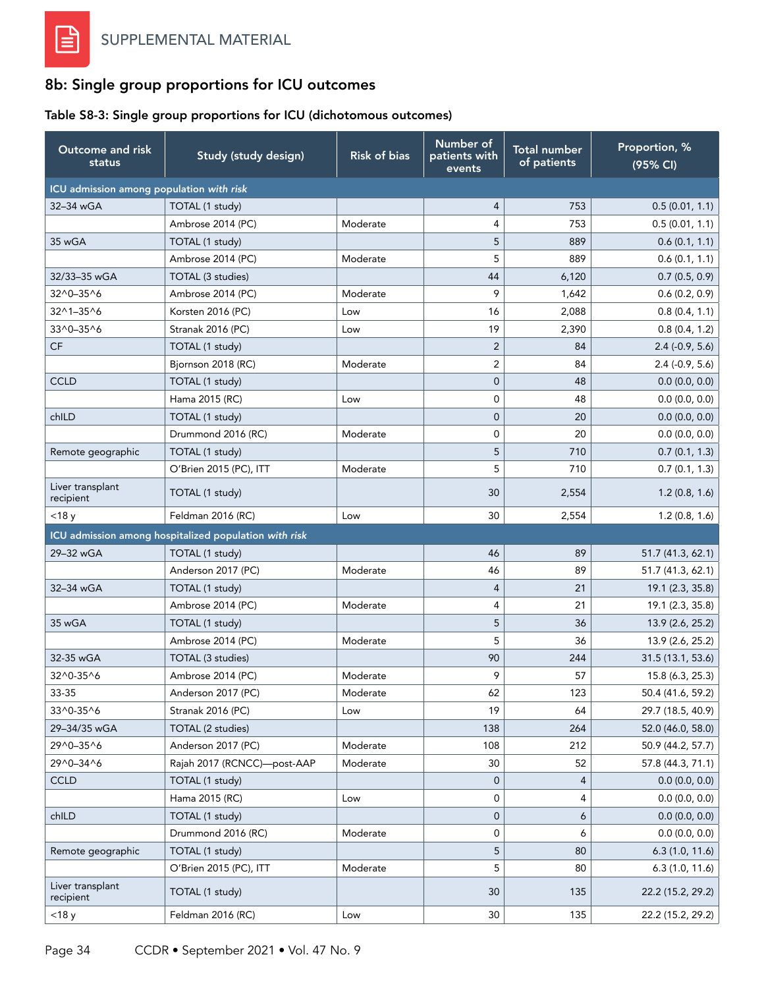# 8b: Single group proportions for ICU outcomes

### Table S8-3: Single group proportions for ICU (dichotomous outcomes)

| Outcome and risk<br>status               | Study (study design)                                  | <b>Risk of bias</b> | Number of<br>patients with<br>events | <b>Total number</b><br>of patients | Proportion, %<br>(95% CI) |
|------------------------------------------|-------------------------------------------------------|---------------------|--------------------------------------|------------------------------------|---------------------------|
| ICU admission among population with risk |                                                       |                     |                                      |                                    |                           |
| 32-34 wGA                                | TOTAL (1 study)                                       |                     | 4                                    | 753                                | 0.5(0.01, 1.1)            |
|                                          | Ambrose 2014 (PC)                                     | Moderate            | 4                                    | 753                                | 0.5(0.01, 1.1)            |
| 35 wGA                                   | TOTAL (1 study)                                       |                     | 5                                    | 889                                | 0.6(0.1, 1.1)             |
|                                          | Ambrose 2014 (PC)                                     | Moderate            | 5                                    | 889                                | 0.6(0.1, 1.1)             |
| 32/33-35 wGA                             | TOTAL (3 studies)                                     |                     | 44                                   | 6,120                              | 0.7(0.5, 0.9)             |
| 32^0-35^6                                | Ambrose 2014 (PC)                                     | Moderate            | 9                                    | 1,642                              | 0.6(0.2, 0.9)             |
| $32^{\wedge}1 - 35^{\wedge}6$            | Korsten 2016 (PC)                                     | Low                 | 16                                   | 2,088                              | 0.8(0.4, 1.1)             |
| 33^0-35^6                                | Stranak 2016 (PC)                                     | Low                 | 19                                   | 2,390                              | 0.8(0.4, 1.2)             |
| <b>CF</b>                                | TOTAL (1 study)                                       |                     | $\overline{2}$                       | 84                                 | $2.4$ (-0.9, 5.6)         |
|                                          | Bjornson 2018 (RC)                                    | Moderate            | 2                                    | 84                                 | $2.4$ (-0.9, 5.6)         |
| <b>CCLD</b>                              | TOTAL (1 study)                                       |                     | $\overline{0}$                       | 48                                 | 0.0(0.0, 0.0)             |
|                                          | Hama 2015 (RC)                                        | Low                 | 0                                    | 48                                 | 0.0(0.0, 0.0)             |
| chILD                                    | TOTAL (1 study)                                       |                     | 0                                    | 20                                 | 0.0(0.0, 0.0)             |
|                                          | Drummond 2016 (RC)                                    | Moderate            | 0                                    | 20                                 | 0.0(0.0, 0.0)             |
| Remote geographic                        | TOTAL (1 study)                                       |                     | 5                                    | 710                                | 0.7(0.1, 1.3)             |
|                                          | O'Brien 2015 (PC), ITT                                | Moderate            | 5                                    | 710                                | 0.7(0.1, 1.3)             |
| Liver transplant<br>recipient            | TOTAL (1 study)                                       |                     | 30                                   | 2,554                              | 1.2(0.8, 1.6)             |
| $<$ 18 $y$                               | Feldman 2016 (RC)                                     | Low                 | 30                                   | 2,554                              | 1.2(0.8, 1.6)             |
|                                          | ICU admission among hospitalized population with risk |                     |                                      |                                    |                           |
| 29-32 wGA                                | TOTAL (1 study)                                       |                     | 46                                   | 89                                 | 51.7 (41.3, 62.1)         |
|                                          | Anderson 2017 (PC)                                    | Moderate            | 46                                   | 89                                 | 51.7 (41.3, 62.1)         |
| 32-34 wGA                                | TOTAL (1 study)                                       |                     | $\overline{4}$                       | 21                                 | 19.1 (2.3, 35.8)          |
|                                          | Ambrose 2014 (PC)                                     | Moderate            | 4                                    | 21                                 | 19.1 (2.3, 35.8)          |
| 35 wGA                                   | TOTAL (1 study)                                       |                     | 5                                    | 36                                 | 13.9 (2.6, 25.2)          |
|                                          | Ambrose 2014 (PC)                                     | Moderate            | 5                                    | 36                                 | 13.9 (2.6, 25.2)          |
| 32-35 wGA                                | TOTAL (3 studies)                                     |                     | 90                                   | 244                                | 31.5 (13.1, 53.6)         |
| 32^0-35^6                                | Ambrose 2014 (PC)                                     | Moderate            | 9                                    | 57                                 | 15.8 (6.3, 25.3)          |
| 33-35                                    | Anderson 2017 (PC)                                    | Moderate            | 62                                   | 123                                | 50.4 (41.6, 59.2)         |
| 33^0-35^6                                | Stranak 2016 (PC)                                     | Low                 | 19                                   | 64                                 | 29.7 (18.5, 40.9)         |
| 29-34/35 wGA                             | TOTAL (2 studies)                                     |                     | 138                                  | 264                                | 52.0 (46.0, 58.0)         |
| 29^0-35^6                                | Anderson 2017 (PC)                                    | Moderate            | 108                                  | 212                                | 50.9 (44.2, 57.7)         |
| 29^0-34^6                                | Rajah 2017 (RCNCC)-post-AAP                           | Moderate            | 30                                   | 52                                 | 57.8 (44.3, 71.1)         |
| <b>CCLD</b>                              | TOTAL (1 study)                                       |                     | 0                                    | 4                                  | 0.0(0.0, 0.0)             |
|                                          | Hama 2015 (RC)                                        | Low                 | 0                                    | 4                                  | 0.0(0.0, 0.0)             |
| chILD                                    | TOTAL (1 study)                                       |                     | 0                                    | 6                                  | 0.0(0.0, 0.0)             |
|                                          | Drummond 2016 (RC)                                    | Moderate            | 0                                    | 6                                  | 0.0(0.0, 0.0)             |
| Remote geographic                        | TOTAL (1 study)                                       |                     | 5                                    | 80                                 | 6.3(1.0, 11.6)            |
|                                          | O'Brien 2015 (PC), ITT                                | Moderate            | 5                                    | 80                                 | 6.3(1.0, 11.6)            |
| Liver transplant<br>recipient            | TOTAL (1 study)                                       |                     | 30                                   | 135                                | 22.2 (15.2, 29.2)         |
| $<$ 18 $y$                               | Feldman 2016 (RC)                                     | Low                 | 30                                   | 135                                | 22.2 (15.2, 29.2)         |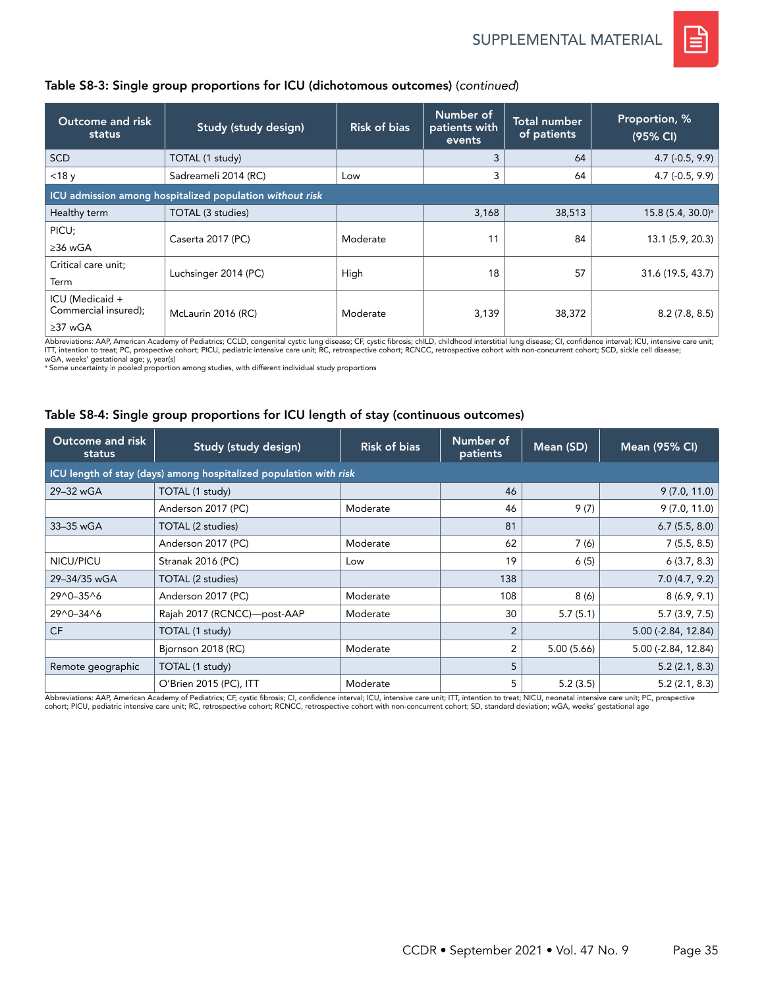

### Table S8-3: Single group proportions for ICU (dichotomous outcomes) (*continued*)

| Outcome and risk<br>status                               | Study (study design)                                     | <b>Risk of bias</b> | Number of<br>patients with<br>events | <b>Total number</b><br>of patients | Proportion, %<br>(95% CI)     |
|----------------------------------------------------------|----------------------------------------------------------|---------------------|--------------------------------------|------------------------------------|-------------------------------|
| <b>SCD</b>                                               | TOTAL (1 study)                                          |                     | 3                                    | 64                                 | $4.7(-0.5, 9.9)$              |
| $<$ 18 $y$                                               | Sadreameli 2014 (RC)                                     | Low                 | 3                                    | 64                                 | $4.7(-0.5, 9.9)$              |
|                                                          | ICU admission among hospitalized population without risk |                     |                                      |                                    |                               |
| Healthy term                                             | TOTAL (3 studies)                                        |                     | 3,168                                | 38,513                             | 15.8 (5.4, 30.0) <sup>a</sup> |
| PICU;<br>$\geq$ 36 wGA                                   | Caserta 2017 (PC)                                        | Moderate            | 11                                   | 84                                 | 13.1 (5.9, 20.3)              |
| Critical care unit;                                      |                                                          |                     |                                      |                                    |                               |
| Term                                                     | Luchsinger 2014 (PC)                                     | High                | 18                                   | 57                                 | 31.6 (19.5, 43.7)             |
| ICU (Medicaid +<br>Commercial insured);<br>$\geq$ 37 wGA | McLaurin 2016 (RC)                                       | Moderate            | 3,139                                | 38,372                             | 8.2(7.8, 8.5)                 |

Abbreviations: AAP, American Academy of Pediatrics; CCLD, congenital cystic lung disease; CF, cystic fibrosis; chlLD, childhood interstitial lung disease; CI, confidence interval; ICU, intensive care unit;<br>ITT, intention t

wGA, weeks' gestational age; y, year(s) a Some uncertainty in pooled proportion among studies, with different individual study proportions

#### Table S8-4: Single group proportions for ICU length of stay (continuous outcomes)

| Outcome and risk<br>status                                        | <b>Study (study design)</b> | <b>Risk of bias</b> | Number of<br>patients | Mean (SD)  | Mean (95% CI)             |  |  |  |  |  |
|-------------------------------------------------------------------|-----------------------------|---------------------|-----------------------|------------|---------------------------|--|--|--|--|--|
| ICU length of stay (days) among hospitalized population with risk |                             |                     |                       |            |                           |  |  |  |  |  |
| 29-32 wGA                                                         | TOTAL (1 study)             |                     | 46                    |            | 9(7.0, 11.0)              |  |  |  |  |  |
|                                                                   | Anderson 2017 (PC)          | Moderate            | 46                    | 9(7)       | 9(7.0, 11.0)              |  |  |  |  |  |
| 33-35 wGA                                                         | TOTAL (2 studies)           |                     | 81                    |            | 6.7(5.5, 8.0)             |  |  |  |  |  |
|                                                                   | Anderson 2017 (PC)          | Moderate            | 62                    | 7(6)       | 7(5.5, 8.5)               |  |  |  |  |  |
| NICU/PICU                                                         | Stranak 2016 (PC)           | Low                 | 19                    | 6(5)       | 6(3.7, 8.3)               |  |  |  |  |  |
| 29-34/35 wGA                                                      | TOTAL (2 studies)           |                     | 138                   |            | 7.0(4.7, 9.2)             |  |  |  |  |  |
| 29^0-35^6                                                         | Anderson 2017 (PC)          | Moderate            | 108                   | 8(6)       | 8(6.9, 9.1)               |  |  |  |  |  |
| 29^0-34^6                                                         | Rajah 2017 (RCNCC)-post-AAP | Moderate            | 30                    | 5.7(5.1)   | 5.7(3.9, 7.5)             |  |  |  |  |  |
| <b>CF</b>                                                         | TOTAL (1 study)             |                     | $\overline{2}$        |            | $5.00$ ( $-2.84$ , 12.84) |  |  |  |  |  |
|                                                                   | Bjornson 2018 (RC)          | Moderate            | $\overline{2}$        | 5.00(5.66) | $5.00$ ( $-2.84$ , 12.84) |  |  |  |  |  |
| Remote geographic                                                 | TOTAL (1 study)             |                     | 5                     |            | 5.2(2.1, 8.3)             |  |  |  |  |  |
|                                                                   | O'Brien 2015 (PC), ITT      | Moderate            | 5                     | 5.2(3.5)   | 5.2(2.1, 8.3)             |  |  |  |  |  |

Abbreviations: AAP, American Academy of Pediatrics; CF, cystic fibrosis; CI, confidence interval; ICU, intensive care unit; ITT, intention to treat; NICU, neonatal intensive care unit; PC, prospective cohort; PICU, pediatric intensive care unit; RC, retrospective cohort; RCNCC, retrospective cohort with non-concurrent cohort; SD, standard deviation; wGA, weeks' gestational age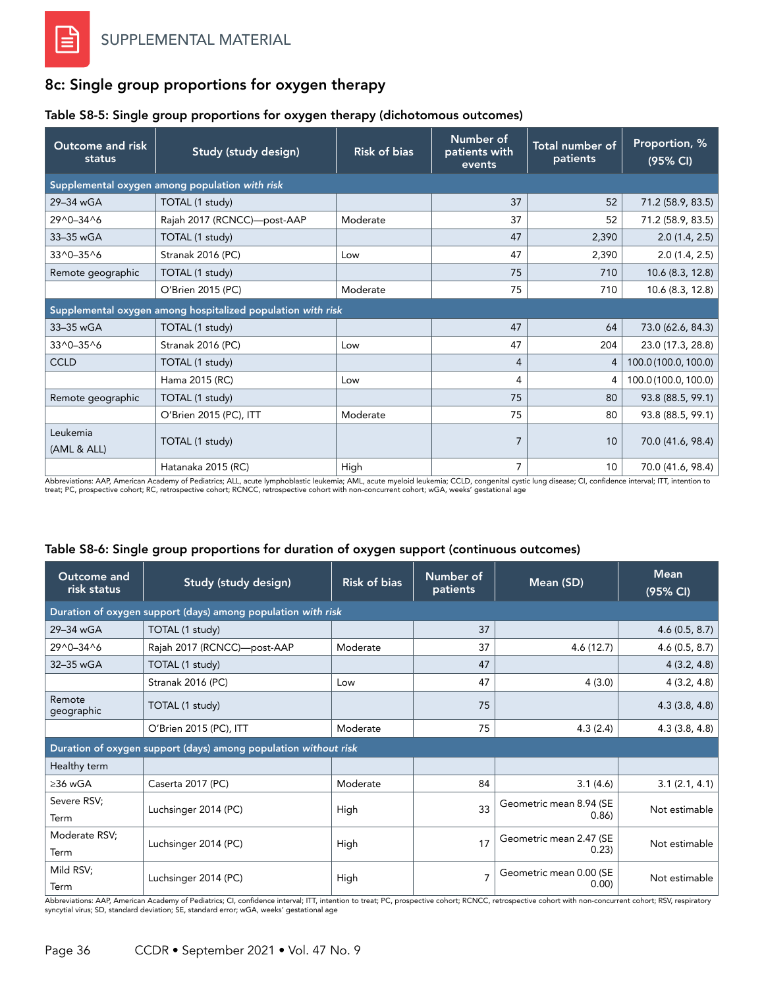## 8c: Single group proportions for oxygen therapy

#### Table S8-5: Single group proportions for oxygen therapy (dichotomous outcomes)

| Outcome and risk<br>status                     | Study (study design)                                        | <b>Risk of bias</b> | Number of<br>patients with<br>events | Total number of<br>patients | Proportion, %<br>(95% CI) |  |  |
|------------------------------------------------|-------------------------------------------------------------|---------------------|--------------------------------------|-----------------------------|---------------------------|--|--|
| Supplemental oxygen among population with risk |                                                             |                     |                                      |                             |                           |  |  |
| 29-34 wGA                                      | TOTAL (1 study)                                             |                     | 37                                   | 52                          | 71.2 (58.9, 83.5)         |  |  |
| 29^0-34^6                                      | Rajah 2017 (RCNCC)-post-AAP                                 | Moderate            | 37                                   | 52                          | 71.2 (58.9, 83.5)         |  |  |
| 33-35 wGA                                      | TOTAL (1 study)                                             |                     | 47                                   | 2,390                       | 2.0(1.4, 2.5)             |  |  |
| 33^0-35^6                                      | Stranak 2016 (PC)                                           | Low                 | 47                                   | 2,390                       | 2.0(1.4, 2.5)             |  |  |
| Remote geographic                              | TOTAL (1 study)                                             |                     | 75                                   | 710                         | 10.6 (8.3, 12.8)          |  |  |
|                                                | O'Brien 2015 (PC)                                           | Moderate            | 75                                   | 710                         | 10.6 (8.3, 12.8)          |  |  |
|                                                | Supplemental oxygen among hospitalized population with risk |                     |                                      |                             |                           |  |  |
| 33-35 wGA                                      | TOTAL (1 study)                                             |                     | 47                                   | 64                          | 73.0 (62.6, 84.3)         |  |  |
| 33^0-35^6                                      | Stranak 2016 (PC)                                           | Low                 | 47                                   | 204                         | 23.0 (17.3, 28.8)         |  |  |
| <b>CCLD</b>                                    | TOTAL (1 study)                                             |                     | 4                                    | 4                           | 100.0 (100.0, 100.0)      |  |  |
|                                                | Hama 2015 (RC)                                              | Low                 | 4                                    | 4                           | 100.0 (100.0, 100.0)      |  |  |
| Remote geographic                              | TOTAL (1 study)                                             |                     | 75                                   | 80                          | 93.8 (88.5, 99.1)         |  |  |
|                                                | O'Brien 2015 (PC), ITT                                      | Moderate            | 75                                   | 80                          | 93.8 (88.5, 99.1)         |  |  |
| Leukemia<br>(AML & ALL)                        | TOTAL (1 study)                                             |                     | 7                                    | 10                          | 70.0 (41.6, 98.4)         |  |  |
|                                                | Hatanaka 2015 (RC)                                          | High                | 7                                    | 10                          | 70.0 (41.6, 98.4)         |  |  |

Abbreviations: AAP, American Academy of Pediatrics; ALL, acute lymphoblastic leukemia; AML, acute myeloid leukemia; CCLD, congenital cystic lung disease; CI, confidence interval; ITT, intention to<br>treat; PC, prospective co

### Table S8-6: Single group proportions for duration of oxygen support (continuous outcomes)

| Outcome and<br>risk status | Study (study design)                                            | <b>Risk of bias</b> | Number of<br>patients | Mean (SD)                        | <b>Mean</b><br>(95% CI) |  |  |  |  |  |
|----------------------------|-----------------------------------------------------------------|---------------------|-----------------------|----------------------------------|-------------------------|--|--|--|--|--|
|                            | Duration of oxygen support (days) among population with risk    |                     |                       |                                  |                         |  |  |  |  |  |
| 29-34 wGA                  | TOTAL (1 study)                                                 |                     | 37                    |                                  | 4.6(0.5, 8.7)           |  |  |  |  |  |
| 29^0-34^6                  | Rajah 2017 (RCNCC)-post-AAP                                     | Moderate            | 37                    | 4.6(12.7)                        | 4.6(0.5, 8.7)           |  |  |  |  |  |
| 32-35 wGA                  | TOTAL (1 study)                                                 |                     | 47                    |                                  | 4(3.2, 4.8)             |  |  |  |  |  |
|                            | Stranak 2016 (PC)                                               | Low                 | 47                    | 4(3.0)                           | 4(3.2, 4.8)             |  |  |  |  |  |
| Remote<br>geographic       | TOTAL (1 study)                                                 |                     | 75                    |                                  | 4.3(3.8, 4.8)           |  |  |  |  |  |
|                            | O'Brien 2015 (PC), ITT                                          | Moderate            | 75                    | 4.3(2.4)                         | 4.3(3.8, 4.8)           |  |  |  |  |  |
|                            | Duration of oxygen support (days) among population without risk |                     |                       |                                  |                         |  |  |  |  |  |
| Healthy term               |                                                                 |                     |                       |                                  |                         |  |  |  |  |  |
| $>36$ wGA                  | Caserta 2017 (PC)                                               | Moderate            | 84                    | 3.1(4.6)                         | 3.1(2.1, 4.1)           |  |  |  |  |  |
| Severe RSV;<br>Term        | Luchsinger 2014 (PC)                                            | High                | 33                    | Geometric mean 8.94 (SE<br>0.86  | Not estimable           |  |  |  |  |  |
| Moderate RSV;<br>Term      | Luchsinger 2014 (PC)                                            | High                | 17                    | Geometric mean 2.47 (SE<br>0.23) | Not estimable           |  |  |  |  |  |
| Mild RSV;<br>Term          | Luchsinger 2014 (PC)                                            | High                | $\overline{7}$        | Geometric mean 0.00 (SE<br>0.00  | Not estimable           |  |  |  |  |  |

Abbreviations: AAP, American Academy of Pediatrics; CI, confidence interval; ITT, intention to treat; PC, prospective cohort; RCNCC, retrospective cohort with non-concurrent cohort; RSV, respiratory<br>syncytial virus; SD, st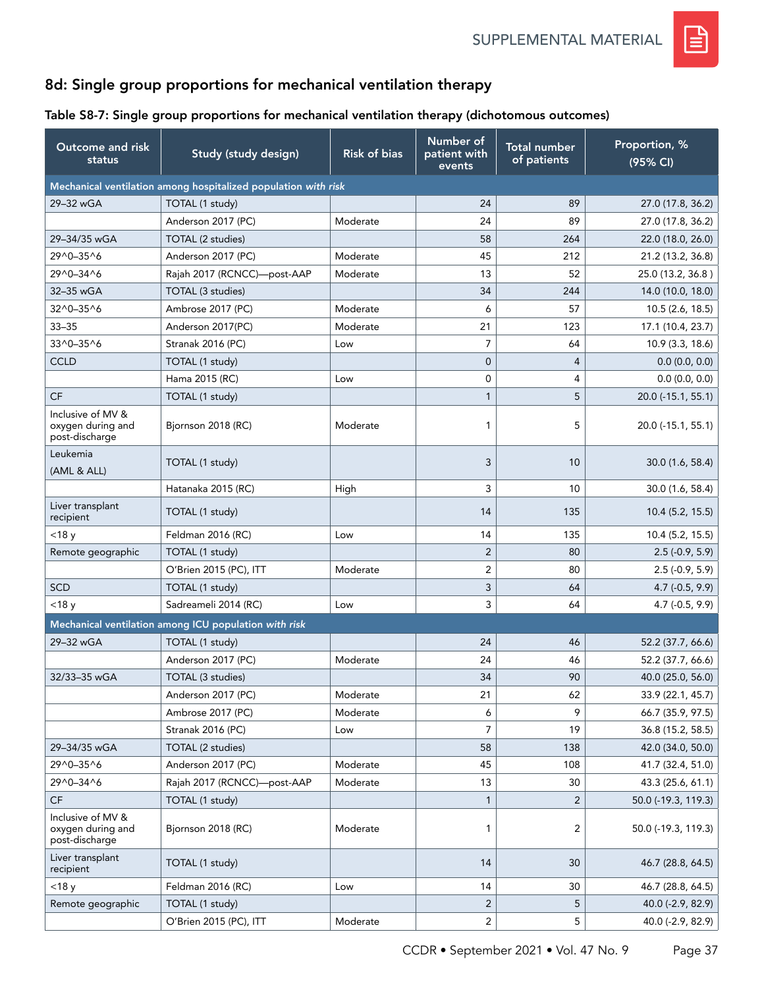

# 8d: Single group proportions for mechanical ventilation therapy

## Table S8-7: Single group proportions for mechanical ventilation therapy (dichotomous outcomes)

| <b>Outcome and risk</b><br>status                        | Study (study design)                                           | <b>Risk of bias</b> | Number of<br>patient with<br>events | <b>Total number</b><br>of patients | Proportion, %<br>(95% CI) |
|----------------------------------------------------------|----------------------------------------------------------------|---------------------|-------------------------------------|------------------------------------|---------------------------|
|                                                          | Mechanical ventilation among hospitalized population with risk |                     |                                     |                                    |                           |
| 29-32 wGA                                                | TOTAL (1 study)                                                |                     | 24                                  | 89                                 | 27.0 (17.8, 36.2)         |
|                                                          | Anderson 2017 (PC)                                             | Moderate            | 24                                  | 89                                 | 27.0 (17.8, 36.2)         |
| 29-34/35 wGA                                             | TOTAL (2 studies)                                              |                     | 58                                  | 264                                | 22.0 (18.0, 26.0)         |
| 29^0-35^6                                                | Anderson 2017 (PC)                                             | Moderate            | 45                                  | 212                                | 21.2 (13.2, 36.8)         |
| 29^0-34^6                                                | Rajah 2017 (RCNCC)-post-AAP                                    | Moderate            | 13                                  | 52                                 | 25.0 (13.2, 36.8)         |
| 32-35 wGA                                                | TOTAL (3 studies)                                              |                     | 34                                  | 244                                | 14.0 (10.0, 18.0)         |
| $32^0 - 35^0$                                            | Ambrose 2017 (PC)                                              | Moderate            | 6                                   | 57                                 | 10.5 (2.6, 18.5)          |
| $33 - 35$                                                | Anderson 2017(PC)                                              | Moderate            | 21                                  | 123                                | 17.1 (10.4, 23.7)         |
| 33^0-35^6                                                | Stranak 2016 (PC)                                              | Low                 | $\overline{7}$                      | 64                                 | 10.9(3.3, 18.6)           |
| <b>CCLD</b>                                              | TOTAL (1 study)                                                |                     | $\overline{0}$                      | $\overline{4}$                     | 0.0(0.0, 0.0)             |
|                                                          | Hama 2015 (RC)                                                 | Low                 | $\mathbf 0$                         | 4                                  | 0.0(0.0, 0.0)             |
| CF                                                       | TOTAL (1 study)                                                |                     | $\mathbf{1}$                        | 5                                  | 20.0 (-15.1, 55.1)        |
| Inclusive of MV &<br>oxygen during and<br>post-discharge | Bjornson 2018 (RC)                                             | Moderate            | 1                                   | 5                                  | 20.0 (-15.1, 55.1)        |
| Leukemia<br>(AML & ALL)                                  | TOTAL (1 study)                                                |                     | 3                                   | 10                                 | 30.0 (1.6, 58.4)          |
|                                                          | Hatanaka 2015 (RC)                                             | High                | 3                                   | 10                                 | 30.0 (1.6, 58.4)          |
| Liver transplant<br>recipient                            | TOTAL (1 study)                                                |                     | 14                                  | 135                                | 10.4 (5.2, 15.5)          |
| $<$ 18 y                                                 | Feldman 2016 (RC)                                              | Low                 | 14                                  | 135                                | 10.4(5.2, 15.5)           |
| Remote geographic                                        | TOTAL (1 study)                                                |                     | $\overline{2}$                      | 80                                 | $2.5(-0.9, 5.9)$          |
|                                                          | O'Brien 2015 (PC), ITT                                         | Moderate            | 2                                   | 80                                 | $2.5(-0.9, 5.9)$          |
| <b>SCD</b>                                               | TOTAL (1 study)                                                |                     | 3                                   | 64                                 | $4.7$ (-0.5, 9.9)         |
| $<$ 18 $y$                                               | Sadreameli 2014 (RC)                                           | Low                 | 3                                   | 64                                 | 4.7 (-0.5, 9.9)           |
|                                                          | Mechanical ventilation among ICU population with risk          |                     |                                     |                                    |                           |
| 29-32 wGA                                                | TOTAL (1 study)                                                |                     | 24                                  | 46                                 | 52.2 (37.7, 66.6)         |
|                                                          | Anderson 2017 (PC)                                             | Moderate            | 24                                  | 46                                 | 52.2 (37.7, 66.6)         |
| 32/33-35 wGA                                             | TOTAL (3 studies)                                              |                     | 34                                  | 90                                 | 40.0 (25.0, 56.0)         |
|                                                          | Anderson 2017 (PC)                                             | Moderate            | 21                                  | 62                                 | 33.9 (22.1, 45.7)         |
|                                                          | Ambrose 2017 (PC)                                              | Moderate            | 6                                   | 9                                  | 66.7 (35.9, 97.5)         |
|                                                          | <b>Stranak 2016 (PC)</b>                                       | Low                 | $\overline{7}$                      | 19                                 | 36.8 (15.2, 58.5)         |
| 29-34/35 wGA                                             | TOTAL (2 studies)                                              |                     | 58                                  | 138                                | 42.0 (34.0, 50.0)         |
| 29^0-35^6                                                | Anderson 2017 (PC)                                             | Moderate            | 45                                  | 108                                | 41.7 (32.4, 51.0)         |
| 29^0-34^6                                                | Rajah 2017 (RCNCC)-post-AAP                                    | Moderate            | 13                                  | 30                                 | 43.3 (25.6, 61.1)         |
| $\mathsf{C}\mathsf{F}$                                   | TOTAL (1 study)                                                |                     | $\mathbf{1}$                        | $\overline{2}$                     | 50.0 (-19.3, 119.3)       |
| Inclusive of MV &<br>oxygen during and<br>post-discharge | Bjornson 2018 (RC)                                             | Moderate            | 1                                   | 2                                  | 50.0 (-19.3, 119.3)       |
| Liver transplant<br>recipient                            | TOTAL (1 study)                                                |                     | 14                                  | 30                                 | 46.7 (28.8, 64.5)         |
| $<$ 18 $y$                                               | Feldman 2016 (RC)                                              | Low                 | 14                                  | 30                                 | 46.7 (28.8, 64.5)         |
| Remote geographic                                        | TOTAL (1 study)                                                |                     | $\sqrt{2}$                          | 5                                  | 40.0 (-2.9, 82.9)         |
|                                                          | O'Brien 2015 (PC), ITT                                         | Moderate            | $\overline{c}$                      | 5                                  | 40.0 (-2.9, 82.9)         |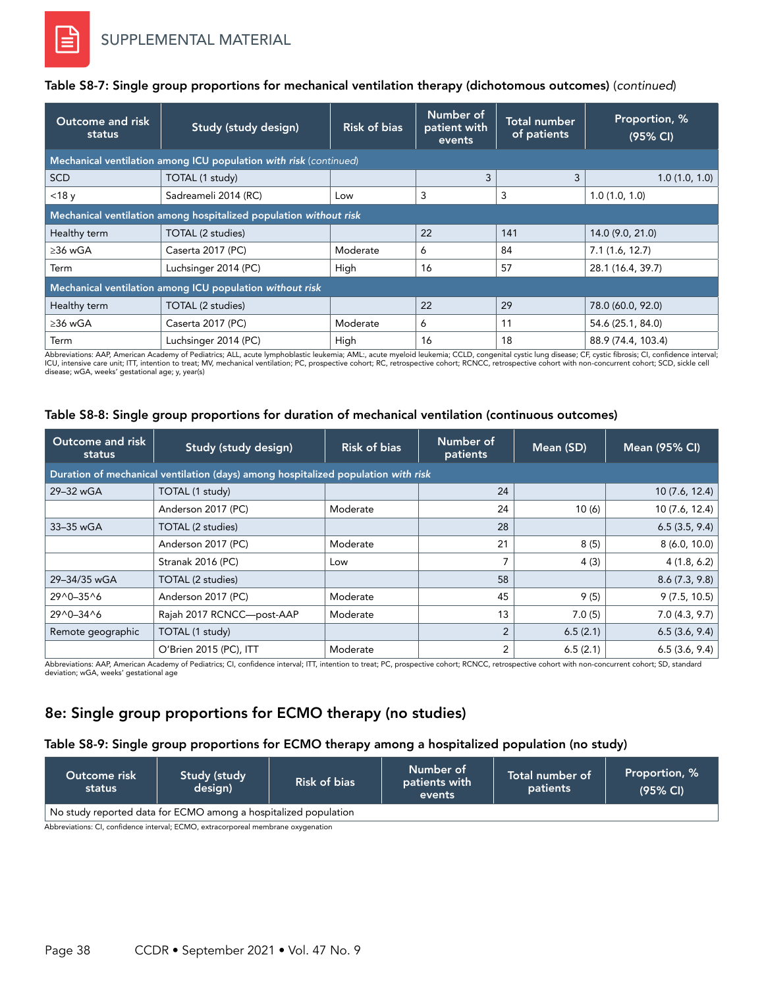| Outcome and risk<br>status                                        | Study (study design)                                              | <b>Risk of bias</b> | Number of<br>patient with<br>events | <b>Total number</b><br>of patients | Proportion, %<br>(95% CI) |  |  |
|-------------------------------------------------------------------|-------------------------------------------------------------------|---------------------|-------------------------------------|------------------------------------|---------------------------|--|--|
|                                                                   | Mechanical ventilation among ICU population with risk (continued) |                     |                                     |                                    |                           |  |  |
| <b>SCD</b>                                                        | TOTAL (1 study)                                                   |                     | 3                                   | 3                                  | 1.0(1.0, 1.0)             |  |  |
| $<$ 18 $y$                                                        | Sadreameli 2014 (RC)                                              | Low                 | 3                                   | 3                                  | 1.0(1.0, 1.0)             |  |  |
| Mechanical ventilation among hospitalized population without risk |                                                                   |                     |                                     |                                    |                           |  |  |
| Healthy term                                                      | TOTAL (2 studies)                                                 |                     | 22                                  | 141                                | 14.0 (9.0, 21.0)          |  |  |
| $\geq$ 36 wGA                                                     | Caserta 2017 (PC)                                                 | Moderate            | 6                                   | 84                                 | 7.1(1.6, 12.7)            |  |  |
| Term                                                              | Luchsinger 2014 (PC)                                              | High                | 16                                  | 57                                 | 28.1 (16.4, 39.7)         |  |  |
|                                                                   | Mechanical ventilation among ICU population without risk          |                     |                                     |                                    |                           |  |  |
| Healthy term                                                      | TOTAL (2 studies)                                                 |                     | 22                                  | 29                                 | 78.0 (60.0, 92.0)         |  |  |
| $\geq$ 36 wGA                                                     | Caserta 2017 (PC)                                                 | Moderate            | 6                                   | 11                                 | 54.6 (25.1, 84.0)         |  |  |
| Term                                                              | Luchsinger 2014 (PC)                                              | High                | 16                                  | 18                                 | 88.9 (74.4, 103.4)        |  |  |

### Table S8-7: Single group proportions for mechanical ventilation therapy (dichotomous outcomes) (*continued*)

Abbreviations: AAP, American Academy of Pediatrics; ALL, acute lymphoblastic leukemia; AML:, acute myeloid leukemia; CCLD, congenital cystic lung disease; CF, cystic fibrosis; CI, confidence interval;<br>ICU, intensive care u disease; wGA, weeks' gestational age; y, year(s)

#### Table S8-8: Single group proportions for duration of mechanical ventilation (continuous outcomes)

| Outcome and risk<br>status | Study (study design)                                                              | <b>Risk of bias</b> | Number of<br>patients | Mean (SD) | Mean (95% CI)  |  |  |  |  |  |
|----------------------------|-----------------------------------------------------------------------------------|---------------------|-----------------------|-----------|----------------|--|--|--|--|--|
|                            | Duration of mechanical ventilation (days) among hospitalized population with risk |                     |                       |           |                |  |  |  |  |  |
| 29-32 wGA                  | TOTAL (1 study)                                                                   |                     | 24                    |           | 10(7.6, 12.4)  |  |  |  |  |  |
|                            | Anderson 2017 (PC)                                                                | Moderate            | 24                    | 10(6)     | 10 (7.6, 12.4) |  |  |  |  |  |
| 33-35 wGA                  | TOTAL (2 studies)                                                                 |                     | 28                    |           | 6.5(3.5, 9.4)  |  |  |  |  |  |
|                            | Anderson 2017 (PC)                                                                | Moderate            | 21                    | 8(5)      | 8(6.0, 10.0)   |  |  |  |  |  |
|                            | Stranak 2016 (PC)                                                                 | Low                 |                       | 4(3)      | 4(1.8, 6.2)    |  |  |  |  |  |
| 29-34/35 wGA               | TOTAL (2 studies)                                                                 |                     | 58                    |           | 8.6(7.3, 9.8)  |  |  |  |  |  |
| 29^0-35^6                  | Anderson 2017 (PC)                                                                | Moderate            | 45                    | 9(5)      | 9(7.5, 10.5)   |  |  |  |  |  |
| 29^0-34^6                  | Rajah 2017 RCNCC-post-AAP                                                         | Moderate            | 13                    | 7.0(5)    | 7.0(4.3, 9.7)  |  |  |  |  |  |
| Remote geographic          | TOTAL (1 study)                                                                   |                     | $\overline{2}$        | 6.5(2.1)  | 6.5(3.6, 9.4)  |  |  |  |  |  |
|                            | O'Brien 2015 (PC), ITT                                                            | Moderate            | 2                     | 6.5(2.1)  | 6.5(3.6, 9.4)  |  |  |  |  |  |

Abbreviations: AAP, American Academy of Pediatrics; CI, confidence interval; ITT, intention to treat; PC, prospective cohort; RCNCC, retrospective cohort with non-concurrent cohort; SD, standard deviation; wGA, weeks' gestational age

## 8e: Single group proportions for ECMO therapy (no studies)

### Table S8-9: Single group proportions for ECMO therapy among a hospitalized population (no study)

| Outcome risk<br>status                                          | Study (study<br>design) | Risk of bias | Number of<br>patients with<br>events | Total number of<br>patients | Proportion, %<br>(95% CI) |  |  |  |
|-----------------------------------------------------------------|-------------------------|--------------|--------------------------------------|-----------------------------|---------------------------|--|--|--|
| No study reported data for ECMO among a hospitalized population |                         |              |                                      |                             |                           |  |  |  |
| .<br>$\sim$ $\sim$                                              | -----                   |              |                                      |                             |                           |  |  |  |

Abbreviations: CI, confidence interval; ECMO, extracorporeal membrane oxygenation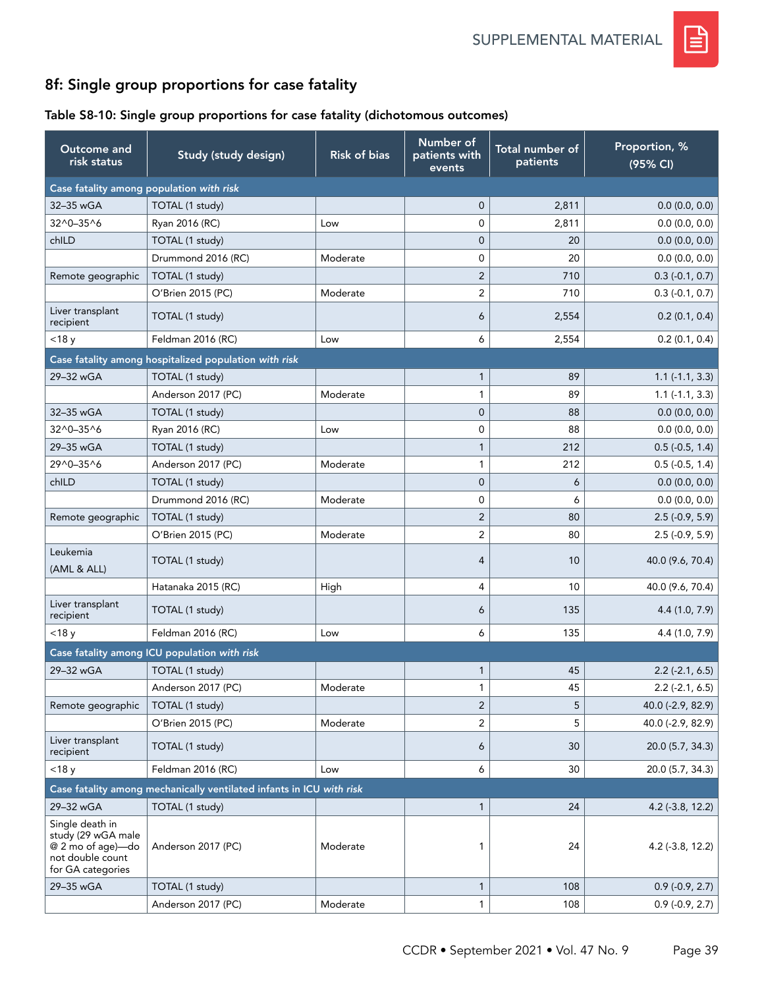

# 8f: Single group proportions for case fatality

## Table S8-10: Single group proportions for case fatality (dichotomous outcomes)

| Outcome and<br>risk status                                                                          | Study (study design)                                                 | <b>Risk of bias</b> | Number of<br>patients with<br>events | Total number of<br>patients | Proportion, %<br>(95% CI) |
|-----------------------------------------------------------------------------------------------------|----------------------------------------------------------------------|---------------------|--------------------------------------|-----------------------------|---------------------------|
| Case fatality among population with risk                                                            |                                                                      |                     |                                      |                             |                           |
| 32-35 wGA                                                                                           | TOTAL (1 study)                                                      |                     | $\overline{0}$                       | 2,811                       | 0.0(0.0, 0.0)             |
| 32^0-35^6                                                                                           | Ryan 2016 (RC)                                                       | Low                 | 0                                    | 2,811                       | 0.0(0.0, 0.0)             |
| chILD                                                                                               | TOTAL (1 study)                                                      |                     | $\overline{0}$                       | 20                          | 0.0(0.0, 0.0)             |
|                                                                                                     | Drummond 2016 (RC)                                                   | Moderate            | 0                                    | 20                          | 0.0(0.0, 0.0)             |
| Remote geographic                                                                                   | TOTAL (1 study)                                                      |                     | $\overline{2}$                       | 710                         | $0.3(-0.1, 0.7)$          |
|                                                                                                     | O'Brien 2015 (PC)                                                    | Moderate            | $\overline{c}$                       | 710                         | $0.3(-0.1, 0.7)$          |
| Liver transplant<br>recipient                                                                       | TOTAL (1 study)                                                      |                     | 6                                    | 2,554                       | 0.2(0.1, 0.4)             |
| $<$ 18 $y$                                                                                          | Feldman 2016 (RC)                                                    | Low                 | 6                                    | 2,554                       | 0.2(0.1, 0.4)             |
|                                                                                                     | Case fatality among hospitalized population with risk                |                     |                                      |                             |                           |
| 29-32 wGA                                                                                           | TOTAL (1 study)                                                      |                     | $\mathbf{1}$                         | 89                          | $1.1(-1.1, 3.3)$          |
|                                                                                                     | Anderson 2017 (PC)                                                   | Moderate            | $\mathbf{1}$                         | 89                          | $1.1(-1.1, 3.3)$          |
| 32-35 wGA                                                                                           | TOTAL (1 study)                                                      |                     | $\overline{0}$                       | 88                          | 0.0(0.0, 0.0)             |
| 32^0-35^6                                                                                           | Ryan 2016 (RC)                                                       | Low                 | 0                                    | 88                          | 0.0(0.0, 0.0)             |
| 29-35 wGA                                                                                           | TOTAL (1 study)                                                      |                     | $\mathbf{1}$                         | 212                         | $0.5$ (-0.5, 1.4)         |
| 29^0-35^6                                                                                           | Anderson 2017 (PC)                                                   | Moderate            | 1                                    | 212                         | $0.5$ (-0.5, 1.4)         |
| chILD                                                                                               | TOTAL (1 study)                                                      |                     | $\overline{0}$                       | 6                           | 0.0(0.0, 0.0)             |
|                                                                                                     | Drummond 2016 (RC)                                                   | Moderate            | 0                                    | 6                           | 0.0(0.0, 0.0)             |
| Remote geographic                                                                                   | TOTAL (1 study)                                                      |                     | $\overline{2}$                       | 80                          | $2.5(-0.9, 5.9)$          |
|                                                                                                     | O'Brien 2015 (PC)                                                    | Moderate            | $\overline{2}$                       | 80                          | $2.5(-0.9, 5.9)$          |
| Leukemia<br>(AML & ALL)                                                                             | TOTAL (1 study)                                                      |                     | $\overline{4}$                       | 10                          | 40.0 (9.6, 70.4)          |
|                                                                                                     | Hatanaka 2015 (RC)                                                   | High                | $\overline{4}$                       | 10                          | 40.0 (9.6, 70.4)          |
| Liver transplant<br>recipient                                                                       | TOTAL (1 study)                                                      |                     | 6                                    | 135                         | 4.4 (1.0, 7.9)            |
| $<$ 18 $y$                                                                                          | Feldman 2016 (RC)                                                    | Low                 | 6                                    | 135                         | 4.4 (1.0, 7.9)            |
|                                                                                                     | Case fatality among ICU population with risk                         |                     |                                      |                             |                           |
| 29-32 wGA                                                                                           | TOTAL (1 study)                                                      |                     | $\mathbf{1}$                         | 45                          | $2.2$ (-2.1, 6.5)         |
|                                                                                                     | Anderson 2017 (PC)                                                   | Moderate            | $\mathbf{1}$                         | 45                          | $2.2$ (-2.1, 6.5)         |
| Remote geographic                                                                                   | TOTAL (1 study)                                                      |                     | $\overline{2}$                       | 5                           | 40.0 (-2.9, 82.9)         |
|                                                                                                     | O'Brien 2015 (PC)                                                    | Moderate            | 2                                    | 5                           | 40.0 (-2.9, 82.9)         |
| Liver transplant<br>recipient                                                                       | TOTAL (1 study)                                                      |                     | 6                                    | 30                          | 20.0 (5.7, 34.3)          |
| $<$ 18 $y$                                                                                          | Feldman 2016 (RC)                                                    | Low                 | 6                                    | 30                          | 20.0 (5.7, 34.3)          |
|                                                                                                     | Case fatality among mechanically ventilated infants in ICU with risk |                     |                                      |                             |                           |
| 29-32 wGA                                                                                           | TOTAL (1 study)                                                      |                     | $\mathbf{1}$                         | 24                          | $4.2$ ( $-3.8$ , 12.2)    |
| Single death in<br>study (29 wGA male<br>@ 2 mo of age)-do<br>not double count<br>for GA categories | Anderson 2017 (PC)                                                   | Moderate            | 1                                    | 24                          | 4.2 (-3.8, 12.2)          |
| 29-35 wGA                                                                                           | TOTAL (1 study)                                                      |                     | $\mathbf{1}$                         | 108                         | $0.9$ (-0.9, 2.7)         |
|                                                                                                     | Anderson 2017 (PC)                                                   | Moderate            | 1                                    | 108                         | $0.9$ (-0.9, 2.7)         |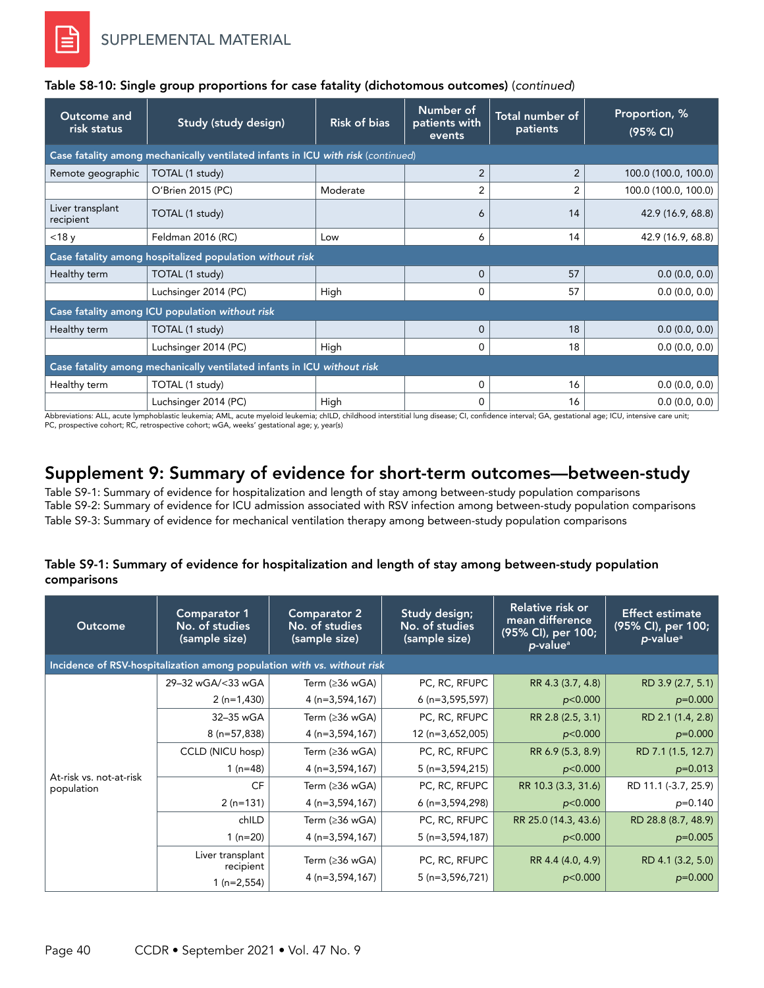| Outcome and<br>risk status    | Study (study design)                                                             | <b>Risk of bias</b> | Number of<br>patients with<br>events | Total number of<br>patients | Proportion, %<br>(95% CI) |  |  |  |  |  |
|-------------------------------|----------------------------------------------------------------------------------|---------------------|--------------------------------------|-----------------------------|---------------------------|--|--|--|--|--|
|                               | Case fatality among mechanically ventilated infants in ICU with risk (continued) |                     |                                      |                             |                           |  |  |  |  |  |
| Remote geographic             | TOTAL (1 study)                                                                  |                     | $\overline{2}$                       | $\overline{2}$              | 100.0 (100.0, 100.0)      |  |  |  |  |  |
|                               | O'Brien 2015 (PC)                                                                | Moderate            | 2                                    | 2                           | 100.0 (100.0, 100.0)      |  |  |  |  |  |
| Liver transplant<br>recipient | TOTAL (1 study)                                                                  |                     | 6                                    | 14                          | 42.9 (16.9, 68.8)         |  |  |  |  |  |
| $<$ 18 $y$                    | Feldman 2016 (RC)                                                                | Low                 | 6                                    | 14                          | 42.9 (16.9, 68.8)         |  |  |  |  |  |
|                               | Case fatality among hospitalized population without risk                         |                     |                                      |                             |                           |  |  |  |  |  |
| Healthy term                  | TOTAL (1 study)                                                                  |                     | $\Omega$                             | 57                          | 0.0(0.0, 0.0)             |  |  |  |  |  |
|                               | Luchsinger 2014 (PC)                                                             | High                | $\Omega$                             | 57                          | 0.0(0.0, 0.0)             |  |  |  |  |  |
|                               | Case fatality among ICU population without risk                                  |                     |                                      |                             |                           |  |  |  |  |  |
| Healthy term                  | TOTAL (1 study)                                                                  |                     | $\Omega$                             | 18                          | 0.0(0.0, 0.0)             |  |  |  |  |  |
|                               | Luchsinger 2014 (PC)                                                             | High                | $\Omega$                             | 18                          | 0.0(0.0, 0.0)             |  |  |  |  |  |
|                               | Case fatality among mechanically ventilated infants in ICU without risk          |                     |                                      |                             |                           |  |  |  |  |  |
| Healthy term                  | TOTAL (1 study)                                                                  |                     | $\Omega$                             | 16                          | 0.0(0.0, 0.0)             |  |  |  |  |  |
|                               | Luchsinger 2014 (PC)                                                             | High                | 0                                    | 16                          | 0.0(0.0, 0.0)             |  |  |  |  |  |

### Table S8-10: Single group proportions for case fatality (dichotomous outcomes) (*continued*)

Abbreviations: ALL, acute lymphoblastic leukemia; AML, acute myeloid leukemia; chlLD, childhood interstitial lung disease; CI, confidence interval; GA, gestational age; ICU, intensive care unit;<br>PC, prospective cohort; RC,

# Supplement 9: Summary of evidence for short-term outcomes—between-study

Table S9-1: Summary of evidence for hospitalization and length of stay among between-study population comparisons Table S9-2: Summary of evidence for ICU admission associated with RSV infection among between-study population comparisons Table S9-3: Summary of evidence for mechanical ventilation therapy among between-study population comparisons

### Table S9-1: Summary of evidence for hospitalization and length of stay among between-study population comparisons

| <b>Outcome</b>                                                          | <b>Comparator 1</b><br>No. of studies<br>(sample size) | <b>Comparator 2</b><br>No. of studies<br>(sample size) | Study design;<br>No. of studies<br>(sample size) | Relative risk or<br>mean difference<br>(95% CI), per 100;<br>p-value <sup>a</sup> | <b>Effect estimate</b><br>(95% CI), per 100;<br>p-value <sup>a</sup> |  |  |  |
|-------------------------------------------------------------------------|--------------------------------------------------------|--------------------------------------------------------|--------------------------------------------------|-----------------------------------------------------------------------------------|----------------------------------------------------------------------|--|--|--|
| Incidence of RSV-hospitalization among population with vs. without risk |                                                        |                                                        |                                                  |                                                                                   |                                                                      |  |  |  |
|                                                                         | 29-32 wGA/<33 wGA                                      | Term $(≥36$ wGA)                                       | PC, RC, RFUPC                                    | RR 4.3 (3.7, 4.8)                                                                 | RD 3.9 (2.7, 5.1)                                                    |  |  |  |
|                                                                         | $2(n=1,430)$                                           | $4(n=3,594,167)$                                       | $6(n=3,595,597)$                                 | p<0.000                                                                           | $p=0.000$                                                            |  |  |  |
|                                                                         | 32-35 wGA                                              | Term (≥36 wGA)                                         | PC, RC, RFUPC                                    | RR 2.8 (2.5, 3.1)                                                                 | RD 2.1 (1.4, 2.8)                                                    |  |  |  |
|                                                                         | $8(n=57,838)$                                          | $4(n=3,594,167)$                                       | 12 (n=3,652,005)                                 | p<0.000                                                                           | $p=0.000$                                                            |  |  |  |
|                                                                         | CCLD (NICU hosp)                                       | Term $(≥36$ wGA)                                       | PC, RC, RFUPC                                    | RR 6.9 (5.3, 8.9)                                                                 | RD 7.1 (1.5, 12.7)                                                   |  |  |  |
| At-risk vs. not-at-risk                                                 | 1 $(n=48)$                                             | $4(n=3,594,167)$                                       | $5(n=3,594,215)$                                 | p<0.000                                                                           | $p=0.013$                                                            |  |  |  |
| population                                                              | CF                                                     | Term (≥36 wGA)                                         | PC, RC, RFUPC                                    | RR 10.3 (3.3, 31.6)                                                               | RD 11.1 (-3.7, 25.9)                                                 |  |  |  |
|                                                                         | $2(n=131)$                                             | $4(n=3,594,167)$                                       | $6(n=3,594,298)$                                 | p<0.000                                                                           | $p=0.140$                                                            |  |  |  |
|                                                                         | chILD                                                  | Term (≥36 wGA)                                         | PC, RC, RFUPC                                    | RR 25.0 (14.3, 43.6)                                                              | RD 28.8 (8.7, 48.9)                                                  |  |  |  |
|                                                                         | 1 $(n=20)$                                             | $4(n=3,594,167)$                                       | $5(n=3,594,187)$                                 | p<0.000                                                                           | $p=0.005$                                                            |  |  |  |
|                                                                         | Liver transplant<br>recipient                          | Term (≥36 wGA)                                         | PC, RC, RFUPC                                    | RR 4.4 (4.0, 4.9)                                                                 | RD 4.1 (3.2, 5.0)                                                    |  |  |  |
|                                                                         | $1(n=2,554)$                                           | $4(n=3,594,167)$                                       | $5(n=3,596,721)$                                 | p<0.000                                                                           | $p=0.000$                                                            |  |  |  |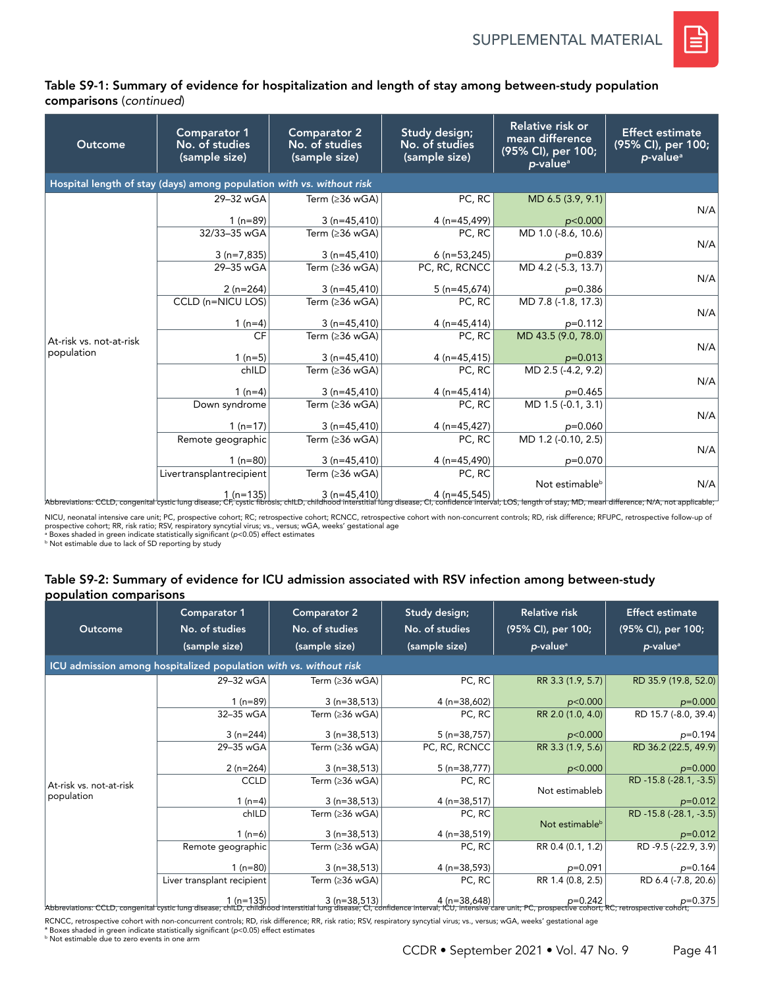

### Table S9-1: Summary of evidence for hospitalization and length of stay among between-study population comparisons (*continued*)

| Outcome                 | <b>Comparator 1</b><br>No. of studies<br>(sample size)                                                                                                                                                                           | <b>Comparator 2</b><br>No. of studies<br>(sample size) | Study design;<br>No. of studies<br>(sample size) | Relative risk or<br>mean difference<br>(95% CI), per 100;<br>$p$ -value <sup>a</sup> | <b>Effect estimate</b><br>(95% CI), per 100;<br>$p$ -value <sup>a</sup> |
|-------------------------|----------------------------------------------------------------------------------------------------------------------------------------------------------------------------------------------------------------------------------|--------------------------------------------------------|--------------------------------------------------|--------------------------------------------------------------------------------------|-------------------------------------------------------------------------|
|                         | Hospital length of stay (days) among population with vs. without risk                                                                                                                                                            |                                                        |                                                  |                                                                                      |                                                                         |
|                         | 29-32 wGA                                                                                                                                                                                                                        | Term ( $\geq$ 36 wGA)                                  | PC, RC                                           | MD 6.5 (3.9, 9.1)                                                                    |                                                                         |
|                         | $1(n=89)$                                                                                                                                                                                                                        | $3(n=45,410)$                                          | $4(n=45,499)$                                    | p<0.000                                                                              | N/A                                                                     |
|                         | 32/33-35 wGA                                                                                                                                                                                                                     | Term ( $\geq$ 36 wGA)                                  | PC, RC                                           | MD 1.0 (-8.6, 10.6)                                                                  |                                                                         |
|                         | $3(n=7,835)$                                                                                                                                                                                                                     | $3(n=45,410)$                                          | $6(n=53,245)$                                    | $p=0.839$                                                                            | N/A                                                                     |
|                         | 29-35 wGA                                                                                                                                                                                                                        | Term ( $\geq$ 36 wGA)                                  | PC, RC, RCNCC                                    | MD 4.2 (-5.3, 13.7)                                                                  |                                                                         |
|                         |                                                                                                                                                                                                                                  |                                                        |                                                  |                                                                                      | N/A                                                                     |
|                         | $2(n=264)$                                                                                                                                                                                                                       | $3(n=45,410)$                                          | $5(n=45,674)$                                    | $p=0.386$                                                                            |                                                                         |
|                         | CCLD (n=NICU LOS)                                                                                                                                                                                                                | Term ( $\geq$ 36 wGA)                                  | PC, RC                                           | MD 7.8 (-1.8, 17.3)                                                                  |                                                                         |
|                         | 1 $(n=4)$                                                                                                                                                                                                                        | $3(n=45,410)$                                          | $4(n=45,414)$                                    | $p=0.112$                                                                            | N/A                                                                     |
| At-risk vs. not-at-risk | <b>CF</b>                                                                                                                                                                                                                        | Term (≥36 wGA)                                         | PC, RC                                           | MD 43.5 (9.0, 78.0)                                                                  |                                                                         |
| population              |                                                                                                                                                                                                                                  |                                                        |                                                  |                                                                                      | N/A                                                                     |
|                         | $1(n=5)$                                                                                                                                                                                                                         | $3(n=45,410)$                                          | $4(n=45,415)$                                    | $p=0.013$                                                                            |                                                                         |
|                         | chILD                                                                                                                                                                                                                            | Term ( $\geq$ 36 wGA)                                  | PC, RC                                           | MD 2.5 (-4.2, 9.2)                                                                   | N/A                                                                     |
|                         | $1(n=4)$                                                                                                                                                                                                                         | $3(n=45,410)$                                          | $4(n=45,414)$                                    | $p=0.465$                                                                            |                                                                         |
|                         | Down syndrome                                                                                                                                                                                                                    | Term ( $\geq$ 36 wGA)                                  | PC, RC                                           | MD 1.5 (-0.1, 3.1)                                                                   |                                                                         |
|                         | $1(n=17)$                                                                                                                                                                                                                        | $3(n=45,410)$                                          | 4 (n=45,427)                                     | $p=0.060$                                                                            | N/A                                                                     |
|                         | Remote geographic                                                                                                                                                                                                                | Term ( $\geq$ 36 wGA)                                  | PC, RC                                           | MD 1.2 (-0.10, 2.5)                                                                  |                                                                         |
|                         |                                                                                                                                                                                                                                  |                                                        |                                                  |                                                                                      | N/A                                                                     |
|                         | $1(n=80)$                                                                                                                                                                                                                        | $3(n=45,410)$                                          | $4(n=45,490)$                                    | $p=0.070$                                                                            |                                                                         |
|                         | Livertransplantrecipient                                                                                                                                                                                                         | Term ( $\geq$ 36 wGA)                                  | PC, RC                                           |                                                                                      |                                                                         |
|                         |                                                                                                                                                                                                                                  |                                                        |                                                  | Not estimable <sup>b</sup>                                                           | N/A                                                                     |
|                         | │ who differences the differences of the 135} and the 45,410} and the 45,545} and the differences N/A, not applicable, "<br>Abbreviations: CCLD, congenital cystic lung disease; CF, cystic fibrosis; chlLD, childhood interstit |                                                        |                                                  |                                                                                      |                                                                         |

NICU, neonatal intensive care unit; PC, prospective cohort; RC; retrospective cohort; RCNCC, retrospective cohort with non-concurrent controls; RD, risk difference; RFUPC, retrospective follow-up of prospective cohort; RR, risk ratio; RSV, respiratory syncytial virus; vs., versus; wGA, weeks' gestational age<br>ª Boxes shaded in green indicate statistically significant (p<0.05) effect estimates

**b Not estimable due to lack of SD reporting by study** 

#### Table S9-2: Summary of evidence for ICU admission associated with RSV infection among between-study population comparisons

| Outcome                 | <b>Comparator 1</b><br>No. of studies<br>(sample size)                                                          | <b>Comparator 2</b><br>No. of studies<br>(sample size) | Study design;<br>No. of studies<br>(sample size) | <b>Relative risk</b><br>(95% CI), per 100;<br>$p$ -value <sup>a</sup> | <b>Effect estimate</b><br>(95% CI), per 100;<br>$p$ -value <sup>a</sup> |  |  |  |
|-------------------------|-----------------------------------------------------------------------------------------------------------------|--------------------------------------------------------|--------------------------------------------------|-----------------------------------------------------------------------|-------------------------------------------------------------------------|--|--|--|
|                         | ICU admission among hospitalized population with vs. without risk                                               |                                                        |                                                  |                                                                       |                                                                         |  |  |  |
|                         | 29-32 wGA                                                                                                       | Term ( $\geq$ 36 wGA)                                  | PC, RC                                           | RR 3.3 (1.9, 5.7)                                                     | RD 35.9 (19.8, 52.0)                                                    |  |  |  |
|                         | $1(n=89)$                                                                                                       | $3(n=38,513)$                                          | $4(n=38,602)$                                    | p<0.000                                                               | $p=0.000$                                                               |  |  |  |
|                         | 32-35 wGA                                                                                                       | Term (≥36 wGA)                                         | PC, RC                                           | RR 2.0 (1.0, 4.0)                                                     | RD 15.7 (-8.0, 39.4)                                                    |  |  |  |
|                         | $3(n=244)$                                                                                                      | $3(n=38,513)$                                          | $5(n=38,757)$                                    | p<0.000                                                               | $p=0.194$                                                               |  |  |  |
|                         | 29-35 wGA                                                                                                       | Term (≥36 wGA)                                         | PC, RC, RCNCC                                    | RR 3.3 (1.9, 5.6)                                                     | RD 36.2 (22.5, 49.9)                                                    |  |  |  |
|                         | $2(n=264)$                                                                                                      | $3(n=38,513)$                                          | $5(n=38,777)$                                    | p<0.000                                                               | $p=0.000$                                                               |  |  |  |
| At-risk vs. not-at-risk | <b>CCLD</b>                                                                                                     | Term (≥36 wGA)                                         | PC, RC                                           |                                                                       | RD -15.8 (-28.1, -3.5)                                                  |  |  |  |
| population              | 1 $(n=4)$                                                                                                       | $3(n=38,513)$                                          | $4(n=38,517)$                                    | Not estimableb                                                        | $p=0.012$                                                               |  |  |  |
|                         | chILD                                                                                                           | Term (≥36 wGA)                                         | PC, RC                                           |                                                                       | RD -15.8 (-28.1, -3.5)                                                  |  |  |  |
|                         | $1(n=6)$                                                                                                        | $3(n=38,513)$                                          | $4(n=38,519)$                                    | Not estimable <sup>b</sup>                                            | $p=0.012$                                                               |  |  |  |
|                         | Remote geographic                                                                                               | Term (≥36 wGA)                                         | PC, RC                                           | RR 0.4 (0.1, 1.2)                                                     | RD -9.5 (-22.9, 3.9)                                                    |  |  |  |
|                         | $1(n=80)$                                                                                                       | $3(n=38,513)$                                          | $4(n=38,593)$                                    | $p=0.091$                                                             | $p=0.164$                                                               |  |  |  |
|                         | Liver transplant recipient                                                                                      | Term (≥36 wGA)                                         | PC, RC                                           | RR 1.4 (0.8, 2.5)                                                     | RD 6.4 (-7.8, 20.6)                                                     |  |  |  |
|                         | =0 1 (n=135) de=38,513) 4 (n=38,648) p=0.242 p=0.242 [n=38,513} 1 (n=135) de=38,513) p=0.242 [n=38,648] p=0.242 |                                                        |                                                  |                                                                       | $p=0.375$                                                               |  |  |  |

RCNCC, retrospective cohort with non-concurrent controls; RD, risk difference; RR, risk ratio; RSV, respiratory syncytial virus; vs., versus; wGA, weeks' gestational age

<sup>a</sup> Boxes shaded in green indicate statistically significant (*p<*0.05) effect estimates<br><sup>b</sup> Not estimable due to zero events in one arm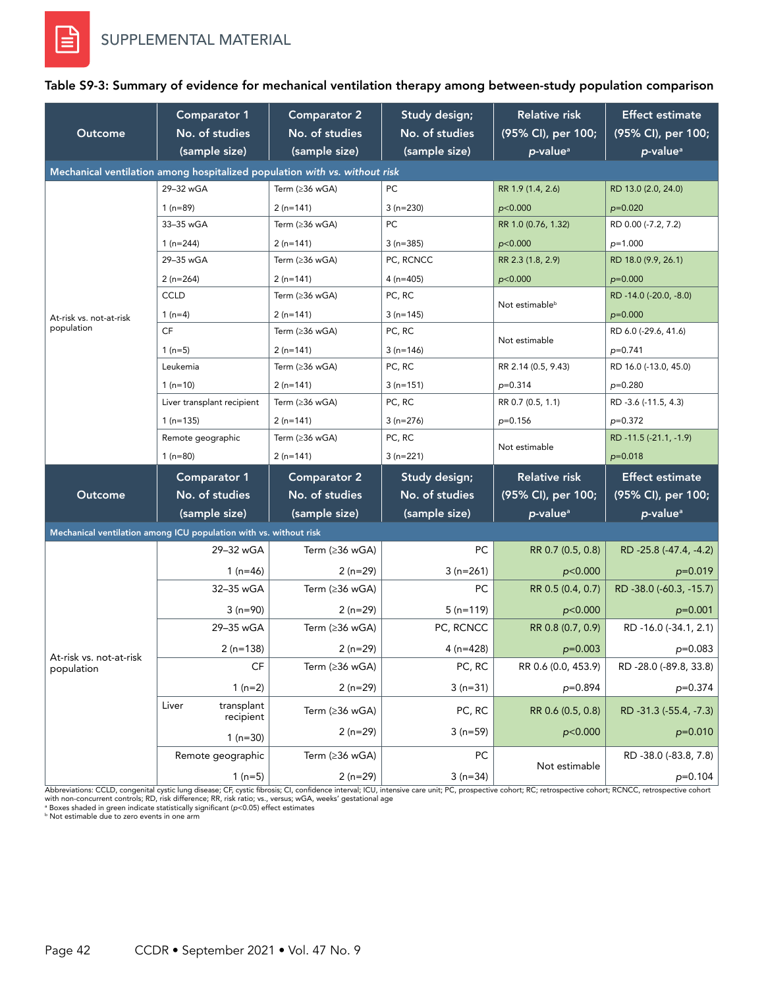

| Outcome                                                                    | <b>Comparator 1</b><br>No. of studies<br>(sample size)            | <b>Comparator 2</b><br>No. of studies<br>(sample size) | Study design;<br>No. of studies<br>(sample size) | Relative risk<br>(95% CI), per 100;<br>p-value <sup>a</sup> | <b>Effect estimate</b><br>(95% CI), per 100;<br>p-value <sup>a</sup> |  |
|----------------------------------------------------------------------------|-------------------------------------------------------------------|--------------------------------------------------------|--------------------------------------------------|-------------------------------------------------------------|----------------------------------------------------------------------|--|
| Mechanical ventilation among hospitalized population with vs. without risk |                                                                   |                                                        |                                                  |                                                             |                                                                      |  |
|                                                                            | 29-32 wGA                                                         | Term $( \geq 36 \text{ wGA})$                          | PC                                               | RR 1.9 (1.4, 2.6)                                           | RD 13.0 (2.0, 24.0)                                                  |  |
|                                                                            | 1 $(n=89)$                                                        | $2(n=141)$                                             | $3(n=230)$                                       | p<0.000                                                     | $p=0.020$                                                            |  |
|                                                                            | 33-35 wGA                                                         | Term (≥36 wGA)                                         | PC                                               | RR 1.0 (0.76, 1.32)                                         | RD 0.00 (-7.2, 7.2)                                                  |  |
|                                                                            | 1 $(n=244)$                                                       | $2(n=141)$                                             | $3(n=385)$                                       | p<0.000                                                     | $p=1.000$                                                            |  |
|                                                                            | 29-35 wGA                                                         | Term (≥36 wGA)                                         | PC, RCNCC                                        | RR 2.3 (1.8, 2.9)                                           | RD 18.0 (9.9, 26.1)                                                  |  |
|                                                                            | $2(n=264)$                                                        | $2(n=141)$                                             | $4(n=405)$                                       | p<0.000                                                     | $p=0.000$                                                            |  |
|                                                                            | <b>CCLD</b>                                                       | Term (≥36 wGA)                                         | PC, RC                                           | Not estimable <sup>b</sup>                                  | RD-14.0 (-20.0, -8.0)                                                |  |
| At-risk vs. not-at-risk                                                    | 1 $(n=4)$                                                         | $2(n=141)$                                             | $3(n=145)$                                       |                                                             | $p=0.000$                                                            |  |
| population                                                                 | CF                                                                | Term (≥36 wGA)                                         | PC, RC                                           | Not estimable                                               | RD 6.0 (-29.6, 41.6)                                                 |  |
|                                                                            | $1(n=5)$                                                          | $2(n=141)$                                             | $3(n=146)$                                       |                                                             | $p=0.741$                                                            |  |
|                                                                            | Leukemia                                                          | Term (≥36 wGA)                                         | PC, RC                                           | RR 2.14 (0.5, 9.43)                                         | RD 16.0 (-13.0, 45.0)                                                |  |
|                                                                            | $1(n=10)$                                                         | $2(n=141)$                                             | $3(n=151)$                                       | $p=0.314$                                                   | $p=0.280$                                                            |  |
|                                                                            | Liver transplant recipient                                        | Term (≥36 wGA)                                         | PC, RC                                           | RR 0.7 (0.5, 1.1)                                           | RD -3.6 (-11.5, 4.3)                                                 |  |
|                                                                            | $1(n=135)$                                                        | $2(n=141)$                                             | $3(n=276)$                                       | $p=0.156$                                                   | $p=0.372$                                                            |  |
|                                                                            | Remote geographic                                                 | Term (≥36 wGA)                                         | PC, RC                                           | Not estimable                                               | RD -11.5 (-21.1, -1.9)                                               |  |
|                                                                            | $1(n=80)$                                                         | $2(n=141)$                                             | $3(n=221)$                                       |                                                             | $p=0.018$                                                            |  |
|                                                                            | <b>Comparator 1</b>                                               | <b>Comparator 2</b>                                    | Study design;                                    | <b>Relative risk</b>                                        | <b>Effect estimate</b>                                               |  |
| Outcome                                                                    | No. of studies                                                    | No. of studies                                         | No. of studies                                   | (95% CI), per 100;                                          | (95% CI), per 100;                                                   |  |
|                                                                            | (sample size)                                                     | (sample size)                                          | (sample size)                                    | p-value <sup>a</sup>                                        | p-value <sup>a</sup>                                                 |  |
|                                                                            | Mechanical ventilation among ICU population with vs. without risk |                                                        |                                                  |                                                             |                                                                      |  |
|                                                                            | 29-32 wGA                                                         | Term ( $\geq$ 36 wGA)                                  | PC                                               | RR 0.7 (0.5, 0.8)                                           | RD-25.8 (-47.4, -4.2)                                                |  |
|                                                                            | 1 $(n=46)$                                                        | $2(n=29)$                                              | $3(n=261)$                                       | p<0.000                                                     | $p=0.019$                                                            |  |
|                                                                            | 32-35 wGA                                                         | Term (≥36 wGA)                                         | PC.                                              | RR 0.5 (0.4, 0.7)                                           | RD -38.0 (-60.3, -15.7)                                              |  |
|                                                                            | $3(n=90)$                                                         | $2(n=29)$                                              | $5(n=119)$                                       | p<0.000                                                     | $p=0.001$                                                            |  |
|                                                                            | 29-35 wGA                                                         | Term $(≥36$ wGA)                                       | PC, RCNCC                                        | RR 0.8 (0.7, 0.9)                                           | RD -16.0 (-34.1, 2.1)                                                |  |
|                                                                            | $2(n=138)$                                                        | $2(n=29)$                                              | 4 ( $n=428$ )                                    | $p=0.003$                                                   | $p=0.083$                                                            |  |
| At-risk vs. not-at-risk<br>population                                      | CF                                                                | Term (≥36 wGA)                                         | PC, RC                                           | RR 0.6 (0.0, 453.9)                                         | RD -28.0 (-89.8, 33.8)                                               |  |
|                                                                            | $1(n=2)$                                                          | $2(n=29)$                                              | $3(n=31)$                                        | p=0.894                                                     | $p=0.374$                                                            |  |
|                                                                            | Liver<br>transplant<br>recipient                                  | Term (≥36 wGA)                                         | PC, RC                                           | RR 0.6 (0.5, 0.8)                                           | RD -31.3 (-55.4, -7.3)                                               |  |
|                                                                            | $1(n=30)$                                                         | $2(n=29)$                                              | $3(n=59)$                                        | p<0.000                                                     | $p=0.010$                                                            |  |
|                                                                            | Remote geographic                                                 | Term (≥36 wGA)                                         | PC                                               |                                                             | RD -38.0 (-83.8, 7.8)                                                |  |
|                                                                            | $1(n=5)$                                                          | $2(n=29)$                                              | $3(n=34)$                                        | Not estimable                                               | $p=0.104$                                                            |  |

#### Table S9-3: Summary of evidence for mechanical ventilation therapy among between-study population comparison

Abbreviations: CCLD, congenital cystic lung disease; CF, cystic fibrosis; CI, confidence interval; ICU, intensive care unit; PC, prospective cohort; RC; retrospective cohort; RCNCC, retrospective cohort;

with non-concurrent controls; RD, risk difference; RR, risk ratio; vs., versus; wGA, weeks' gestational age<br>\* Boxes shaded in green indicate statistically significant (p<0.05) effect estimates<br><sup>6</sup> Not estimable due to zero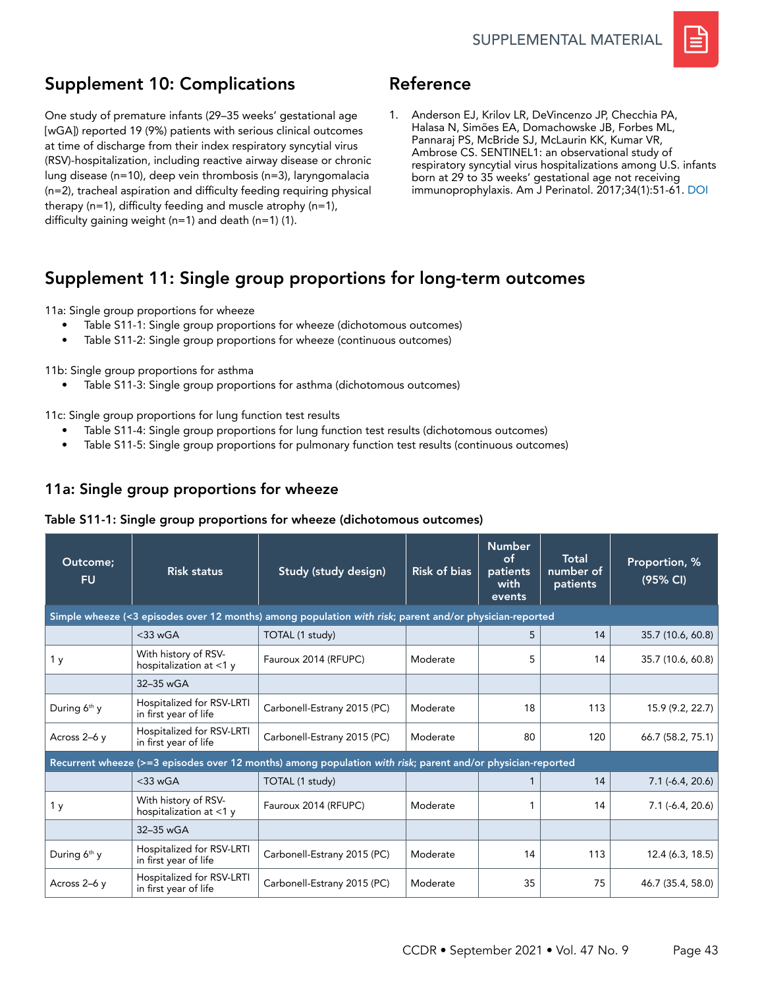

# Supplement 10: Complications

One study of premature infants (29–35 weeks' gestational age [wGA]) reported 19 (9%) patients with serious clinical outcomes at time of discharge from their index respiratory syncytial virus (RSV)-hospitalization, including reactive airway disease or chronic lung disease (n=10), deep vein thrombosis (n=3), laryngomalacia (n=2), tracheal aspiration and difficulty feeding requiring physical therapy (n=1), difficulty feeding and muscle atrophy (n=1), difficulty gaining weight (n=1) and death (n=1) (1).

# Reference

1. Anderson EJ, Krilov LR, DeVincenzo JP, Checchia PA, Halasa N, Simões EA, Domachowske JB, Forbes ML, Pannaraj PS, McBride SJ, McLaurin KK, Kumar VR, Ambrose CS. SENTINEL1: an observational study of respiratory syncytial virus hospitalizations among U.S. infants born at 29 to 35 weeks' gestational age not receiving immunoprophylaxis. Am J Perinatol. 2017;34(1):51-61. [DOI](https://doi.org/10.1055/s-0036-1584147)

# Supplement 11: Single group proportions for long-term outcomes

#### 11a: Single group proportions for wheeze

- Table S11-1: Single group proportions for wheeze (dichotomous outcomes)
- Table S11-2: Single group proportions for wheeze (continuous outcomes)

11b: Single group proportions for asthma

• Table S11-3: Single group proportions for asthma (dichotomous outcomes)

11c: Single group proportions for lung function test results

- Table S11-4: Single group proportions for lung function test results (dichotomous outcomes)
- Table S11-5: Single group proportions for pulmonary function test results (continuous outcomes)

## 11a: Single group proportions for wheeze

### Table S11-1: Single group proportions for wheeze (dichotomous outcomes)

| Outcome;<br><b>FU</b>    | <b>Risk status</b>                                 | Study (study design)                                                                                        | <b>Risk of bias</b> | <b>Number</b><br><b>of</b><br>patients<br>with<br>events | Total<br>number of<br>patients | Proportion, %<br>(95% CI) |
|--------------------------|----------------------------------------------------|-------------------------------------------------------------------------------------------------------------|---------------------|----------------------------------------------------------|--------------------------------|---------------------------|
|                          |                                                    | Simple wheeze (<3 episodes over 12 months) among population with risk; parent and/or physician-reported     |                     |                                                          |                                |                           |
|                          | $<$ 33 wGA                                         | TOTAL (1 study)                                                                                             |                     | 5                                                        | 14                             | 35.7 (10.6, 60.8)         |
| 1 y                      | With history of RSV-<br>hospitalization at $<$ 1 y | Fauroux 2014 (RFUPC)                                                                                        | Moderate            | 5                                                        | 14                             | 35.7 (10.6, 60.8)         |
|                          | 32-35 wGA                                          |                                                                                                             |                     |                                                          |                                |                           |
| During 6 <sup>th</sup> y | Hospitalized for RSV-LRTI<br>in first year of life | Carbonell-Estrany 2015 (PC)                                                                                 | Moderate            | 18                                                       | 113                            | 15.9 (9.2, 22.7)          |
| Across 2-6 y             | Hospitalized for RSV-LRTI<br>in first year of life | Carbonell-Estrany 2015 (PC)                                                                                 | Moderate            | 80                                                       | 120                            | 66.7 (58.2, 75.1)         |
|                          |                                                    | Recurrent wheeze (>=3 episodes over 12 months) among population with risk; parent and/or physician-reported |                     |                                                          |                                |                           |
|                          | $<$ 33 wGA                                         | TOTAL (1 study)                                                                                             |                     | 1                                                        | 14                             | $7.1(-6.4, 20.6)$         |
| 1 <sub>y</sub>           | With history of RSV-<br>hospitalization at <1 y    | Fauroux 2014 (RFUPC)                                                                                        | Moderate            | 1                                                        | 14                             | $7.1(-6.4, 20.6)$         |
|                          | 32-35 wGA                                          |                                                                                                             |                     |                                                          |                                |                           |
| During 6 <sup>th</sup> y | Hospitalized for RSV-LRTI<br>in first year of life | Carbonell-Estrany 2015 (PC)                                                                                 | Moderate            | 14                                                       | 113                            | 12.4 (6.3, 18.5)          |
| Across 2-6 y             | Hospitalized for RSV-LRTI<br>in first year of life | Carbonell-Estrany 2015 (PC)                                                                                 | Moderate            | 35                                                       | 75                             | 46.7 (35.4, 58.0)         |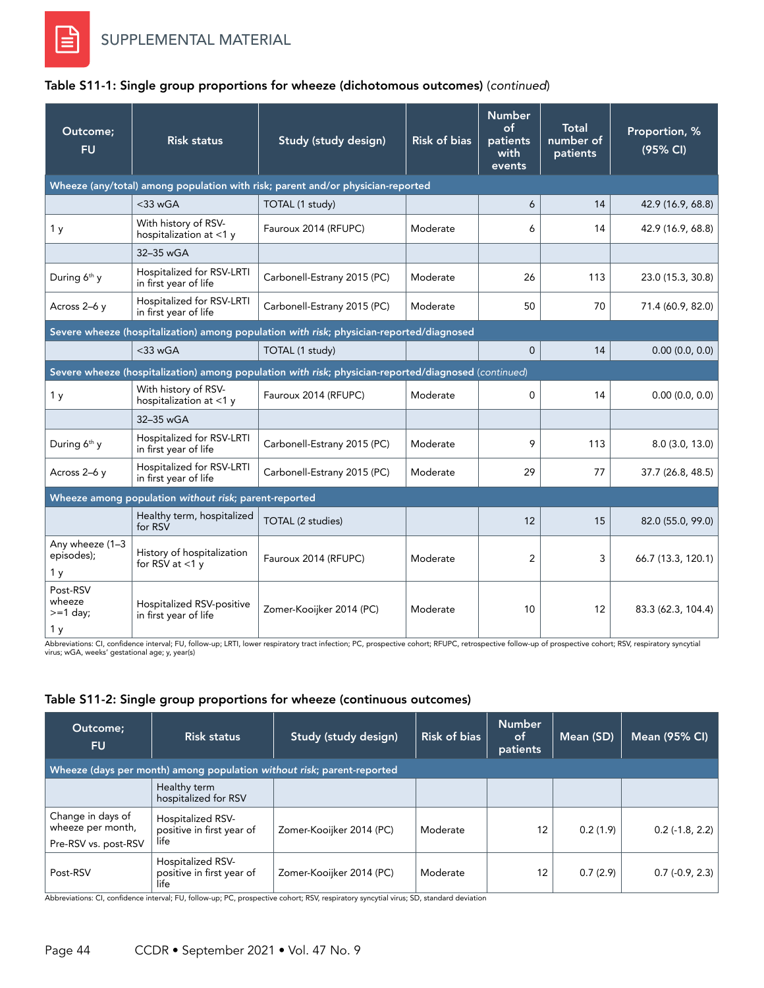| Outcome;<br><b>FU</b>                              | <b>Risk status</b>                                                                       | Study (study design)                                                                                 | <b>Risk of bias</b> | <b>Number</b><br>$\circ$ f<br>patients<br>with<br>events | Total<br>number of<br>patients | Proportion, %<br>(95% CI) |  |  |
|----------------------------------------------------|------------------------------------------------------------------------------------------|------------------------------------------------------------------------------------------------------|---------------------|----------------------------------------------------------|--------------------------------|---------------------------|--|--|
|                                                    | Wheeze (any/total) among population with risk; parent and/or physician-reported          |                                                                                                      |                     |                                                          |                                |                           |  |  |
|                                                    | $<$ 33 wGA                                                                               | TOTAL (1 study)                                                                                      |                     | 6                                                        | 14                             | 42.9 (16.9, 68.8)         |  |  |
| 1 <sub>y</sub>                                     | With history of RSV-<br>hospitalization at <1 y                                          | Fauroux 2014 (RFUPC)                                                                                 | Moderate            | 6                                                        | 14                             | 42.9 (16.9, 68.8)         |  |  |
|                                                    | 32-35 wGA                                                                                |                                                                                                      |                     |                                                          |                                |                           |  |  |
| During 6 <sup>th</sup> y                           | Hospitalized for RSV-LRTI<br>in first year of life                                       | Carbonell-Estrany 2015 (PC)                                                                          | Moderate            | 26                                                       | 113                            | 23.0 (15.3, 30.8)         |  |  |
| Across 2-6 y                                       | Hospitalized for RSV-LRTI<br>in first year of life                                       | Carbonell-Estrany 2015 (PC)                                                                          | Moderate            | 50                                                       | 70                             | 71.4 (60.9, 82.0)         |  |  |
|                                                    | Severe wheeze (hospitalization) among population with risk; physician-reported/diagnosed |                                                                                                      |                     |                                                          |                                |                           |  |  |
|                                                    | $<$ 33 wGA                                                                               | TOTAL (1 study)                                                                                      |                     | $\Omega$                                                 | 14                             | 0.00(0.0, 0.0)            |  |  |
|                                                    |                                                                                          | Severe wheeze (hospitalization) among population with risk; physician-reported/diagnosed (continued) |                     |                                                          |                                |                           |  |  |
| 1 <sub>y</sub>                                     | With history of RSV-<br>hospitalization at <1 y                                          | Fauroux 2014 (RFUPC)                                                                                 | Moderate            | 0                                                        | 14                             | 0.00(0.0, 0.0)            |  |  |
|                                                    | 32-35 wGA                                                                                |                                                                                                      |                     |                                                          |                                |                           |  |  |
| During 6 <sup>th</sup> y                           | Hospitalized for RSV-LRTI<br>in first year of life                                       | Carbonell-Estrany 2015 (PC)                                                                          | Moderate            | 9                                                        | 113                            | 8.0(3.0, 13.0)            |  |  |
| Across 2-6 y                                       | Hospitalized for RSV-LRTI<br>in first year of life                                       | Carbonell-Estrany 2015 (PC)                                                                          | Moderate            | 29                                                       | 77                             | 37.7 (26.8, 48.5)         |  |  |
|                                                    | Wheeze among population without risk; parent-reported                                    |                                                                                                      |                     |                                                          |                                |                           |  |  |
|                                                    | Healthy term, hospitalized<br>for RSV                                                    | TOTAL (2 studies)                                                                                    |                     | 12                                                       | 15                             | 82.0 (55.0, 99.0)         |  |  |
| Any wheeze (1-3<br>episodes);<br>1 <sub>y</sub>    | History of hospitalization<br>for RSV at $<$ 1 y                                         | Fauroux 2014 (RFUPC)                                                                                 | Moderate            | 2                                                        | 3                              | 66.7 (13.3, 120.1)        |  |  |
| Post-RSV<br>wheeze<br>$>=1$ day;<br>1 <sub>y</sub> | Hospitalized RSV-positive<br>in first year of life                                       | Zomer-Kooijker 2014 (PC)                                                                             | Moderate            | 10                                                       | 12                             | 83.3 (62.3, 104.4)        |  |  |

### Table S11-1: Single group proportions for wheeze (dichotomous outcomes) (*continued*)

Abbreviations: CI, confidence interval; FU, follow-up; LRTI, lower respiratory tract infection; PC, prospective cohort; RFUPC, retrospective follow-up of prospective cohort; RSV, respiratory syncytial<br>virus; wGA, weeks' ge

### Table S11-2: Single group proportions for wheeze (continuous outcomes)

| Outcome;<br><b>FU</b>                                                  | <b>Risk status</b>                                     | Study (study design)     | <b>Risk of bias</b> | <b>Number</b><br>of<br>patients | Mean (SD) | <b>Mean (95% CI)</b> |  |
|------------------------------------------------------------------------|--------------------------------------------------------|--------------------------|---------------------|---------------------------------|-----------|----------------------|--|
| Wheeze (days per month) among population without risk; parent-reported |                                                        |                          |                     |                                 |           |                      |  |
|                                                                        | Healthy term<br>hospitalized for RSV                   |                          |                     |                                 |           |                      |  |
| Change in days of<br>wheeze per month,<br>Pre-RSV vs. post-RSV         | Hospitalized RSV-<br>positive in first year of<br>life | Zomer-Kooijker 2014 (PC) | Moderate            | 12                              | 0.2(1.9)  | $0.2$ (-1.8, 2.2)    |  |
| Post-RSV                                                               | Hospitalized RSV-<br>positive in first year of<br>life | Zomer-Kooijker 2014 (PC) | Moderate            | 12                              | 0.7(2.9)  | $0.7$ (-0.9, 2.3)    |  |

Abbreviations: CI, confidence interval; FU, follow-up; PC, prospective cohort; RSV, respiratory syncytial virus; SD, standard deviation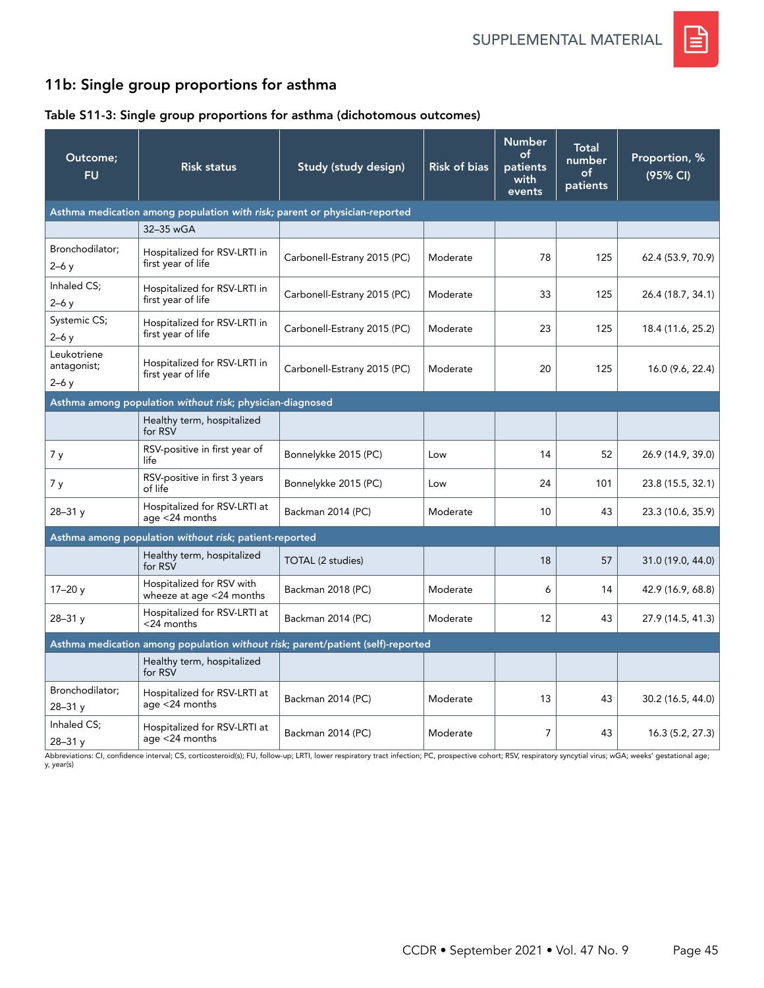

# 11b: Single group proportions for asthma

## Table S11-3: Single group proportions for asthma (dichotomous outcomes)

| Outcome;<br><b>FU</b>                | <b>Risk status</b>                                                              | Study (study design)        | <b>Risk of bias</b> | <b>Number</b><br>of<br>patients<br>with<br>events | Total<br>number<br>of<br>patients | Proportion, %<br>(95% CI) |  |
|--------------------------------------|---------------------------------------------------------------------------------|-----------------------------|---------------------|---------------------------------------------------|-----------------------------------|---------------------------|--|
|                                      | Asthma medication among population with risk; parent or physician-reported      |                             |                     |                                                   |                                   |                           |  |
|                                      | 32-35 wGA                                                                       |                             |                     |                                                   |                                   |                           |  |
| Bronchodilator;<br>$2-6y$            | Hospitalized for RSV-LRTI in<br>first year of life                              | Carbonell-Estrany 2015 (PC) | Moderate            | 78                                                | 125                               | 62.4 (53.9, 70.9)         |  |
| Inhaled CS;<br>$2-6y$                | Hospitalized for RSV-LRTI in<br>first year of life                              | Carbonell-Estrany 2015 (PC) | Moderate            | 33                                                | 125                               | 26.4 (18.7, 34.1)         |  |
| Systemic CS;<br>$2-6y$               | Hospitalized for RSV-LRTI in<br>first year of life                              | Carbonell-Estrany 2015 (PC) | Moderate            | 23                                                | 125                               | 18.4 (11.6, 25.2)         |  |
| Leukotriene<br>antagonist;<br>$2-6y$ | Hospitalized for RSV-LRTI in<br>first year of life                              | Carbonell-Estrany 2015 (PC) | Moderate            | 20                                                | 125                               | 16.0 (9.6, 22.4)          |  |
|                                      | Asthma among population without risk; physician-diagnosed                       |                             |                     |                                                   |                                   |                           |  |
|                                      | Healthy term, hospitalized<br>for RSV                                           |                             |                     |                                                   |                                   |                           |  |
| 7 y                                  | RSV-positive in first year of<br>life                                           | Bonnelykke 2015 (PC)        | Low                 | 14                                                | 52                                | 26.9 (14.9, 39.0)         |  |
| 7 y                                  | RSV-positive in first 3 years<br>of life                                        | Bonnelykke 2015 (PC)        | Low                 | 24                                                | 101                               | 23.8 (15.5, 32.1)         |  |
| $28 - 31y$                           | Hospitalized for RSV-LRTI at<br>age <24 months                                  | Backman 2014 (PC)           | Moderate            | 10                                                | 43                                | 23.3 (10.6, 35.9)         |  |
|                                      | Asthma among population without risk; patient-reported                          |                             |                     |                                                   |                                   |                           |  |
|                                      | Healthy term, hospitalized<br>for RSV                                           | TOTAL (2 studies)           |                     | 18                                                | 57                                | 31.0 (19.0, 44.0)         |  |
| $17 - 20y$                           | Hospitalized for RSV with<br>wheeze at age <24 months                           | Backman 2018 (PC)           | Moderate            | 6                                                 | 14                                | 42.9 (16.9, 68.8)         |  |
| $28 - 31y$                           | Hospitalized for RSV-LRTI at<br><24 months                                      | Backman 2014 (PC)           | Moderate            | 12                                                | 43                                | 27.9 (14.5, 41.3)         |  |
|                                      | Asthma medication among population without risk; parent/patient (self)-reported |                             |                     |                                                   |                                   |                           |  |
|                                      | Healthy term, hospitalized<br>for RSV                                           |                             |                     |                                                   |                                   |                           |  |
| Bronchodilator;<br>$28 - 31y$        | Hospitalized for RSV-LRTI at<br>age $<$ 24 months                               | Backman 2014 (PC)           | Moderate            | 13                                                | 43                                | 30.2 (16.5, 44.0)         |  |
| Inhaled CS;<br>$28 - 31y$            | Hospitalized for RSV-LRTI at<br>age <24 months                                  | Backman 2014 (PC)           | Moderate            | $\overline{7}$                                    | 43                                | 16.3(5.2, 27.3)           |  |

Abbreviations: CI, confidence interval; CS, corticosteroid(s); FU, follow-up; LRTI, lower respiratory tract infection; PC, prospective cohort; RSV, respiratory syncytial virus; wGA; weeks' gestational age; y, year(s)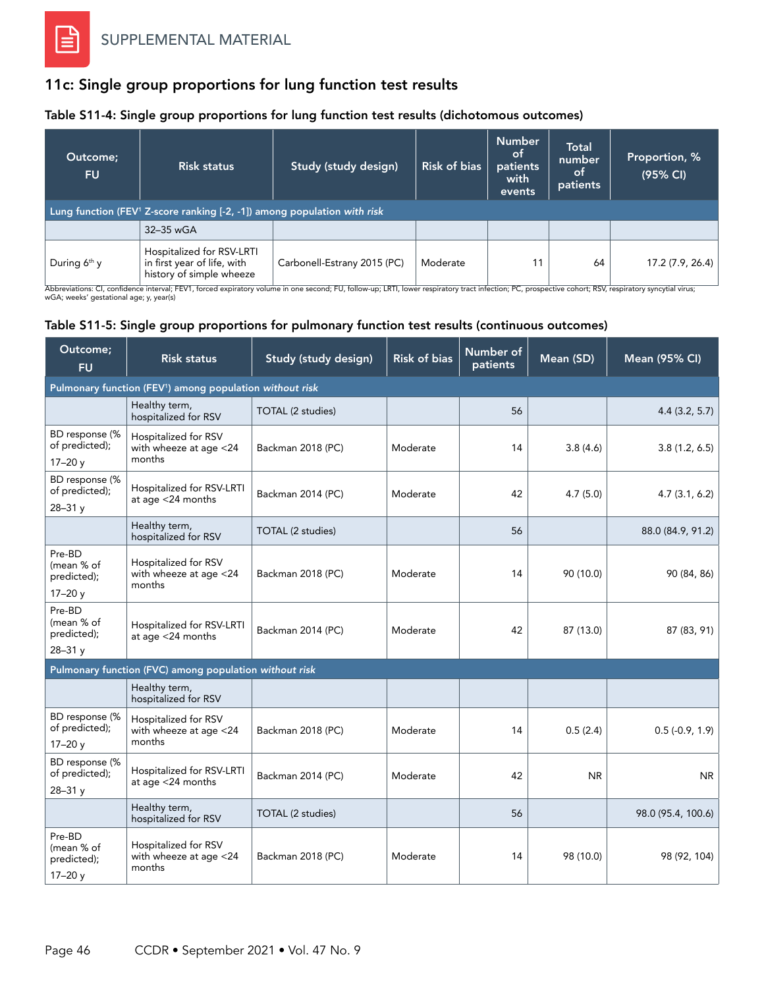## 11c: Single group proportions for lung function test results

### Table S11-4: Single group proportions for lung function test results (dichotomous outcomes)

| Outcome;<br><b>FU</b>                                                                   | <b>Risk status</b>                                                                   | Study (study design)        | <b>Risk of bias</b> | <b>Number</b><br>.ot<br>patients<br>with<br>events | <b>Total</b><br>number<br>.ot<br>patients | Proportion, %<br>(95% CI) |
|-----------------------------------------------------------------------------------------|--------------------------------------------------------------------------------------|-----------------------------|---------------------|----------------------------------------------------|-------------------------------------------|---------------------------|
| Lung function (FEV <sup>1</sup> Z-score ranking $[-2, -1]$ ) among population with risk |                                                                                      |                             |                     |                                                    |                                           |                           |
|                                                                                         | 32-35 wGA                                                                            |                             |                     |                                                    |                                           |                           |
| During $6th$ y                                                                          | Hospitalized for RSV-LRTI<br>in first year of life, with<br>history of simple wheeze | Carbonell-Estrany 2015 (PC) | Moderate            | 11                                                 | 64                                        | 17.2 (7.9, 26.4)          |

Abbreviations: CI, confidence interval; FEV1, forced expiratory volume in one second; FU, follow-up; LRTI, lower respiratory tract infection; PC, prospective cohort; RSV, respiratory syncytial virus;<br>wGA; weeks' gestationa

### Table S11-5: Single group proportions for pulmonary function test results (continuous outcomes)

| Outcome;<br><b>FU</b>                                                | <b>Risk status</b>                                       | Study (study design) | <b>Risk of bias</b> | Number of<br>patients | Mean (SD) | Mean (95% CI)      |  |  |
|----------------------------------------------------------------------|----------------------------------------------------------|----------------------|---------------------|-----------------------|-----------|--------------------|--|--|
| Pulmonary function (FEV <sup>1</sup> ) among population without risk |                                                          |                      |                     |                       |           |                    |  |  |
|                                                                      | Healthy term,<br>hospitalized for RSV                    | TOTAL (2 studies)    |                     | 56                    |           | 4.4(3.2, 5.7)      |  |  |
| BD response (%<br>of predicted);<br>$17 - 20y$                       | Hospitalized for RSV<br>with wheeze at age <24<br>months | Backman 2018 (PC)    | Moderate            | 14                    | 3.8(4.6)  | 3.8(1.2, 6.5)      |  |  |
| BD response (%<br>of predicted);<br>$28 - 31y$                       | Hospitalized for RSV-LRTI<br>at age $<$ 24 months        | Backman 2014 (PC)    | Moderate            | 42                    | 4.7(5.0)  | 4.7(3.1, 6.2)      |  |  |
|                                                                      | Healthy term,<br>hospitalized for RSV                    | TOTAL (2 studies)    |                     | 56                    |           | 88.0 (84.9, 91.2)  |  |  |
| Pre-BD<br>(mean % of<br>predicted);<br>$17 - 20y$                    | Hospitalized for RSV<br>with wheeze at age <24<br>months | Backman 2018 (PC)    | Moderate            | 14                    | 90 (10.0) | 90 (84, 86)        |  |  |
| Pre-BD<br>(mean % of<br>predicted);<br>$28 - 31y$                    | Hospitalized for RSV-LRTI<br>at age <24 months           | Backman 2014 (PC)    | Moderate            | 42                    | 87 (13.0) | 87 (83, 91)        |  |  |
|                                                                      | Pulmonary function (FVC) among population without risk   |                      |                     |                       |           |                    |  |  |
|                                                                      | Healthy term,<br>hospitalized for RSV                    |                      |                     |                       |           |                    |  |  |
| BD response (%<br>of predicted);<br>$17 - 20y$                       | Hospitalized for RSV<br>with wheeze at age <24<br>months | Backman 2018 (PC)    | Moderate            | 14                    | 0.5(2.4)  | $0.5(-0.9, 1.9)$   |  |  |
| BD response (%<br>of predicted);<br>$28 - 31y$                       | Hospitalized for RSV-LRTI<br>at age <24 months           | Backman 2014 (PC)    | Moderate            | 42                    | <b>NR</b> | N <sub>R</sub>     |  |  |
|                                                                      | Healthy term,<br>hospitalized for RSV                    | TOTAL (2 studies)    |                     | 56                    |           | 98.0 (95.4, 100.6) |  |  |
| Pre-BD<br>(mean % of<br>predicted);<br>$17 - 20y$                    | Hospitalized for RSV<br>with wheeze at age <24<br>months | Backman 2018 (PC)    | Moderate            | 14                    | 98 (10.0) | 98 (92, 104)       |  |  |